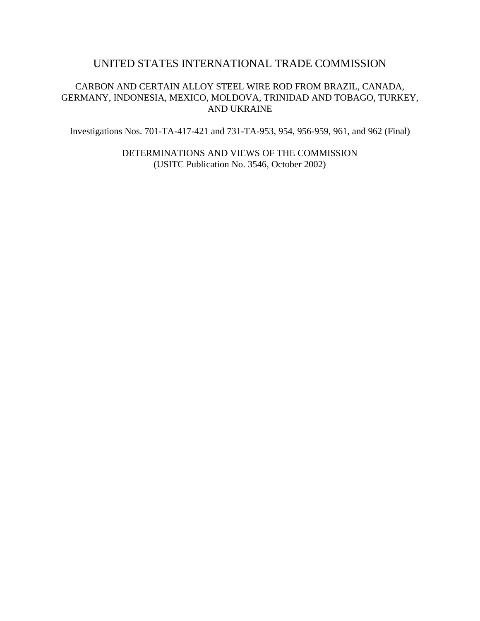# UNITED STATES INTERNATIONAL TRADE COMMISSION

# CARBON AND CERTAIN ALLOY STEEL WIRE ROD FROM BRAZIL, CANADA, GERMANY, INDONESIA, MEXICO, MOLDOVA, TRINIDAD AND TOBAGO, TURKEY, AND UKRAINE

Investigations Nos. 701-TA-417-421 and 731-TA-953, 954, 956-959, 961, and 962 (Final)

DETERMINATIONS AND VIEWS OF THE COMMISSION (USITC Publication No. 3546, October 2002)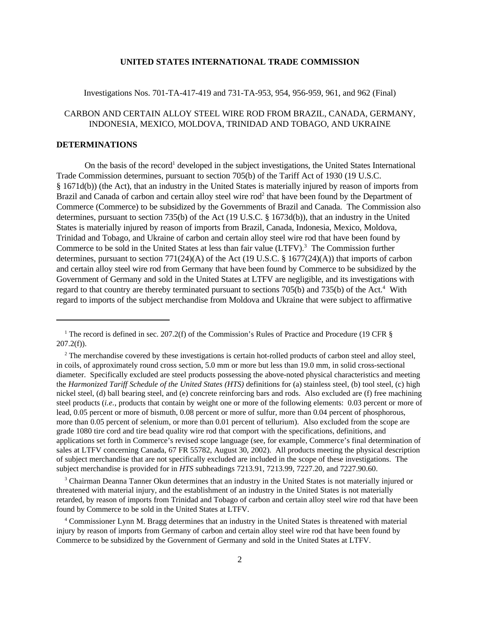#### **UNITED STATES INTERNATIONAL TRADE COMMISSION**

### Investigations Nos. 701-TA-417-419 and 731-TA-953, 954, 956-959, 961, and 962 (Final)

# CARBON AND CERTAIN ALLOY STEEL WIRE ROD FROM BRAZIL, CANADA, GERMANY, INDONESIA, MEXICO, MOLDOVA, TRINIDAD AND TOBAGO, AND UKRAINE

### **DETERMINATIONS**

On the basis of the record<sup>1</sup> developed in the subject investigations, the United States International Trade Commission determines, pursuant to section 705(b) of the Tariff Act of 1930 (19 U.S.C. § 1671d(b)) (the Act), that an industry in the United States is materially injured by reason of imports from Brazil and Canada of carbon and certain alloy steel wire rod<sup>2</sup> that have been found by the Department of Commerce (Commerce) to be subsidized by the Governments of Brazil and Canada. The Commission also determines, pursuant to section 735(b) of the Act (19 U.S.C. § 1673d(b)), that an industry in the United States is materially injured by reason of imports from Brazil, Canada, Indonesia, Mexico, Moldova, Trinidad and Tobago, and Ukraine of carbon and certain alloy steel wire rod that have been found by Commerce to be sold in the United States at less than fair value (LTFV).<sup>3</sup> The Commission further determines, pursuant to section 771(24)(A) of the Act (19 U.S.C. § 1677(24)(A)) that imports of carbon and certain alloy steel wire rod from Germany that have been found by Commerce to be subsidized by the Government of Germany and sold in the United States at LTFV are negligible, and its investigations with regard to that country are thereby terminated pursuant to sections 705(b) and 735(b) of the Act.<sup>4</sup> With regard to imports of the subject merchandise from Moldova and Ukraine that were subject to affirmative

<sup>3</sup> Chairman Deanna Tanner Okun determines that an industry in the United States is not materially injured or threatened with material injury, and the establishment of an industry in the United States is not materially retarded, by reason of imports from Trinidad and Tobago of carbon and certain alloy steel wire rod that have been found by Commerce to be sold in the United States at LTFV.

<sup>&</sup>lt;sup>1</sup> The record is defined in sec. 207.2(f) of the Commission's Rules of Practice and Procedure (19 CFR  $\S$  $207.2(f)$ ).

 $2^2$  The merchandise covered by these investigations is certain hot-rolled products of carbon steel and alloy steel, in coils, of approximately round cross section, 5.0 mm or more but less than 19.0 mm, in solid cross-sectional diameter. Specifically excluded are steel products possessing the above-noted physical characteristics and meeting the *Harmonized Tariff Schedule of the United States (HTS)* definitions for (a) stainless steel, (b) tool steel, (c) high nickel steel, (d) ball bearing steel, and (e) concrete reinforcing bars and rods. Also excluded are (f) free machining steel products (*i.e.*, products that contain by weight one or more of the following elements: 0.03 percent or more of lead, 0.05 percent or more of bismuth, 0.08 percent or more of sulfur, more than 0.04 percent of phosphorous, more than 0.05 percent of selenium, or more than 0.01 percent of tellurium). Also excluded from the scope are grade 1080 tire cord and tire bead quality wire rod that comport with the specifications, definitions, and applications set forth in Commerce's revised scope language (see, for example, Commerce's final determination of sales at LTFV concerning Canada, 67 FR 55782, August 30, 2002). All products meeting the physical description of subject merchandise that are not specifically excluded are included in the scope of these investigations. The subject merchandise is provided for in *HTS* subheadings 7213.91, 7213.99, 7227.20, and 7227.90.60.

<sup>4</sup> Commissioner Lynn M. Bragg determines that an industry in the United States is threatened with material injury by reason of imports from Germany of carbon and certain alloy steel wire rod that have been found by Commerce to be subsidized by the Government of Germany and sold in the United States at LTFV.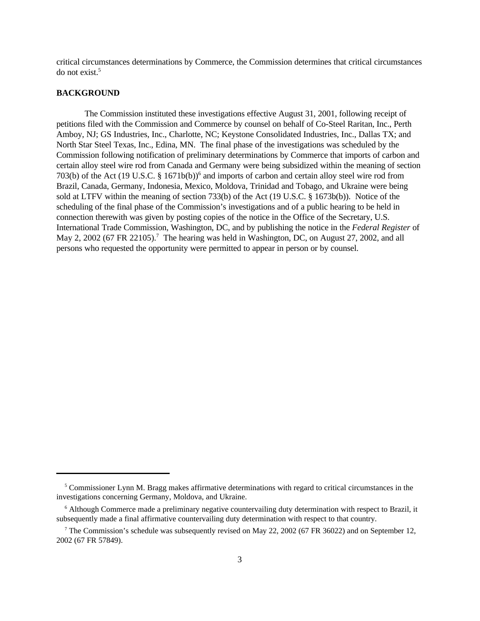critical circumstances determinations by Commerce, the Commission determines that critical circumstances do not exist.<sup>5</sup>

### **BACKGROUND**

The Commission instituted these investigations effective August 31, 2001, following receipt of petitions filed with the Commission and Commerce by counsel on behalf of Co-Steel Raritan, Inc., Perth Amboy, NJ; GS Industries, Inc., Charlotte, NC; Keystone Consolidated Industries, Inc., Dallas TX; and North Star Steel Texas, Inc., Edina, MN. The final phase of the investigations was scheduled by the Commission following notification of preliminary determinations by Commerce that imports of carbon and certain alloy steel wire rod from Canada and Germany were being subsidized within the meaning of section 703(b) of the Act (19 U.S.C. § 1671b(b))<sup>6</sup> and imports of carbon and certain alloy steel wire rod from Brazil, Canada, Germany, Indonesia, Mexico, Moldova, Trinidad and Tobago, and Ukraine were being sold at LTFV within the meaning of section 733(b) of the Act (19 U.S.C. § 1673b(b)). Notice of the scheduling of the final phase of the Commission's investigations and of a public hearing to be held in connection therewith was given by posting copies of the notice in the Office of the Secretary, U.S. International Trade Commission, Washington, DC, and by publishing the notice in the *Federal Register* of May 2, 2002 (67 FR 22105).<sup>7</sup> The hearing was held in Washington, DC, on August 27, 2002, and all persons who requested the opportunity were permitted to appear in person or by counsel.

<sup>&</sup>lt;sup>5</sup> Commissioner Lynn M. Bragg makes affirmative determinations with regard to critical circumstances in the investigations concerning Germany, Moldova, and Ukraine.

<sup>&</sup>lt;sup>6</sup> Although Commerce made a preliminary negative countervailing duty determination with respect to Brazil, it subsequently made a final affirmative countervailing duty determination with respect to that country.

<sup>&</sup>lt;sup>7</sup> The Commission's schedule was subsequently revised on May 22, 2002 (67 FR 36022) and on September 12, 2002 (67 FR 57849).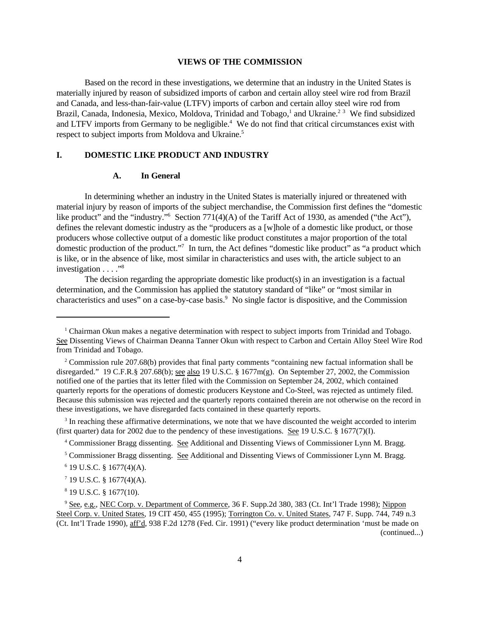#### **VIEWS OF THE COMMISSION**

Based on the record in these investigations, we determine that an industry in the United States is materially injured by reason of subsidized imports of carbon and certain alloy steel wire rod from Brazil and Canada, and less-than-fair-value (LTFV) imports of carbon and certain alloy steel wire rod from Brazil, Canada, Indonesia, Mexico, Moldova, Trinidad and Tobago,<sup>1</sup> and Ukraine.<sup>23</sup> We find subsidized and LTFV imports from Germany to be negligible.<sup>4</sup> We do not find that critical circumstances exist with respect to subject imports from Moldova and Ukraine.<sup>5</sup>

# **I. DOMESTIC LIKE PRODUCT AND INDUSTRY**

#### **A. In General**

In determining whether an industry in the United States is materially injured or threatened with material injury by reason of imports of the subject merchandise, the Commission first defines the "domestic like product" and the "industry."<sup>6</sup> Section 771(4)(A) of the Tariff Act of 1930, as amended ("the Act"), defines the relevant domestic industry as the "producers as a [w]hole of a domestic like product, or those producers whose collective output of a domestic like product constitutes a major proportion of the total domestic production of the product."<sup>7</sup> In turn, the Act defines "domestic like product" as "a product which is like, or in the absence of like, most similar in characteristics and uses with, the article subject to an investigation . . . . .<sup>38</sup>

The decision regarding the appropriate domestic like product(s) in an investigation is a factual determination, and the Commission has applied the statutory standard of "like" or "most similar in characteristics and uses" on a case-by-case basis.<sup>9</sup> No single factor is dispositive, and the Commission

 $3$  In reaching these affirmative determinations, we note that we have discounted the weight accorded to interim (first quarter) data for 2002 due to the pendency of these investigations. See 19 U.S.C. § 1677(7)(I).

<sup>4</sup> Commissioner Bragg dissenting. See Additional and Dissenting Views of Commissioner Lynn M. Bragg.

<sup>&</sup>lt;sup>1</sup> Chairman Okun makes a negative determination with respect to subject imports from Trinidad and Tobago. See Dissenting Views of Chairman Deanna Tanner Okun with respect to Carbon and Certain Alloy Steel Wire Rod from Trinidad and Tobago.

<sup>&</sup>lt;sup>2</sup> Commission rule 207.68(b) provides that final party comments "containing new factual information shall be disregarded." 19 C.F.R.§ 207.68(b); see also 19 U.S.C. § 1677m(g). On September 27, 2002, the Commission notified one of the parties that its letter filed with the Commission on September 24, 2002, which contained quarterly reports for the operations of domestic producers Keystone and Co-Steel, was rejected as untimely filed. Because this submission was rejected and the quarterly reports contained therein are not otherwise on the record in these investigations, we have disregarded facts contained in these quarterly reports.

<sup>&</sup>lt;sup>5</sup> Commissioner Bragg dissenting. See Additional and Dissenting Views of Commissioner Lynn M. Bragg.

 $6$  19 U.S.C. § 1677(4)(A).

 $7$  19 U.S.C. § 1677(4)(A).

<sup>8</sup> 19 U.S.C. § 1677(10).

<sup>&</sup>lt;sup>9</sup> See, e.g., NEC Corp. v. Department of Commerce, 36 F. Supp.2d 380, 383 (Ct. Int'l Trade 1998); Nippon Steel Corp. v. United States, 19 CIT 450, 455 (1995); Torrington Co. v. United States, 747 F. Supp. 744, 749 n.3 (Ct. Int'l Trade 1990), aff'd, 938 F.2d 1278 (Fed. Cir. 1991) ("every like product determination 'must be made on (continued...)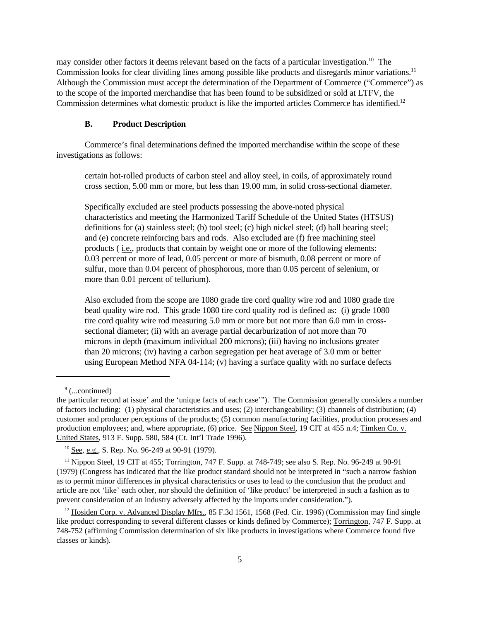may consider other factors it deems relevant based on the facts of a particular investigation.<sup>10</sup> The Commission looks for clear dividing lines among possible like products and disregards minor variations.<sup>11</sup> Although the Commission must accept the determination of the Department of Commerce ("Commerce") as to the scope of the imported merchandise that has been found to be subsidized or sold at LTFV, the Commission determines what domestic product is like the imported articles Commerce has identified.<sup>12</sup>

### **B. Product Description**

Commerce's final determinations defined the imported merchandise within the scope of these investigations as follows:

certain hot-rolled products of carbon steel and alloy steel, in coils, of approximately round cross section, 5.00 mm or more, but less than 19.00 mm, in solid cross-sectional diameter.

Specifically excluded are steel products possessing the above-noted physical characteristics and meeting the Harmonized Tariff Schedule of the United States (HTSUS) definitions for (a) stainless steel; (b) tool steel; (c) high nickel steel; (d) ball bearing steel; and (e) concrete reinforcing bars and rods. Also excluded are (f) free machining steel products ( i.e., products that contain by weight one or more of the following elements: 0.03 percent or more of lead, 0.05 percent or more of bismuth, 0.08 percent or more of sulfur, more than 0.04 percent of phosphorous, more than 0.05 percent of selenium, or more than 0.01 percent of tellurium).

Also excluded from the scope are 1080 grade tire cord quality wire rod and 1080 grade tire bead quality wire rod. This grade 1080 tire cord quality rod is defined as: (i) grade 1080 tire cord quality wire rod measuring 5.0 mm or more but not more than 6.0 mm in crosssectional diameter; (ii) with an average partial decarburization of not more than 70 microns in depth (maximum individual 200 microns); (iii) having no inclusions greater than 20 microns; (iv) having a carbon segregation per heat average of 3.0 mm or better using European Method NFA 04-114; (v) having a surface quality with no surface defects

<sup>&</sup>lt;sup>9</sup> (...continued)

the particular record at issue' and the 'unique facts of each case'"). The Commission generally considers a number of factors including: (1) physical characteristics and uses; (2) interchangeability; (3) channels of distribution; (4) customer and producer perceptions of the products; (5) common manufacturing facilities, production processes and production employees; and, where appropriate, (6) price. See Nippon Steel, 19 CIT at 455 n.4; Timken Co. v. United States, 913 F. Supp. 580, 584 (Ct. Int'l Trade 1996).

<sup>&</sup>lt;sup>10</sup> See, e.g., S. Rep. No. 96-249 at 90-91 (1979).

<sup>&</sup>lt;sup>11</sup> Nippon Steel, 19 CIT at 455; Torrington, 747 F. Supp. at 748-749; see also S. Rep. No. 96-249 at 90-91 (1979) (Congress has indicated that the like product standard should not be interpreted in "such a narrow fashion as to permit minor differences in physical characteristics or uses to lead to the conclusion that the product and article are not 'like' each other, nor should the definition of 'like product' be interpreted in such a fashion as to prevent consideration of an industry adversely affected by the imports under consideration.").

<sup>&</sup>lt;sup>12</sup> Hosiden Corp. v. Advanced Display Mfrs., 85 F.3d 1561, 1568 (Fed. Cir. 1996) (Commission may find single like product corresponding to several different classes or kinds defined by Commerce); Torrington, 747 F. Supp. at 748-752 (affirming Commission determination of six like products in investigations where Commerce found five classes or kinds).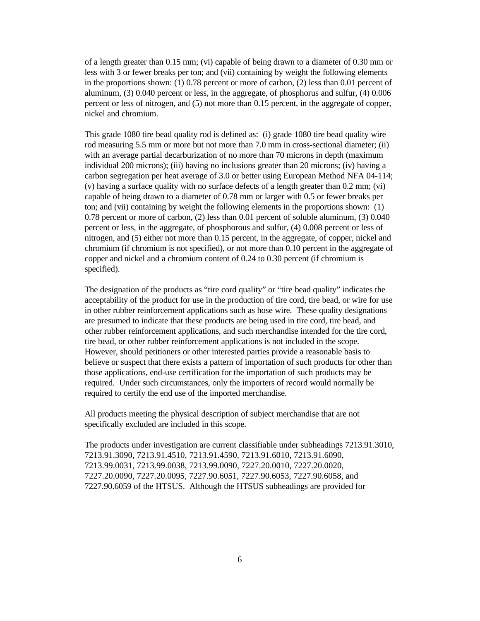of a length greater than 0.15 mm; (vi) capable of being drawn to a diameter of 0.30 mm or less with 3 or fewer breaks per ton; and (vii) containing by weight the following elements in the proportions shown: (1) 0.78 percent or more of carbon, (2) less than 0.01 percent of aluminum, (3) 0.040 percent or less, in the aggregate, of phosphorus and sulfur, (4) 0.006 percent or less of nitrogen, and (5) not more than 0.15 percent, in the aggregate of copper, nickel and chromium.

This grade 1080 tire bead quality rod is defined as: (i) grade 1080 tire bead quality wire rod measuring 5.5 mm or more but not more than 7.0 mm in cross-sectional diameter; (ii) with an average partial decarburization of no more than 70 microns in depth (maximum individual 200 microns); (iii) having no inclusions greater than 20 microns; (iv) having a carbon segregation per heat average of 3.0 or better using European Method NFA 04-114; (v) having a surface quality with no surface defects of a length greater than 0.2 mm; (vi) capable of being drawn to a diameter of 0.78 mm or larger with 0.5 or fewer breaks per ton; and (vii) containing by weight the following elements in the proportions shown: (1) 0.78 percent or more of carbon, (2) less than 0.01 percent of soluble aluminum, (3) 0.040 percent or less, in the aggregate, of phosphorous and sulfur, (4) 0.008 percent or less of nitrogen, and (5) either not more than 0.15 percent, in the aggregate, of copper, nickel and chromium (if chromium is not specified), or not more than 0.10 percent in the aggregate of copper and nickel and a chromium content of 0.24 to 0.30 percent (if chromium is specified).

The designation of the products as "tire cord quality" or "tire bead quality" indicates the acceptability of the product for use in the production of tire cord, tire bead, or wire for use in other rubber reinforcement applications such as hose wire. These quality designations are presumed to indicate that these products are being used in tire cord, tire bead, and other rubber reinforcement applications, and such merchandise intended for the tire cord, tire bead, or other rubber reinforcement applications is not included in the scope. However, should petitioners or other interested parties provide a reasonable basis to believe or suspect that there exists a pattern of importation of such products for other than those applications, end-use certification for the importation of such products may be required. Under such circumstances, only the importers of record would normally be required to certify the end use of the imported merchandise.

All products meeting the physical description of subject merchandise that are not specifically excluded are included in this scope.

The products under investigation are current classifiable under subheadings 7213.91.3010, 7213.91.3090, 7213.91.4510, 7213.91.4590, 7213.91.6010, 7213.91.6090, 7213.99.0031, 7213.99.0038, 7213.99.0090, 7227.20.0010, 7227.20.0020, 7227.20.0090, 7227.20.0095, 7227.90.6051, 7227.90.6053, 7227.90.6058, and 7227.90.6059 of the HTSUS. Although the HTSUS subheadings are provided for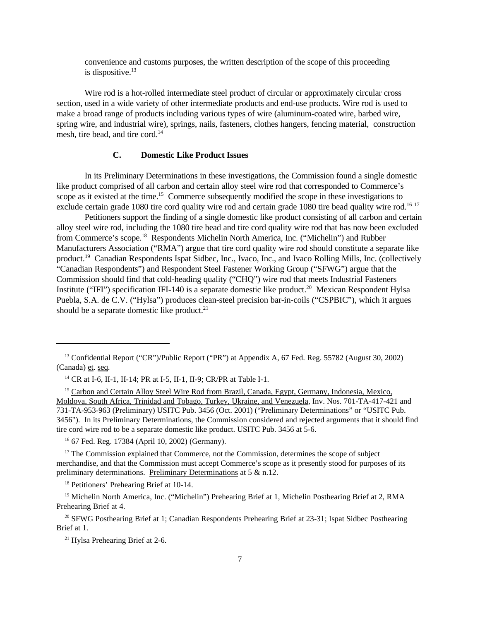convenience and customs purposes, the written description of the scope of this proceeding is dispositive. $13$ 

Wire rod is a hot-rolled intermediate steel product of circular or approximately circular cross section, used in a wide variety of other intermediate products and end-use products. Wire rod is used to make a broad range of products including various types of wire (aluminum-coated wire, barbed wire, spring wire, and industrial wire), springs, nails, fasteners, clothes hangers, fencing material, construction mesh, tire bead, and tire cord.<sup>14</sup>

# **C. Domestic Like Product Issues**

In its Preliminary Determinations in these investigations, the Commission found a single domestic like product comprised of all carbon and certain alloy steel wire rod that corresponded to Commerce's scope as it existed at the time.<sup>15</sup> Commerce subsequently modified the scope in these investigations to exclude certain grade 1080 tire cord quality wire rod and certain grade 1080 tire bead quality wire rod.<sup>16 17</sup>

Petitioners support the finding of a single domestic like product consisting of all carbon and certain alloy steel wire rod, including the 1080 tire bead and tire cord quality wire rod that has now been excluded from Commerce's scope.<sup>18</sup> Respondents Michelin North America, Inc. ("Michelin") and Rubber Manufacturers Association ("RMA") argue that tire cord quality wire rod should constitute a separate like product.<sup>19</sup> Canadian Respondents Ispat Sidbec, Inc., Ivaco, Inc., and Ivaco Rolling Mills, Inc. (collectively "Canadian Respondents") and Respondent Steel Fastener Working Group ("SFWG") argue that the Commission should find that cold-heading quality ("CHQ") wire rod that meets Industrial Fasteners Institute ("IFI") specification IFI-140 is a separate domestic like product.<sup>20</sup> Mexican Respondent Hylsa Puebla, S.A. de C.V. ("Hylsa") produces clean-steel precision bar-in-coils ("CSPBIC"), which it argues should be a separate domestic like product.<sup>21</sup>

<sup>16</sup> 67 Fed. Reg. 17384 (April 10, 2002) (Germany).

 $17$  The Commission explained that Commerce, not the Commission, determines the scope of subject merchandise, and that the Commission must accept Commerce's scope as it presently stood for purposes of its preliminary determinations. Preliminary Determinations at 5 & n.12.

<sup>18</sup> Petitioners' Prehearing Brief at 10-14.

<sup>19</sup> Michelin North America, Inc. ("Michelin") Prehearing Brief at 1, Michelin Posthearing Brief at 2, RMA Prehearing Brief at 4.

<sup>20</sup> SFWG Posthearing Brief at 1; Canadian Respondents Prehearing Brief at 23-31; Ispat Sidbec Posthearing Brief at 1.

<sup>21</sup> Hylsa Prehearing Brief at 2-6.

<sup>13</sup> Confidential Report ("CR")/Public Report ("PR") at Appendix A, 67 Fed. Reg. 55782 (August 30, 2002) (Canada) et. seq.

<sup>14</sup> CR at I-6, II-1, II-14; PR at I-5, II-1, II-9; CR/PR at Table I-1.

<sup>&</sup>lt;sup>15</sup> Carbon and Certain Alloy Steel Wire Rod from Brazil, Canada, Egypt, Germany, Indonesia, Mexico, Moldova, South Africa, Trinidad and Tobago, Turkey, Ukraine, and Venezuela, Inv. Nos. 701-TA-417-421 and 731-TA-953-963 (Preliminary) USITC Pub. 3456 (Oct. 2001) ("Preliminary Determinations" or "USITC Pub. 3456"). In its Preliminary Determinations, the Commission considered and rejected arguments that it should find tire cord wire rod to be a separate domestic like product. USITC Pub. 3456 at 5-6.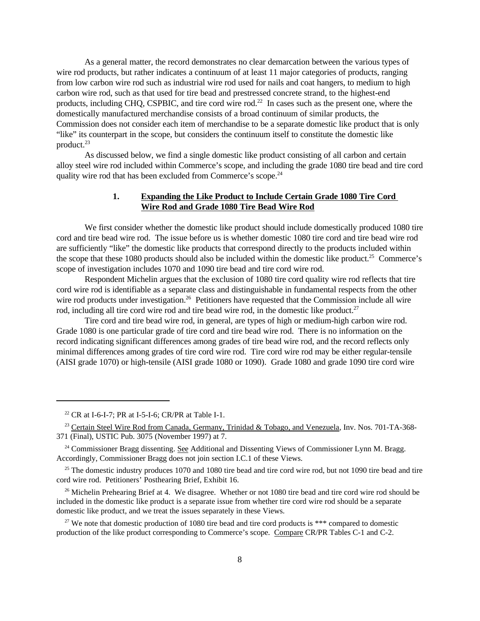As a general matter, the record demonstrates no clear demarcation between the various types of wire rod products, but rather indicates a continuum of at least 11 major categories of products, ranging from low carbon wire rod such as industrial wire rod used for nails and coat hangers, to medium to high carbon wire rod, such as that used for tire bead and prestressed concrete strand, to the highest-end products, including CHQ, CSPBIC, and tire cord wire rod.<sup>22</sup> In cases such as the present one, where the domestically manufactured merchandise consists of a broad continuum of similar products, the Commission does not consider each item of merchandise to be a separate domestic like product that is only "like" its counterpart in the scope, but considers the continuum itself to constitute the domestic like product.<sup>23</sup>

As discussed below, we find a single domestic like product consisting of all carbon and certain alloy steel wire rod included within Commerce's scope, and including the grade 1080 tire bead and tire cord quality wire rod that has been excluded from Commerce's scope.<sup>24</sup>

# **1. Expanding the Like Product to Include Certain Grade 1080 Tire Cord Wire Rod and Grade 1080 Tire Bead Wire Rod**

We first consider whether the domestic like product should include domestically produced 1080 tire cord and tire bead wire rod. The issue before us is whether domestic 1080 tire cord and tire bead wire rod are sufficiently "like" the domestic like products that correspond directly to the products included within the scope that these 1080 products should also be included within the domestic like product.<sup>25</sup> Commerce's scope of investigation includes 1070 and 1090 tire bead and tire cord wire rod.

Respondent Michelin argues that the exclusion of 1080 tire cord quality wire rod reflects that tire cord wire rod is identifiable as a separate class and distinguishable in fundamental respects from the other wire rod products under investigation.<sup>26</sup> Petitioners have requested that the Commission include all wire rod, including all tire cord wire rod and tire bead wire rod, in the domestic like product.<sup>27</sup>

Tire cord and tire bead wire rod, in general, are types of high or medium-high carbon wire rod. Grade 1080 is one particular grade of tire cord and tire bead wire rod. There is no information on the record indicating significant differences among grades of tire bead wire rod, and the record reflects only minimal differences among grades of tire cord wire rod. Tire cord wire rod may be either regular-tensile (AISI grade 1070) or high-tensile (AISI grade 1080 or 1090). Grade 1080 and grade 1090 tire cord wire

 $22$  CR at I-6-I-7; PR at I-5-I-6; CR/PR at Table I-1.

<sup>&</sup>lt;sup>23</sup> Certain Steel Wire Rod from Canada, Germany, Trinidad & Tobago, and Venezuela, Inv. Nos. 701-TA-368-371 (Final), USTIC Pub. 3075 (November 1997) at 7.

<sup>&</sup>lt;sup>24</sup> Commissioner Bragg dissenting. See Additional and Dissenting Views of Commissioner Lynn M. Bragg. Accordingly, Commissioner Bragg does not join section I.C.1 of these Views.

 $25$  The domestic industry produces 1070 and 1080 tire bead and tire cord wire rod, but not 1090 tire bead and tire cord wire rod. Petitioners' Posthearing Brief, Exhibit 16.

<sup>&</sup>lt;sup>26</sup> Michelin Prehearing Brief at 4. We disagree. Whether or not 1080 tire bead and tire cord wire rod should be included in the domestic like product is a separate issue from whether tire cord wire rod should be a separate domestic like product, and we treat the issues separately in these Views.

<sup>&</sup>lt;sup>27</sup> We note that domestic production of 1080 tire bead and tire cord products is \*\*\* compared to domestic production of the like product corresponding to Commerce's scope. Compare CR/PR Tables C-1 and C-2.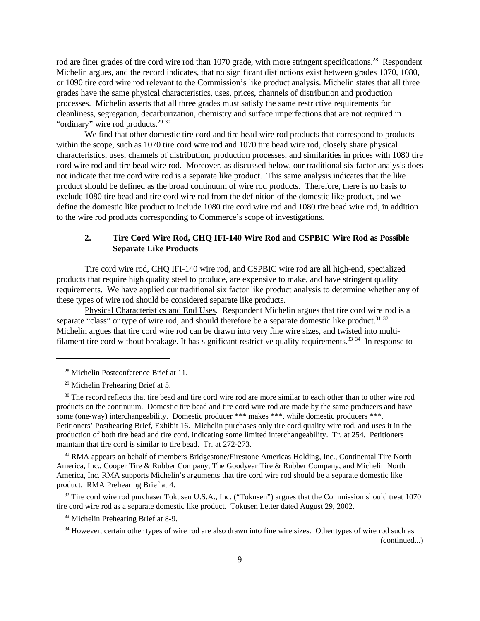rod are finer grades of tire cord wire rod than 1070 grade, with more stringent specifications.<sup>28</sup> Respondent Michelin argues, and the record indicates, that no significant distinctions exist between grades 1070, 1080, or 1090 tire cord wire rod relevant to the Commission's like product analysis. Michelin states that all three grades have the same physical characteristics, uses, prices, channels of distribution and production processes. Michelin asserts that all three grades must satisfy the same restrictive requirements for cleanliness, segregation, decarburization, chemistry and surface imperfections that are not required in "ordinary" wire rod products.<sup>29 30</sup>

We find that other domestic tire cord and tire bead wire rod products that correspond to products within the scope, such as 1070 tire cord wire rod and 1070 tire bead wire rod, closely share physical characteristics, uses, channels of distribution, production processes, and similarities in prices with 1080 tire cord wire rod and tire bead wire rod. Moreover, as discussed below, our traditional six factor analysis does not indicate that tire cord wire rod is a separate like product. This same analysis indicates that the like product should be defined as the broad continuum of wire rod products. Therefore, there is no basis to exclude 1080 tire bead and tire cord wire rod from the definition of the domestic like product, and we define the domestic like product to include 1080 tire cord wire rod and 1080 tire bead wire rod, in addition to the wire rod products corresponding to Commerce's scope of investigations.

# **2. Tire Cord Wire Rod, CHQ IFI-140 Wire Rod and CSPBIC Wire Rod as Possible Separate Like Products**

Tire cord wire rod, CHQ IFI-140 wire rod, and CSPBIC wire rod are all high-end, specialized products that require high quality steel to produce, are expensive to make, and have stringent quality requirements. We have applied our traditional six factor like product analysis to determine whether any of these types of wire rod should be considered separate like products.

Physical Characteristics and End Uses. Respondent Michelin argues that tire cord wire rod is a separate "class" or type of wire rod, and should therefore be a separate domestic like product.<sup>31</sup> <sup>32</sup> Michelin argues that tire cord wire rod can be drawn into very fine wire sizes, and twisted into multifilament tire cord without breakage. It has significant restrictive quality requirements.<sup>33 34</sup> In response to

<sup>31</sup> RMA appears on behalf of members Bridgestone/Firestone Americas Holding, Inc., Continental Tire North America, Inc., Cooper Tire & Rubber Company, The Goodyear Tire & Rubber Company, and Michelin North America, Inc. RMA supports Michelin's arguments that tire cord wire rod should be a separate domestic like product. RMA Prehearing Brief at 4.

<sup>32</sup> Tire cord wire rod purchaser Tokusen U.S.A., Inc. ("Tokusen") argues that the Commission should treat 1070 tire cord wire rod as a separate domestic like product. Tokusen Letter dated August 29, 2002.

<sup>33</sup> Michelin Prehearing Brief at 8-9.

<sup>&</sup>lt;sup>28</sup> Michelin Postconference Brief at 11.

<sup>29</sup> Michelin Prehearing Brief at 5.

<sup>&</sup>lt;sup>30</sup> The record reflects that tire bead and tire cord wire rod are more similar to each other than to other wire rod products on the continuum. Domestic tire bead and tire cord wire rod are made by the same producers and have some (one-way) interchangeability. Domestic producer \*\*\* makes \*\*\*, while domestic producers \*\*\*. Petitioners' Posthearing Brief, Exhibit 16. Michelin purchases only tire cord quality wire rod, and uses it in the production of both tire bead and tire cord, indicating some limited interchangeability. Tr. at 254. Petitioners maintain that tire cord is similar to tire bead. Tr. at 272-273.

<sup>&</sup>lt;sup>34</sup> However, certain other types of wire rod are also drawn into fine wire sizes. Other types of wire rod such as (continued...)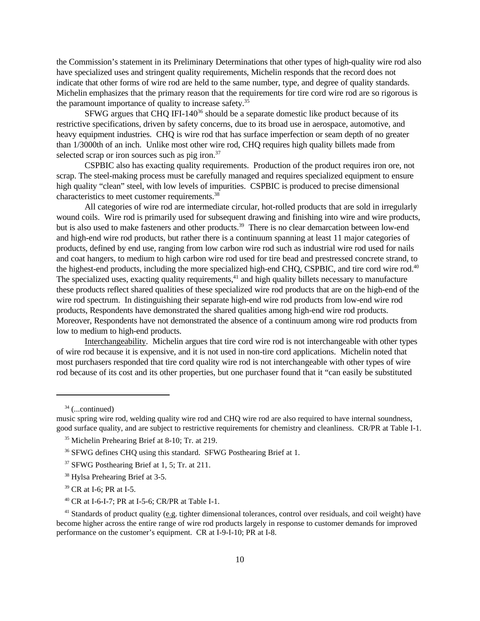the Commission's statement in its Preliminary Determinations that other types of high-quality wire rod also have specialized uses and stringent quality requirements, Michelin responds that the record does not indicate that other forms of wire rod are held to the same number, type, and degree of quality standards. Michelin emphasizes that the primary reason that the requirements for tire cord wire rod are so rigorous is the paramount importance of quality to increase safety.<sup>35</sup>

SFWG argues that CHQ IFI-140<sup>36</sup> should be a separate domestic like product because of its restrictive specifications, driven by safety concerns, due to its broad use in aerospace, automotive, and heavy equipment industries. CHQ is wire rod that has surface imperfection or seam depth of no greater than 1/3000th of an inch. Unlike most other wire rod, CHQ requires high quality billets made from selected scrap or iron sources such as pig iron.<sup>37</sup>

CSPBIC also has exacting quality requirements. Production of the product requires iron ore, not scrap. The steel-making process must be carefully managed and requires specialized equipment to ensure high quality "clean" steel, with low levels of impurities. CSPBIC is produced to precise dimensional characteristics to meet customer requirements.<sup>38</sup>

All categories of wire rod are intermediate circular, hot-rolled products that are sold in irregularly wound coils. Wire rod is primarily used for subsequent drawing and finishing into wire and wire products, but is also used to make fasteners and other products.<sup>39</sup> There is no clear demarcation between low-end and high-end wire rod products, but rather there is a continuum spanning at least 11 major categories of products, defined by end use, ranging from low carbon wire rod such as industrial wire rod used for nails and coat hangers, to medium to high carbon wire rod used for tire bead and prestressed concrete strand, to the highest-end products, including the more specialized high-end CHQ, CSPBIC, and tire cord wire rod.<sup>40</sup> The specialized uses, exacting quality requirements,<sup>41</sup> and high quality billets necessary to manufacture these products reflect shared qualities of these specialized wire rod products that are on the high-end of the wire rod spectrum. In distinguishing their separate high-end wire rod products from low-end wire rod products, Respondents have demonstrated the shared qualities among high-end wire rod products. Moreover, Respondents have not demonstrated the absence of a continuum among wire rod products from low to medium to high-end products.

Interchangeability. Michelin argues that tire cord wire rod is not interchangeable with other types of wire rod because it is expensive, and it is not used in non-tire cord applications. Michelin noted that most purchasers responded that tire cord quality wire rod is not interchangeable with other types of wire rod because of its cost and its other properties, but one purchaser found that it "can easily be substituted

 $34$  (...continued)

music spring wire rod, welding quality wire rod and CHQ wire rod are also required to have internal soundness, good surface quality, and are subject to restrictive requirements for chemistry and cleanliness. CR/PR at Table I-1.

<sup>&</sup>lt;sup>35</sup> Michelin Prehearing Brief at 8-10; Tr. at 219.

<sup>&</sup>lt;sup>36</sup> SFWG defines CHQ using this standard. SFWG Posthearing Brief at 1.

<sup>&</sup>lt;sup>37</sup> SFWG Posthearing Brief at 1, 5; Tr. at 211.

<sup>38</sup> Hylsa Prehearing Brief at 3-5.

<sup>39</sup> CR at I-6; PR at I-5.

<sup>40</sup> CR at I-6-I-7; PR at I-5-6; CR/PR at Table I-1.

<sup>&</sup>lt;sup>41</sup> Standards of product quality (e.g. tighter dimensional tolerances, control over residuals, and coil weight) have become higher across the entire range of wire rod products largely in response to customer demands for improved performance on the customer's equipment. CR at I-9-I-10; PR at I-8.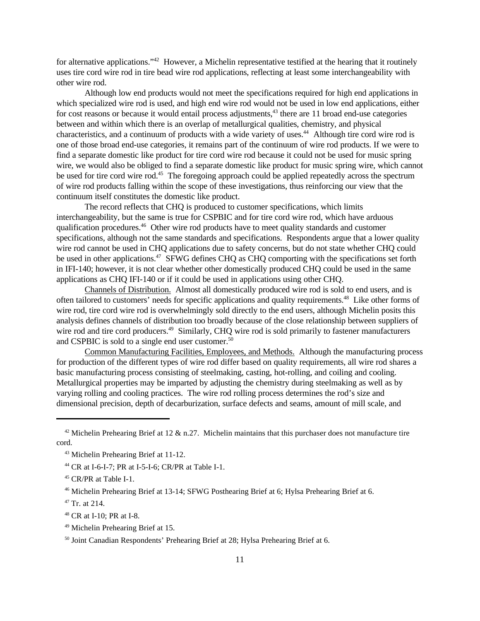for alternative applications."<sup>42</sup> However, a Michelin representative testified at the hearing that it routinely uses tire cord wire rod in tire bead wire rod applications, reflecting at least some interchangeability with other wire rod.

Although low end products would not meet the specifications required for high end applications in which specialized wire rod is used, and high end wire rod would not be used in low end applications, either for cost reasons or because it would entail process adjustments,<sup>43</sup> there are 11 broad end-use categories between and within which there is an overlap of metallurgical qualities, chemistry, and physical characteristics, and a continuum of products with a wide variety of uses.<sup>44</sup> Although tire cord wire rod is one of those broad end-use categories, it remains part of the continuum of wire rod products. If we were to find a separate domestic like product for tire cord wire rod because it could not be used for music spring wire, we would also be obliged to find a separate domestic like product for music spring wire, which cannot be used for tire cord wire rod.<sup>45</sup> The foregoing approach could be applied repeatedly across the spectrum of wire rod products falling within the scope of these investigations, thus reinforcing our view that the continuum itself constitutes the domestic like product.

The record reflects that CHQ is produced to customer specifications, which limits interchangeability, but the same is true for CSPBIC and for tire cord wire rod, which have arduous qualification procedures.<sup>46</sup> Other wire rod products have to meet quality standards and customer specifications, although not the same standards and specifications. Respondents argue that a lower quality wire rod cannot be used in CHQ applications due to safety concerns, but do not state whether CHQ could be used in other applications.<sup>47</sup> SFWG defines CHQ as CHQ comporting with the specifications set forth in IFI-140; however, it is not clear whether other domestically produced CHQ could be used in the same applications as CHQ IFI-140 or if it could be used in applications using other CHQ.

Channels of Distribution. Almost all domestically produced wire rod is sold to end users, and is often tailored to customers' needs for specific applications and quality requirements.<sup>48</sup> Like other forms of wire rod, tire cord wire rod is overwhelmingly sold directly to the end users, although Michelin posits this analysis defines channels of distribution too broadly because of the close relationship between suppliers of wire rod and tire cord producers.<sup>49</sup> Similarly, CHQ wire rod is sold primarily to fastener manufacturers and CSPBIC is sold to a single end user customer.<sup>50</sup>

Common Manufacturing Facilities, Employees, and Methods. Although the manufacturing process for production of the different types of wire rod differ based on quality requirements, all wire rod shares a basic manufacturing process consisting of steelmaking, casting, hot-rolling, and coiling and cooling. Metallurgical properties may be imparted by adjusting the chemistry during steelmaking as well as by varying rolling and cooling practices. The wire rod rolling process determines the rod's size and dimensional precision, depth of decarburization, surface defects and seams, amount of mill scale, and

<sup>&</sup>lt;sup>42</sup> Michelin Prehearing Brief at 12  $\&$  n.27. Michelin maintains that this purchaser does not manufacture tire cord.

<sup>43</sup> Michelin Prehearing Brief at 11-12.

<sup>44</sup> CR at I-6-I-7; PR at I-5-I-6; CR/PR at Table I-1.

<sup>45</sup> CR/PR at Table I-1.

<sup>46</sup> Michelin Prehearing Brief at 13-14; SFWG Posthearing Brief at 6; Hylsa Prehearing Brief at 6.

 $47$  Tr. at 214.

<sup>48</sup> CR at I-10; PR at I-8.

<sup>49</sup> Michelin Prehearing Brief at 15.

<sup>50</sup> Joint Canadian Respondents' Prehearing Brief at 28; Hylsa Prehearing Brief at 6.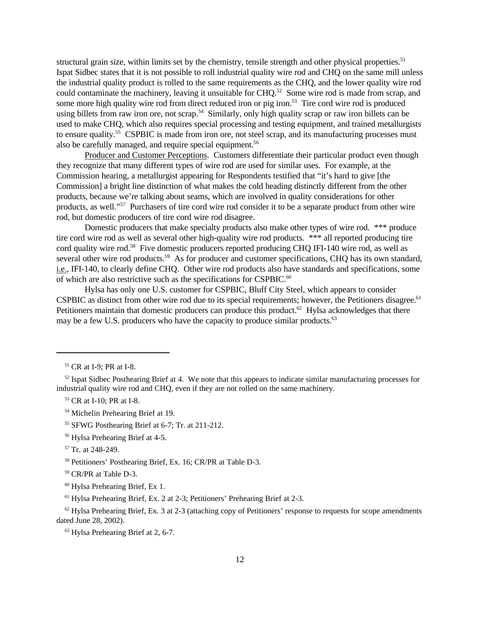structural grain size, within limits set by the chemistry, tensile strength and other physical properties.<sup>51</sup> Ispat Sidbec states that it is not possible to roll industrial quality wire rod and CHQ on the same mill unless the industrial quality product is rolled to the same requirements as the CHQ, and the lower quality wire rod could contaminate the machinery, leaving it unsuitable for CHQ.<sup>52</sup> Some wire rod is made from scrap, and some more high quality wire rod from direct reduced iron or pig iron.<sup>53</sup> Tire cord wire rod is produced using billets from raw iron ore, not scrap.<sup>54</sup> Similarly, only high quality scrap or raw iron billets can be used to make CHQ, which also requires special processing and testing equipment, and trained metallurgists to ensure quality.<sup>55</sup> CSPBIC is made from iron ore, not steel scrap, and its manufacturing processes must also be carefully managed, and require special equipment.<sup>56</sup>

Producer and Customer Perceptions. Customers differentiate their particular product even though they recognize that many different types of wire rod are used for similar uses. For example, at the Commission hearing, a metallurgist appearing for Respondents testified that "it's hard to give [the Commission] a bright line distinction of what makes the cold heading distinctly different from the other products, because we're talking about seams, which are involved in quality considerations for other products, as well."<sup>57</sup> Purchasers of tire cord wire rod consider it to be a separate product from other wire rod, but domestic producers of tire cord wire rod disagree.

Domestic producers that make specialty products also make other types of wire rod. \*\*\* produce tire cord wire rod as well as several other high-quality wire rod products. \*\*\* all reported producing tire cord quality wire rod.<sup>58</sup> Five domestic producers reported producing CHQ IFI-140 wire rod, as well as several other wire rod products.<sup>59</sup> As for producer and customer specifications, CHQ has its own standard, i.e., IFI-140, to clearly define CHQ. Other wire rod products also have standards and specifications, some of which are also restrictive such as the specifications for CSPBIC.<sup>60</sup>

Hylsa has only one U.S. customer for CSPBIC, Bluff City Steel, which appears to consider CSPBIC as distinct from other wire rod due to its special requirements; however, the Petitioners disagree.<sup>61</sup> Petitioners maintain that domestic producers can produce this product.<sup>62</sup> Hylsa acknowledges that there may be a few U.S. producers who have the capacity to produce similar products.<sup>63</sup>

<sup>53</sup> CR at I-10; PR at I-8.

<sup>54</sup> Michelin Prehearing Brief at 19.

<sup>55</sup> SFWG Posthearing Brief at 6-7; Tr. at 211-212.

<sup>56</sup> Hylsa Prehearing Brief at 4-5.

<sup>57</sup> Tr. at 248-249.

<sup>58</sup> Petitioners' Posthearing Brief, Ex. 16; CR/PR at Table D-3.

<sup>59</sup> CR/PR at Table D-3.

<sup>60</sup> Hylsa Prehearing Brief, Ex 1.

 $61$  Hylsa Prehearing Brief, Ex. 2 at 2-3; Petitioners' Prehearing Brief at 2-3.

 $62$  Hylsa Prehearing Brief, Ex. 3 at 2-3 (attaching copy of Petitioners' response to requests for scope amendments dated June 28, 2002).

<sup>63</sup> Hylsa Prehearing Brief at 2, 6-7.

<sup>51</sup> CR at I-9; PR at I-8.

 $52$  Ispat Sidbec Posthearing Brief at 4. We note that this appears to indicate similar manufacturing processes for industrial quality wire rod and CHQ, even if they are not rolled on the same machinery.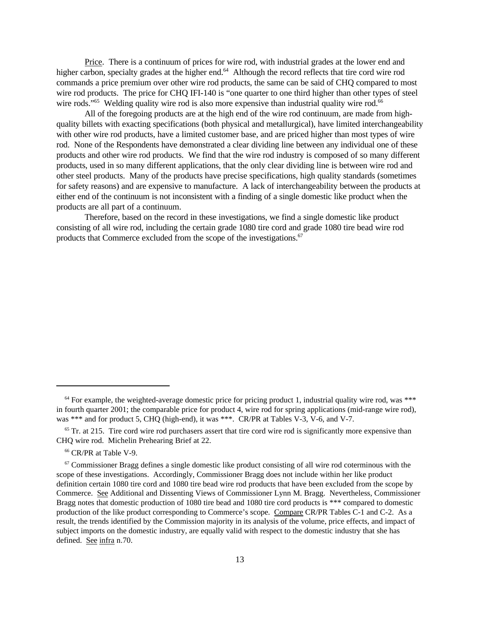Price. There is a continuum of prices for wire rod, with industrial grades at the lower end and higher carbon, specialty grades at the higher end.<sup>64</sup> Although the record reflects that tire cord wire rod commands a price premium over other wire rod products, the same can be said of CHQ compared to most wire rod products. The price for CHQ IFI-140 is "one quarter to one third higher than other types of steel wire rods."<sup>65</sup> Welding quality wire rod is also more expensive than industrial quality wire rod.<sup>66</sup>

All of the foregoing products are at the high end of the wire rod continuum, are made from highquality billets with exacting specifications (both physical and metallurgical), have limited interchangeability with other wire rod products, have a limited customer base, and are priced higher than most types of wire rod. None of the Respondents have demonstrated a clear dividing line between any individual one of these products and other wire rod products. We find that the wire rod industry is composed of so many different products, used in so many different applications, that the only clear dividing line is between wire rod and other steel products. Many of the products have precise specifications, high quality standards (sometimes for safety reasons) and are expensive to manufacture. A lack of interchangeability between the products at either end of the continuum is not inconsistent with a finding of a single domestic like product when the products are all part of a continuum.

Therefore, based on the record in these investigations, we find a single domestic like product consisting of all wire rod, including the certain grade 1080 tire cord and grade 1080 tire bead wire rod products that Commerce excluded from the scope of the investigations.<sup>67</sup>

 $64$  For example, the weighted-average domestic price for pricing product 1, industrial quality wire rod, was  $***$ in fourth quarter 2001; the comparable price for product 4, wire rod for spring applications (mid-range wire rod), was \*\*\* and for product 5, CHQ (high-end), it was \*\*\*. CR/PR at Tables V-3, V-6, and V-7.

 $65$  Tr. at 215. Tire cord wire rod purchasers assert that tire cord wire rod is significantly more expensive than CHQ wire rod. Michelin Prehearing Brief at 22.

<sup>66</sup> CR/PR at Table V-9.

 $67$  Commissioner Bragg defines a single domestic like product consisting of all wire rod coterminous with the scope of these investigations. Accordingly, Commissioner Bragg does not include within her like product definition certain 1080 tire cord and 1080 tire bead wire rod products that have been excluded from the scope by Commerce. See Additional and Dissenting Views of Commissioner Lynn M. Bragg. Nevertheless, Commissioner Bragg notes that domestic production of 1080 tire bead and 1080 tire cord products is \*\*\* compared to domestic production of the like product corresponding to Commerce's scope. Compare CR/PR Tables C-1 and C-2. As a result, the trends identified by the Commission majority in its analysis of the volume, price effects, and impact of subject imports on the domestic industry, are equally valid with respect to the domestic industry that she has defined. See infra n.70.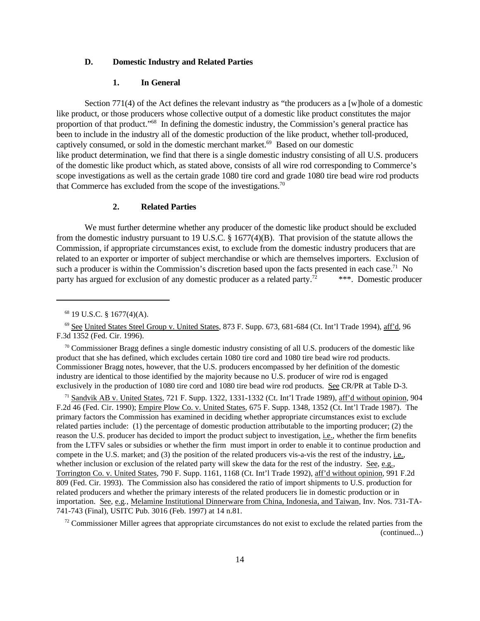# **D. Domestic Industry and Related Parties**

### **1. In General**

Section 771(4) of the Act defines the relevant industry as "the producers as a [w]hole of a domestic like product, or those producers whose collective output of a domestic like product constitutes the major proportion of that product."<sup>68</sup> In defining the domestic industry, the Commission's general practice has been to include in the industry all of the domestic production of the like product, whether toll-produced, captively consumed, or sold in the domestic merchant market.<sup>69</sup> Based on our domestic like product determination, we find that there is a single domestic industry consisting of all U.S. producers of the domestic like product which, as stated above, consists of all wire rod corresponding to Commerce's scope investigations as well as the certain grade 1080 tire cord and grade 1080 tire bead wire rod products that Commerce has excluded from the scope of the investigations.<sup>70</sup>

# **2. Related Parties**

We must further determine whether any producer of the domestic like product should be excluded from the domestic industry pursuant to 19 U.S.C. § 1677(4)(B). That provision of the statute allows the Commission, if appropriate circumstances exist, to exclude from the domestic industry producers that are related to an exporter or importer of subject merchandise or which are themselves importers. Exclusion of such a producer is within the Commission's discretion based upon the facts presented in each case.<sup>71</sup> No party has argued for exclusion of any domestic producer as a related party.<sup>72</sup> \*\*\*. Domestic producer

<sup>71</sup> Sandvik AB v. United States, 721 F. Supp. 1322, 1331-1332 (Ct. Int'l Trade 1989), aff'd without opinion, 904 F.2d 46 (Fed. Cir. 1990); Empire Plow Co. v. United States, 675 F. Supp. 1348, 1352 (Ct. Int'l Trade 1987). The primary factors the Commission has examined in deciding whether appropriate circumstances exist to exclude related parties include: (1) the percentage of domestic production attributable to the importing producer; (2) the reason the U.S. producer has decided to import the product subject to investigation, i.e., whether the firm benefits from the LTFV sales or subsidies or whether the firm must import in order to enable it to continue production and compete in the U.S. market; and (3) the position of the related producers vis-a-vis the rest of the industry, i.e., whether inclusion or exclusion of the related party will skew the data for the rest of the industry. See, e.g., Torrington Co. v. United States, 790 F. Supp. 1161, 1168 (Ct. Int'l Trade 1992), aff'd without opinion, 991 F.2d 809 (Fed. Cir. 1993). The Commission also has considered the ratio of import shipments to U.S. production for related producers and whether the primary interests of the related producers lie in domestic production or in importation. See*,* e.g*.*, Melamine Institutional Dinnerware from China, Indonesia, and Taiwan, Inv. Nos. 731-TA-741-743 (Final), USITC Pub. 3016 (Feb. 1997) at 14 n.81.

 $72$  Commissioner Miller agrees that appropriate circumstances do not exist to exclude the related parties from the (continued...)

<sup>68</sup> 19 U.S.C. § 1677(4)(A).

<sup>69</sup> See United States Steel Group v. United States, 873 F. Supp. 673, 681-684 (Ct. Int'l Trade 1994), aff'd, 96 F.3d 1352 (Fed. Cir. 1996).

 $\frac{70}{10}$  Commissioner Bragg defines a single domestic industry consisting of all U.S. producers of the domestic like product that she has defined, which excludes certain 1080 tire cord and 1080 tire bead wire rod products. Commissioner Bragg notes, however, that the U.S. producers encompassed by her definition of the domestic industry are identical to those identified by the majority because no U.S. producer of wire rod is engaged exclusively in the production of 1080 tire cord and 1080 tire bead wire rod products. See CR/PR at Table D-3.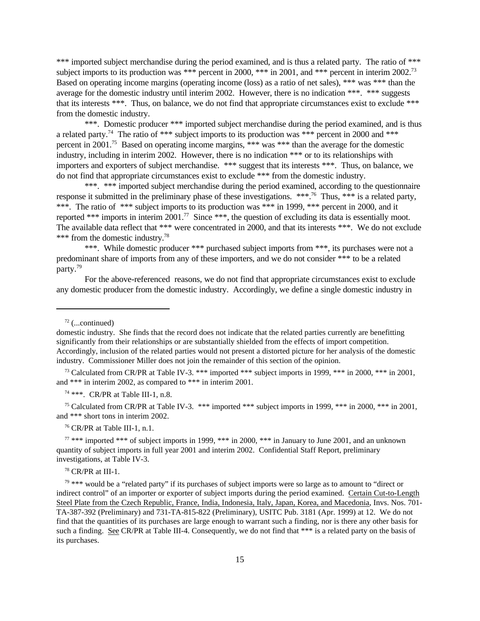\*\*\* imported subject merchandise during the period examined, and is thus a related party. The ratio of \*\*\* subject imports to its production was \*\*\* percent in 2000, \*\*\* in 2001, and \*\*\* percent in interim 2002.<sup>73</sup> Based on operating income margins (operating income (loss) as a ratio of net sales), \*\*\* was \*\*\* than the average for the domestic industry until interim 2002. However, there is no indication \*\*\*. \*\*\* suggests that its interests \*\*\*. Thus, on balance, we do not find that appropriate circumstances exist to exclude \*\*\* from the domestic industry.

\*\*\*. Domestic producer \*\*\* imported subject merchandise during the period examined, and is thus a related party.<sup>74</sup> The ratio of \*\*\* subject imports to its production was \*\*\* percent in 2000 and \*\*\* percent in 2001.<sup>75</sup> Based on operating income margins, \*\*\* was \*\*\* than the average for the domestic industry, including in interim 2002. However, there is no indication \*\*\* or to its relationships with importers and exporters of subject merchandise. \*\*\* suggest that its interests \*\*\*. Thus, on balance, we do not find that appropriate circumstances exist to exclude \*\*\* from the domestic industry.

\*\*\*. \*\*\* imported subject merchandise during the period examined, according to the questionnaire response it submitted in the preliminary phase of these investigations. \*\*\*.<sup>76</sup> Thus, \*\*\* is a related party, \*\*\*. The ratio of \*\*\* subject imports to its production was \*\*\* in 1999, \*\*\* percent in 2000, and it reported \*\*\* imports in interim  $2001$ .<sup>77</sup> Since \*\*\*, the question of excluding its data is essentially moot. The available data reflect that \*\*\* were concentrated in 2000, and that its interests \*\*\*. We do not exclude \*\*\* from the domestic industry.<sup>78</sup>

\*\*\*. While domestic producer \*\*\* purchased subject imports from \*\*\*, its purchases were not a predominant share of imports from any of these importers, and we do not consider \*\*\* to be a related party.<sup>79</sup>

For the above-referenced reasons, we do not find that appropriate circumstances exist to exclude any domestic producer from the domestic industry. Accordingly, we define a single domestic industry in

 $72$  (...continued)

<sup>73</sup> Calculated from CR/PR at Table IV-3. \*\*\* imported \*\*\* subject imports in 1999, \*\*\* in 2000, \*\*\* in 2001, and \*\*\* in interim 2002, as compared to \*\*\* in interim 2001.

<sup>74</sup> \*\*\*. CR/PR at Table III-1, n.8.

<sup>75</sup> Calculated from CR/PR at Table IV-3. \*\*\* imported \*\*\* subject imports in 1999, \*\*\* in 2000, \*\*\* in 2001, and \*\*\* short tons in interim 2002.

 $76$  CR/PR at Table III-1, n.1.

 $77$  \*\*\* imported \*\*\* of subject imports in 1999, \*\*\* in 2000, \*\*\* in January to June 2001, and an unknown quantity of subject imports in full year 2001 and interim 2002. Confidential Staff Report, preliminary investigations, at Table IV-3.

<sup>78</sup> CR/PR at III-1.

 $79$  \*\*\* would be a "related party" if its purchases of subject imports were so large as to amount to "direct or indirect control" of an importer or exporter of subject imports during the period examined. Certain Cut-to-Length Steel Plate from the Czech Republic, France, India, Indonesia, Italy, Japan, Korea, and Macedonia, Invs. Nos. 701- TA-387-392 (Preliminary) and 731-TA-815-822 (Preliminary), USITC Pub. 3181 (Apr. 1999) at 12. We do not find that the quantities of its purchases are large enough to warrant such a finding, nor is there any other basis for such a finding. See CR/PR at Table III-4. Consequently, we do not find that \*\*\* is a related party on the basis of its purchases.

domestic industry. She finds that the record does not indicate that the related parties currently are benefitting significantly from their relationships or are substantially shielded from the effects of import competition. Accordingly, inclusion of the related parties would not present a distorted picture for her analysis of the domestic industry. Commissioner Miller does not join the remainder of this section of the opinion.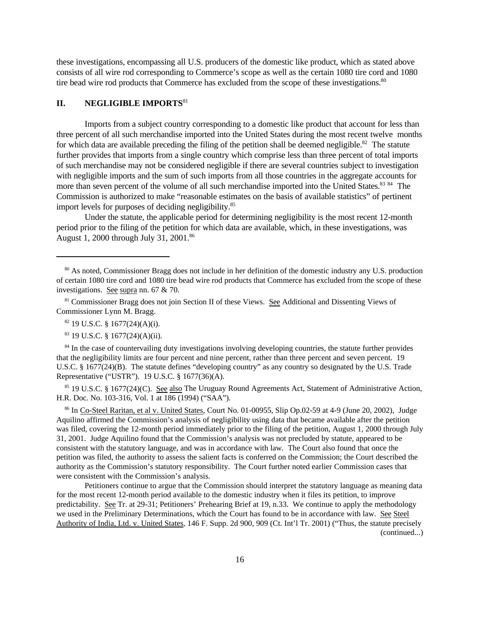these investigations, encompassing all U.S. producers of the domestic like product, which as stated above consists of all wire rod corresponding to Commerce's scope as well as the certain 1080 tire cord and 1080 tire bead wire rod products that Commerce has excluded from the scope of these investigations.<sup>80</sup>

# **II. NEGLIGIBLE IMPORTS**<sup>81</sup>

Imports from a subject country corresponding to a domestic like product that account for less than three percent of all such merchandise imported into the United States during the most recent twelve months for which data are available preceding the filing of the petition shall be deemed negligible.<sup>82</sup> The statute further provides that imports from a single country which comprise less than three percent of total imports of such merchandise may not be considered negligible if there are several countries subject to investigation with negligible imports and the sum of such imports from all those countries in the aggregate accounts for more than seven percent of the volume of all such merchandise imported into the United States.<sup>83 84</sup> The Commission is authorized to make "reasonable estimates on the basis of available statistics" of pertinent import levels for purposes of deciding negligibility.<sup>85</sup>

Under the statute, the applicable period for determining negligibility is the most recent 12-month period prior to the filing of the petition for which data are available, which, in these investigations, was August 1, 2000 through July 31, 2001.86

<sup>84</sup> In the case of countervailing duty investigations involving developing countries, the statute further provides that the negligibility limits are four percent and nine percent, rather than three percent and seven percent. 19 U.S.C. § 1677(24)(B). The statute defines "developing country" as any country so designated by the U.S. Trade Representative ("USTR"). 19 U.S.C. § 1677(36)(A).

<sup>85</sup> 19 U.S.C. § 1677(24)(C). See also The Uruguay Round Agreements Act, Statement of Administrative Action, H.R. Doc. No. 103-316, Vol. 1 at 186 (1994) ("SAA").

<sup>86</sup> In Co-Steel Raritan, et al v. United States, Court No. 01-00955, Slip Op.02-59 at 4-9 (June 20, 2002), Judge Aquilino affirmed the Commission's analysis of negligibility using data that became available after the petition was filed, covering the 12-month period immediately prior to the filing of the petition, August 1, 2000 through July 31, 2001. Judge Aquilino found that the Commission's analysis was not precluded by statute, appeared to be consistent with the statutory language, and was in accordance with law. The Court also found that once the petition was filed, the authority to assess the salient facts is conferred on the Commission; the Court described the authority as the Commission's statutory responsibility. The Court further noted earlier Commission cases that were consistent with the Commission's analysis.

Petitioners continue to argue that the Commission should interpret the statutory language as meaning data for the most recent 12-month period available to the domestic industry when it files its petition, to improve predictability. See Tr. at 29-31; Petitioners' Prehearing Brief at 19, n.33. We continue to apply the methodology we used in the Preliminary Determinations, which the Court has found to be in accordance with law. See Steel Authority of India, Ltd. v. United States, 146 F. Supp. 2d 900, 909 (Ct. Int'l Tr. 2001) ("Thus, the statute precisely (continued...)

<sup>80</sup> As noted, Commissioner Bragg does not include in her definition of the domestic industry any U.S. production of certain 1080 tire cord and 1080 tire bead wire rod products that Commerce has excluded from the scope of these investigations. See supra nn. 67 & 70.

<sup>81</sup> Commissioner Bragg does not join Section II of these Views. See Additional and Dissenting Views of Commissioner Lynn M. Bragg.

 $82$  19 U.S.C. § 1677(24)(A)(i).

 $83$  19 U.S.C. § 1677(24)(A)(ii).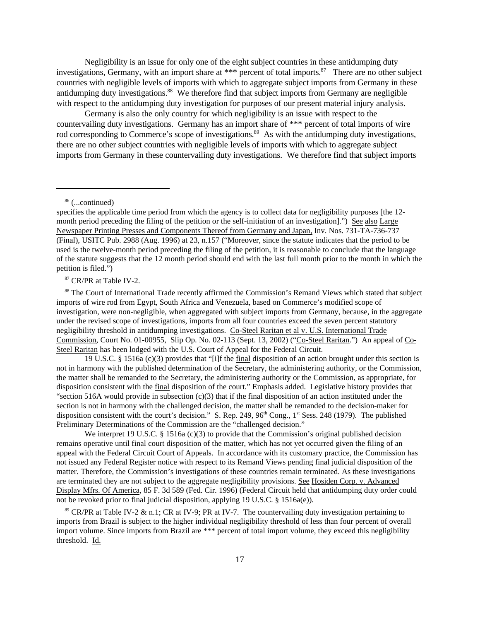Negligibility is an issue for only one of the eight subject countries in these antidumping duty investigations, Germany, with an import share at \*\*\* percent of total imports.<sup>87</sup> There are no other subject countries with negligible levels of imports with which to aggregate subject imports from Germany in these antidumping duty investigations.<sup>88</sup> We therefore find that subject imports from Germany are negligible with respect to the antidumping duty investigation for purposes of our present material injury analysis.

Germany is also the only country for which negligibility is an issue with respect to the countervailing duty investigations. Germany has an import share of \*\*\* percent of total imports of wire rod corresponding to Commerce's scope of investigations.<sup>89</sup> As with the antidumping duty investigations, there are no other subject countries with negligible levels of imports with which to aggregate subject imports from Germany in these countervailing duty investigations. We therefore find that subject imports

<sup>86</sup> (...continued)

<sup>87</sup> CR/PR at Table IV-2.

88 The Court of International Trade recently affirmed the Commission's Remand Views which stated that subject imports of wire rod from Egypt, South Africa and Venezuela, based on Commerce's modified scope of investigation, were non-negligible, when aggregated with subject imports from Germany, because, in the aggregate under the revised scope of investigations, imports from all four countries exceed the seven percent statutory negligibility threshold in antidumping investigations. Co-Steel Raritan et al v. U.S. International Trade Commission, Court No. 01-00955, Slip Op. No. 02-113 (Sept. 13, 2002) ("Co-Steel Raritan.") An appeal of Co-Steel Raritan has been lodged with the U.S. Court of Appeal for the Federal Circuit.

19 U.S.C. § 1516a (c)(3) provides that "[i]f the final disposition of an action brought under this section is not in harmony with the published determination of the Secretary, the administering authority, or the Commission, the matter shall be remanded to the Secretary, the administering authority or the Commission, as appropriate, for disposition consistent with the final disposition of the court." Emphasis added. Legislative history provides that "section 516A would provide in subsection  $(c)(3)$  that if the final disposition of an action instituted under the section is not in harmony with the challenged decision, the matter shall be remanded to the decision-maker for disposition consistent with the court's decision." S. Rep. 249, 96<sup>th</sup> Cong., 1<sup>st</sup> Sess. 248 (1979). The published Preliminary Determinations of the Commission are the "challenged decision."

We interpret 19 U.S.C. § 1516a (c)(3) to provide that the Commission's original published decision remains operative until final court disposition of the matter, which has not yet occurred given the filing of an appeal with the Federal Circuit Court of Appeals. In accordance with its customary practice, the Commission has not issued any Federal Register notice with respect to its Remand Views pending final judicial disposition of the matter. Therefore, the Commission's investigations of these countries remain terminated. As these investigations are terminated they are not subject to the aggregate negligibility provisions. See Hosiden Corp. v. Advanced Display Mfrs. Of America, 85 F. 3d 589 (Fed. Cir. 1996) (Federal Circuit held that antidumping duty order could not be revoked prior to final judicial disposition, applying 19 U.S.C. § 1516a(e)).

<sup>89</sup> CR/PR at Table IV-2  $\&$  n.1; CR at IV-9; PR at IV-7. The countervailing duty investigation pertaining to imports from Brazil is subject to the higher individual negligibility threshold of less than four percent of overall import volume. Since imports from Brazil are \*\*\* percent of total import volume, they exceed this negligibility threshold. Id.

specifies the applicable time period from which the agency is to collect data for negligibility purposes [the 12 month period preceding the filing of the petition or the self-initiation of an investigation].") See also Large Newspaper Printing Presses and Components Thereof from Germany and Japan, Inv. Nos. 731-TA-736-737 (Final), USITC Pub. 2988 (Aug. 1996) at 23, n.157 ("Moreover, since the statute indicates that the period to be used is the twelve-month period preceding the filing of the petition, it is reasonable to conclude that the language of the statute suggests that the 12 month period should end with the last full month prior to the month in which the petition is filed.")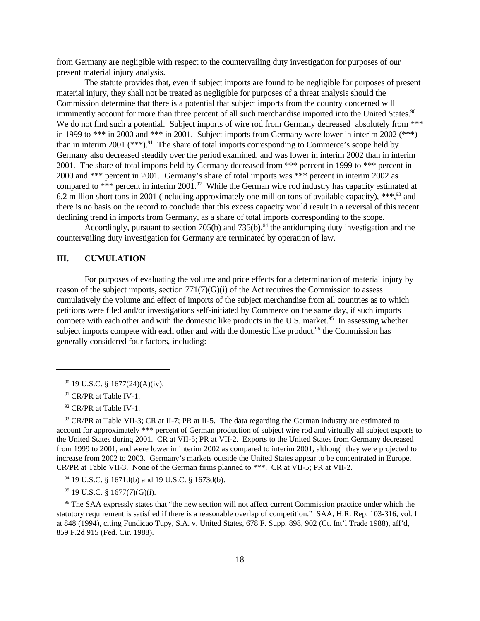from Germany are negligible with respect to the countervailing duty investigation for purposes of our present material injury analysis.

The statute provides that, even if subject imports are found to be negligible for purposes of present material injury, they shall not be treated as negligible for purposes of a threat analysis should the Commission determine that there is a potential that subject imports from the country concerned will imminently account for more than three percent of all such merchandise imported into the United States.<sup>90</sup> We do not find such a potential. Subject imports of wire rod from Germany decreased absolutely from \*\*\* in 1999 to \*\*\* in 2000 and \*\*\* in 2001. Subject imports from Germany were lower in interim 2002 (\*\*\*) than in interim 2001  $(***)$ <sup>91</sup>. The share of total imports corresponding to Commerce's scope held by Germany also decreased steadily over the period examined, and was lower in interim 2002 than in interim 2001. The share of total imports held by Germany decreased from \*\*\* percent in 1999 to \*\*\* percent in 2000 and \*\*\* percent in 2001. Germany's share of total imports was \*\*\* percent in interim 2002 as compared to \*\*\* percent in interim 2001.<sup>92</sup> While the German wire rod industry has capacity estimated at 6.2 million short tons in 2001 (including approximately one million tons of available capacity),  $***$ ,  $93$  and there is no basis on the record to conclude that this excess capacity would result in a reversal of this recent declining trend in imports from Germany, as a share of total imports corresponding to the scope.

Accordingly, pursuant to section 705(b) and 735(b),  $94$  the antidumping duty investigation and the countervailing duty investigation for Germany are terminated by operation of law.

# **III. CUMULATION**

For purposes of evaluating the volume and price effects for a determination of material injury by reason of the subject imports, section  $771(7)(G)(i)$  of the Act requires the Commission to assess cumulatively the volume and effect of imports of the subject merchandise from all countries as to which petitions were filed and/or investigations self-initiated by Commerce on the same day, if such imports compete with each other and with the domestic like products in the U.S. market.<sup>95</sup> In assessing whether subject imports compete with each other and with the domestic like product,  $96$  the Commission has generally considered four factors, including:

 $93$  CR/PR at Table VII-3; CR at II-7; PR at II-5. The data regarding the German industry are estimated to account for approximately \*\*\* percent of German production of subject wire rod and virtually all subject exports to the United States during 2001. CR at VII-5; PR at VII-2. Exports to the United States from Germany decreased from 1999 to 2001, and were lower in interim 2002 as compared to interim 2001, although they were projected to increase from 2002 to 2003. Germany's markets outside the United States appear to be concentrated in Europe. CR/PR at Table VII-3. None of the German firms planned to \*\*\*. CR at VII-5; PR at VII-2.

<sup>94</sup> 19 U.S.C. § 1671d(b) and 19 U.S.C. § 1673d(b).

 $95$  19 U.S.C. § 1677(7)(G)(i).

<sup>96</sup> The SAA expressly states that "the new section will not affect current Commission practice under which the statutory requirement is satisfied if there is a reasonable overlap of competition." SAA, H.R. Rep. 103-316, vol. I at 848 (1994), citing Fundicao Tupy, S.A. v. United States, 678 F. Supp. 898, 902 (Ct. Int'l Trade 1988), aff'd, 859 F.2d 915 (Fed. Cir. 1988).

 $90$  19 U.S.C. § 1677(24)(A)(iv).

<sup>&</sup>lt;sup>91</sup> CR/PR at Table IV-1.

<sup>&</sup>lt;sup>92</sup> CR/PR at Table IV-1.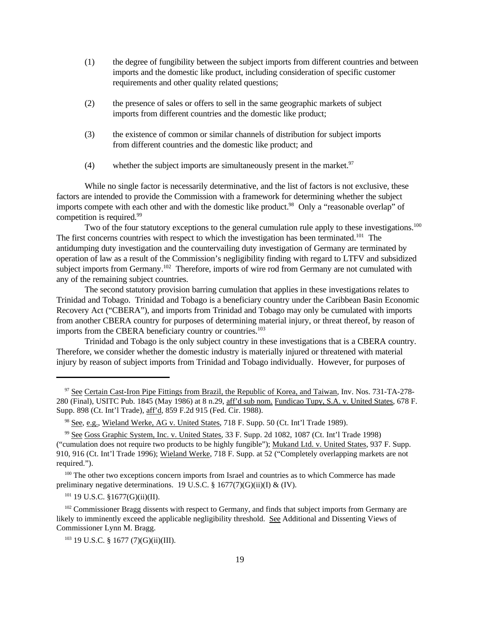- (1) the degree of fungibility between the subject imports from different countries and between imports and the domestic like product, including consideration of specific customer requirements and other quality related questions;
- (2) the presence of sales or offers to sell in the same geographic markets of subject imports from different countries and the domestic like product;
- (3) the existence of common or similar channels of distribution for subject imports from different countries and the domestic like product; and
- (4) whether the subject imports are simultaneously present in the market.<sup>97</sup>

While no single factor is necessarily determinative, and the list of factors is not exclusive, these factors are intended to provide the Commission with a framework for determining whether the subject imports compete with each other and with the domestic like product.<sup>98</sup> Only a "reasonable overlap" of competition is required.<sup>99</sup>

Two of the four statutory exceptions to the general cumulation rule apply to these investigations.<sup>100</sup> The first concerns countries with respect to which the investigation has been terminated.<sup>101</sup> The antidumping duty investigation and the countervailing duty investigation of Germany are terminated by operation of law as a result of the Commission's negligibility finding with regard to LTFV and subsidized subject imports from Germany.<sup>102</sup> Therefore, imports of wire rod from Germany are not cumulated with any of the remaining subject countries.

The second statutory provision barring cumulation that applies in these investigations relates to Trinidad and Tobago. Trinidad and Tobago is a beneficiary country under the Caribbean Basin Economic Recovery Act ("CBERA"), and imports from Trinidad and Tobago may only be cumulated with imports from another CBERA country for purposes of determining material injury, or threat thereof, by reason of imports from the CBERA beneficiary country or countries.<sup>103</sup>

Trinidad and Tobago is the only subject country in these investigations that is a CBERA country. Therefore, we consider whether the domestic industry is materially injured or threatened with material injury by reason of subject imports from Trinidad and Tobago individually. However, for purposes of

<sup>100</sup> The other two exceptions concern imports from Israel and countries as to which Commerce has made preliminary negative determinations. 19 U.S.C.  $\S$  1677(7)(G)(ii)(I) & (IV).

 $101$  19 U.S.C. §1677(G)(ii)(II).

<sup>102</sup> Commissioner Bragg dissents with respect to Germany, and finds that subject imports from Germany are likely to imminently exceed the applicable negligibility threshold. See Additional and Dissenting Views of Commissioner Lynn M. Bragg.

<sup>97</sup> See Certain Cast-Iron Pipe Fittings from Brazil, the Republic of Korea, and Taiwan, Inv. Nos. 731-TA-278- 280 (Final), USITC Pub. 1845 (May 1986) at 8 n.29, aff'd sub nom. Fundicao Tupy, S.A. v. United States, 678 F. Supp. 898 (Ct. Int'l Trade), aff'd, 859 F.2d 915 (Fed. Cir. 1988).

<sup>98</sup> See, e.g., Wieland Werke, AG v. United States, 718 F. Supp. 50 (Ct. Int'l Trade 1989).

<sup>99</sup> See Goss Graphic System, Inc. v. United States, 33 F. Supp. 2d 1082, 1087 (Ct. Int'l Trade 1998) ("cumulation does not require two products to be highly fungible"); Mukand Ltd. v. United States, 937 F. Supp. 910, 916 (Ct. Int'l Trade 1996); Wieland Werke, 718 F. Supp. at 52 ("Completely overlapping markets are not required.").

<sup>103</sup> 19 U.S.C. § 1677 (7)(G)(ii)(III).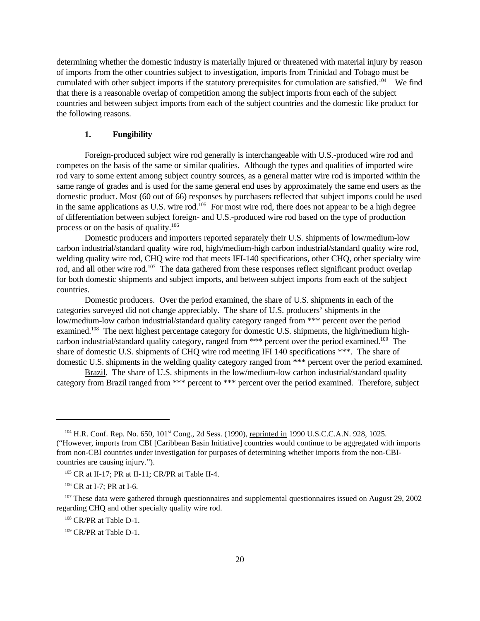determining whether the domestic industry is materially injured or threatened with material injury by reason of imports from the other countries subject to investigation, imports from Trinidad and Tobago must be cumulated with other subject imports if the statutory prerequisites for cumulation are satisfied.<sup>104</sup> We find that there is a reasonable overlap of competition among the subject imports from each of the subject countries and between subject imports from each of the subject countries and the domestic like product for the following reasons.

# **1. Fungibility**

Foreign-produced subject wire rod generally is interchangeable with U.S.-produced wire rod and competes on the basis of the same or similar qualities. Although the types and qualities of imported wire rod vary to some extent among subject country sources, as a general matter wire rod is imported within the same range of grades and is used for the same general end uses by approximately the same end users as the domestic product. Most (60 out of 66) responses by purchasers reflected that subject imports could be used in the same applications as U.S. wire rod.<sup>105</sup> For most wire rod, there does not appear to be a high degree of differentiation between subject foreign- and U.S.-produced wire rod based on the type of production process or on the basis of quality. $106$ 

Domestic producers and importers reported separately their U.S. shipments of low/medium-low carbon industrial/standard quality wire rod, high/medium-high carbon industrial/standard quality wire rod, welding quality wire rod, CHQ wire rod that meets IFI-140 specifications, other CHQ, other specialty wire rod, and all other wire rod.<sup>107</sup> The data gathered from these responses reflect significant product overlap for both domestic shipments and subject imports, and between subject imports from each of the subject countries.

Domestic producers. Over the period examined, the share of U.S. shipments in each of the categories surveyed did not change appreciably. The share of U.S. producers' shipments in the low/medium-low carbon industrial/standard quality category ranged from \*\*\* percent over the period examined.<sup>108</sup> The next highest percentage category for domestic U.S. shipments, the high/medium highcarbon industrial/standard quality category, ranged from \*\*\* percent over the period examined.<sup>109</sup> The share of domestic U.S. shipments of CHQ wire rod meeting IFI 140 specifications \*\*\*. The share of domestic U.S. shipments in the welding quality category ranged from \*\*\* percent over the period examined.

Brazil. The share of U.S. shipments in the low/medium-low carbon industrial/standard quality category from Brazil ranged from \*\*\* percent to \*\*\* percent over the period examined. Therefore, subject

<sup>&</sup>lt;sup>104</sup> H.R. Conf. Rep. No. 650, 101<sup>st</sup> Cong., 2d Sess. (1990), reprinted in 1990 U.S.C.C.A.N. 928, 1025. ("However, imports from CBI [Caribbean Basin Initiative] countries would continue to be aggregated with imports from non-CBI countries under investigation for purposes of determining whether imports from the non-CBIcountries are causing injury.").

<sup>105</sup> CR at II-17; PR at II-11; CR/PR at Table II-4.

<sup>&</sup>lt;sup>106</sup> CR at I-7; PR at I-6.

<sup>&</sup>lt;sup>107</sup> These data were gathered through questionnaires and supplemental questionnaires issued on August 29, 2002 regarding CHQ and other specialty quality wire rod.

<sup>108</sup> CR/PR at Table D-1.

<sup>109</sup> CR/PR at Table D-1.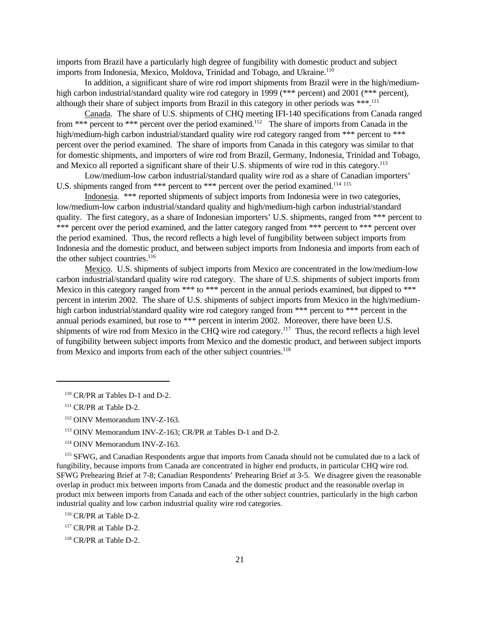imports from Brazil have a particularly high degree of fungibility with domestic product and subject imports from Indonesia, Mexico, Moldova, Trinidad and Tobago, and Ukraine.<sup>110</sup>

In addition, a significant share of wire rod import shipments from Brazil were in the high/mediumhigh carbon industrial/standard quality wire rod category in 1999 (\*\*\* percent) and 2001 (\*\*\* percent), although their share of subject imports from Brazil in this category in other periods was \*\*\*.<sup>111</sup>

Canada. The share of U.S. shipments of CHQ meeting IFI-140 specifications from Canada ranged from \*\*\* percent to \*\*\* percent over the period examined.<sup>112</sup> The share of imports from Canada in the high/medium-high carbon industrial/standard quality wire rod category ranged from \*\*\* percent to \*\*\* percent over the period examined. The share of imports from Canada in this category was similar to that for domestic shipments, and importers of wire rod from Brazil, Germany, Indonesia, Trinidad and Tobago, and Mexico all reported a significant share of their U.S. shipments of wire rod in this category.<sup>113</sup>

Low/medium-low carbon industrial/standard quality wire rod as a share of Canadian importers' U.S. shipments ranged from \*\*\* percent to \*\*\* percent over the period examined.<sup>114 115</sup>

Indonesia. \*\*\* reported shipments of subject imports from Indonesia were in two categories, low/medium-low carbon industrial/standard quality and high/medium-high carbon industrial/standard quality. The first category, as a share of Indonesian importers' U.S. shipments, ranged from \*\*\* percent to \*\*\* percent over the period examined, and the latter category ranged from \*\*\* percent to \*\*\* percent over the period examined. Thus, the record reflects a high level of fungibility between subject imports from Indonesia and the domestic product, and between subject imports from Indonesia and imports from each of the other subject countries.<sup>116</sup>

Mexico. U.S. shipments of subject imports from Mexico are concentrated in the low/medium-low carbon industrial/standard quality wire rod category. The share of U.S. shipments of subject imports from Mexico in this category ranged from \*\*\* to \*\*\* percent in the annual periods examined, but dipped to \*\*\* percent in interim 2002. The share of U.S. shipments of subject imports from Mexico in the high/mediumhigh carbon industrial/standard quality wire rod category ranged from \*\*\* percent to \*\*\* percent in the annual periods examined, but rose to \*\*\* percent in interim 2002. Moreover, there have been U.S. shipments of wire rod from Mexico in the CHQ wire rod category.<sup>117</sup> Thus, the record reflects a high level of fungibility between subject imports from Mexico and the domestic product, and between subject imports from Mexico and imports from each of the other subject countries.<sup>118</sup>

<sup>115</sup> SFWG, and Canadian Respondents argue that imports from Canada should not be cumulated due to a lack of fungibility, because imports from Canada are concentrated in higher end products, in particular CHQ wire rod. SFWG Prehearing Brief at 7-8; Canadian Respondents' Prehearing Brief at 3-5. We disagree given the reasonable overlap in product mix between imports from Canada and the domestic product and the reasonable overlap in product mix between imports from Canada and each of the other subject countries, particularly in the high carbon industrial quality and low carbon industrial quality wire rod categories.

<sup>110</sup> CR/PR at Tables D-1 and D-2.

<sup>&</sup>lt;sup>111</sup> CR/PR at Table D-2.

<sup>112</sup> OINV Memorandum INV-Z-163.

<sup>113</sup> OINV Memorandum INV-Z-163; CR/PR at Tables D-1 and D-2.

<sup>114</sup> OINV Memorandum INV-Z-163.

<sup>116</sup> CR/PR at Table D-2.

<sup>117</sup> CR/PR at Table D-2.

<sup>118</sup> CR/PR at Table D-2.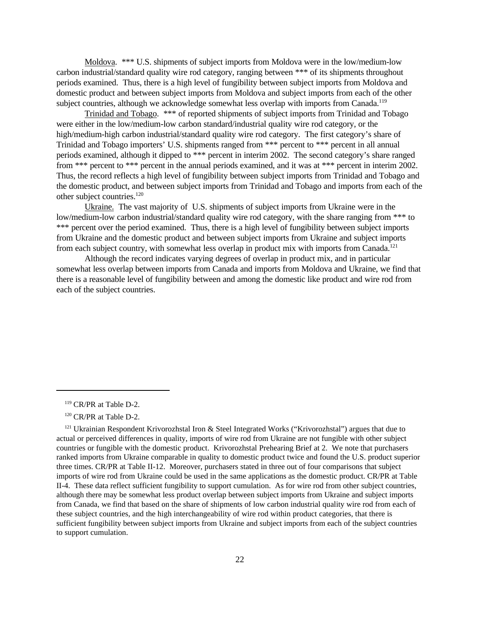Moldova. \*\*\* U.S. shipments of subject imports from Moldova were in the low/medium-low carbon industrial/standard quality wire rod category, ranging between \*\*\* of its shipments throughout periods examined. Thus, there is a high level of fungibility between subject imports from Moldova and domestic product and between subject imports from Moldova and subject imports from each of the other subject countries, although we acknowledge somewhat less overlap with imports from Canada.<sup>119</sup>

Trinidad and Tobago. \*\*\* of reported shipments of subject imports from Trinidad and Tobago were either in the low/medium-low carbon standard/industrial quality wire rod category, or the high/medium-high carbon industrial/standard quality wire rod category. The first category's share of Trinidad and Tobago importers' U.S. shipments ranged from \*\*\* percent to \*\*\* percent in all annual periods examined, although it dipped to \*\*\* percent in interim 2002. The second category's share ranged from \*\*\* percent to \*\*\* percent in the annual periods examined, and it was at \*\*\* percent in interim 2002. Thus, the record reflects a high level of fungibility between subject imports from Trinidad and Tobago and the domestic product, and between subject imports from Trinidad and Tobago and imports from each of the other subject countries.<sup>120</sup>

Ukraine. The vast majority of U.S. shipments of subject imports from Ukraine were in the low/medium-low carbon industrial/standard quality wire rod category, with the share ranging from \*\*\* to \*\*\* percent over the period examined. Thus, there is a high level of fungibility between subject imports from Ukraine and the domestic product and between subject imports from Ukraine and subject imports from each subject country, with somewhat less overlap in product mix with imports from Canada.<sup>121</sup>

Although the record indicates varying degrees of overlap in product mix, and in particular somewhat less overlap between imports from Canada and imports from Moldova and Ukraine, we find that there is a reasonable level of fungibility between and among the domestic like product and wire rod from each of the subject countries.

<sup>119</sup> CR/PR at Table D-2.

<sup>120</sup> CR/PR at Table D-2.

 $121$  Ukrainian Respondent Krivorozhstal Iron & Steel Integrated Works ("Krivorozhstal") argues that due to actual or perceived differences in quality, imports of wire rod from Ukraine are not fungible with other subject countries or fungible with the domestic product. Krivorozhstal Prehearing Brief at 2. We note that purchasers ranked imports from Ukraine comparable in quality to domestic product twice and found the U.S. product superior three times. CR/PR at Table II-12. Moreover, purchasers stated in three out of four comparisons that subject imports of wire rod from Ukraine could be used in the same applications as the domestic product. CR/PR at Table II-4. These data reflect sufficient fungibility to support cumulation. As for wire rod from other subject countries, although there may be somewhat less product overlap between subject imports from Ukraine and subject imports from Canada, we find that based on the share of shipments of low carbon industrial quality wire rod from each of these subject countries, and the high interchangeability of wire rod within product categories, that there is sufficient fungibility between subject imports from Ukraine and subject imports from each of the subject countries to support cumulation.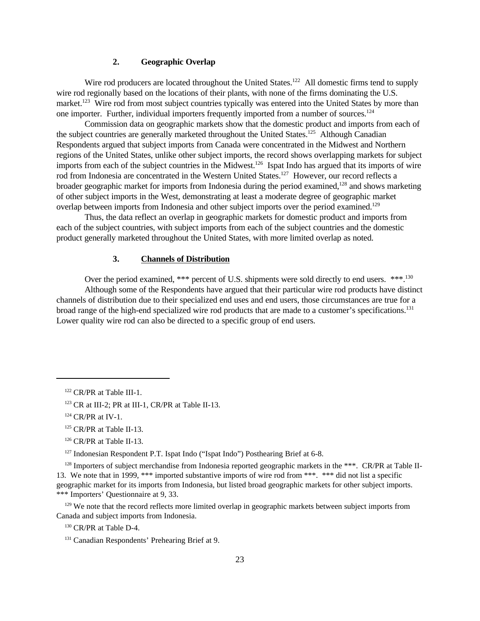# **2. Geographic Overlap**

Wire rod producers are located throughout the United States.<sup>122</sup> All domestic firms tend to supply wire rod regionally based on the locations of their plants, with none of the firms dominating the U.S. market.<sup>123</sup> Wire rod from most subject countries typically was entered into the United States by more than one importer. Further, individual importers frequently imported from a number of sources.<sup>124</sup>

Commission data on geographic markets show that the domestic product and imports from each of the subject countries are generally marketed throughout the United States.<sup>125</sup> Although Canadian Respondents argued that subject imports from Canada were concentrated in the Midwest and Northern regions of the United States, unlike other subject imports, the record shows overlapping markets for subject imports from each of the subject countries in the Midwest.<sup>126</sup> Ispat Indo has argued that its imports of wire rod from Indonesia are concentrated in the Western United States.<sup>127</sup> However, our record reflects a broader geographic market for imports from Indonesia during the period examined,<sup>128</sup> and shows marketing of other subject imports in the West, demonstrating at least a moderate degree of geographic market overlap between imports from Indonesia and other subject imports over the period examined.<sup>129</sup>

Thus, the data reflect an overlap in geographic markets for domestic product and imports from each of the subject countries, with subject imports from each of the subject countries and the domestic product generally marketed throughout the United States, with more limited overlap as noted.

### **3. Channels of Distribution**

Over the period examined, \*\*\* percent of U.S. shipments were sold directly to end users. \*\*\*.<sup>130</sup> Although some of the Respondents have argued that their particular wire rod products have distinct channels of distribution due to their specialized end uses and end users, those circumstances are true for a broad range of the high-end specialized wire rod products that are made to a customer's specifications.<sup>131</sup> Lower quality wire rod can also be directed to a specific group of end users.

<sup>129</sup> We note that the record reflects more limited overlap in geographic markets between subject imports from Canada and subject imports from Indonesia.

<sup>130</sup> CR/PR at Table D-4.

<sup>122</sup> CR/PR at Table III-1.

 $123$  CR at III-2; PR at III-1, CR/PR at Table II-13.

<sup>&</sup>lt;sup>124</sup> CR/PR at IV-1.

<sup>&</sup>lt;sup>125</sup> CR/PR at Table II-13.

<sup>&</sup>lt;sup>126</sup> CR/PR at Table II-13.

<sup>&</sup>lt;sup>127</sup> Indonesian Respondent P.T. Ispat Indo ("Ispat Indo") Posthearing Brief at 6-8.

 $128$  Importers of subject merchandise from Indonesia reported geographic markets in the \*\*\*. CR/PR at Table II-13. We note that in 1999, \*\*\* imported substantive imports of wire rod from \*\*\*. \*\*\* did not list a specific geographic market for its imports from Indonesia, but listed broad geographic markets for other subject imports. \*\*\* Importers' Questionnaire at 9, 33.

<sup>&</sup>lt;sup>131</sup> Canadian Respondents' Prehearing Brief at 9.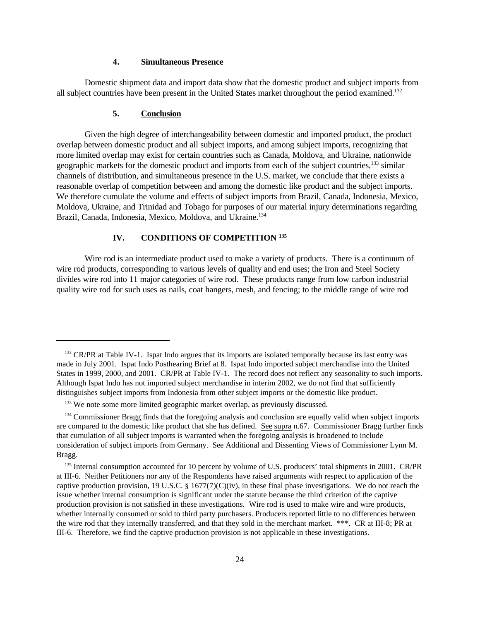# **4. Simultaneous Presence**

Domestic shipment data and import data show that the domestic product and subject imports from all subject countries have been present in the United States market throughout the period examined.<sup>132</sup>

#### **5. Conclusion**

Given the high degree of interchangeability between domestic and imported product, the product overlap between domestic product and all subject imports, and among subject imports, recognizing that more limited overlap may exist for certain countries such as Canada, Moldova, and Ukraine, nationwide geographic markets for the domestic product and imports from each of the subject countries,<sup>133</sup> similar channels of distribution, and simultaneous presence in the U.S. market, we conclude that there exists a reasonable overlap of competition between and among the domestic like product and the subject imports. We therefore cumulate the volume and effects of subject imports from Brazil, Canada, Indonesia, Mexico, Moldova, Ukraine, and Trinidad and Tobago for purposes of our material injury determinations regarding Brazil, Canada, Indonesia, Mexico, Moldova, and Ukraine.<sup>134</sup>

# **IV. CONDITIONS OF COMPETITION <sup>135</sup>**

Wire rod is an intermediate product used to make a variety of products. There is a continuum of wire rod products, corresponding to various levels of quality and end uses; the Iron and Steel Society divides wire rod into 11 major categories of wire rod. These products range from low carbon industrial quality wire rod for such uses as nails, coat hangers, mesh, and fencing; to the middle range of wire rod

<sup>&</sup>lt;sup>132</sup> CR/PR at Table IV-1. Ispat Indo argues that its imports are isolated temporally because its last entry was made in July 2001. Ispat Indo Posthearing Brief at 8. Ispat Indo imported subject merchandise into the United States in 1999, 2000, and 2001. CR/PR at Table IV-1. The record does not reflect any seasonality to such imports. Although Ispat Indo has not imported subject merchandise in interim 2002, we do not find that sufficiently distinguishes subject imports from Indonesia from other subject imports or the domestic like product.

 $133$  We note some more limited geographic market overlap, as previously discussed.

<sup>&</sup>lt;sup>134</sup> Commissioner Bragg finds that the foregoing analysis and conclusion are equally valid when subject imports are compared to the domestic like product that she has defined. See supra n.67. Commissioner Bragg further finds that cumulation of all subject imports is warranted when the foregoing analysis is broadened to include consideration of subject imports from Germany. See Additional and Dissenting Views of Commissioner Lynn M. Bragg.

<sup>&</sup>lt;sup>135</sup> Internal consumption accounted for 10 percent by volume of U.S. producers' total shipments in 2001. CR/PR at III-6. Neither Petitioners nor any of the Respondents have raised arguments with respect to application of the captive production provision, 19 U.S.C. § 1677(7)(C)(iv), in these final phase investigations. We do not reach the issue whether internal consumption is significant under the statute because the third criterion of the captive production provision is not satisfied in these investigations. Wire rod is used to make wire and wire products, whether internally consumed or sold to third party purchasers. Producers reported little to no differences between the wire rod that they internally transferred, and that they sold in the merchant market. \*\*\*. CR at III-8; PR at III-6. Therefore, we find the captive production provision is not applicable in these investigations.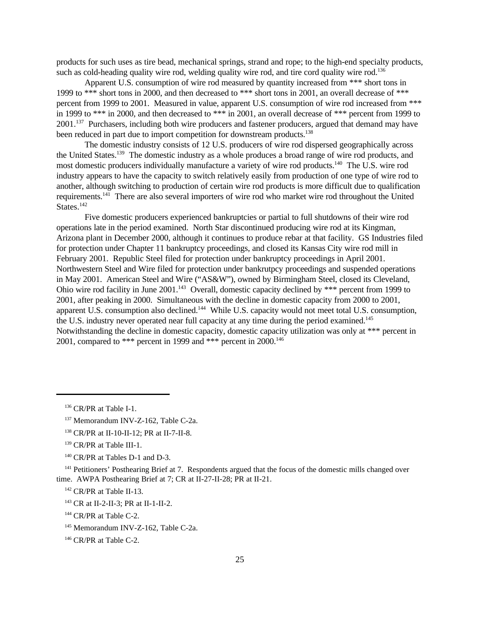products for such uses as tire bead, mechanical springs, strand and rope; to the high-end specialty products, such as cold-heading quality wire rod, welding quality wire rod, and tire cord quality wire rod.<sup>136</sup>

Apparent U.S. consumption of wire rod measured by quantity increased from \*\*\* short tons in 1999 to \*\*\* short tons in 2000, and then decreased to \*\*\* short tons in 2001, an overall decrease of \*\*\* percent from 1999 to 2001. Measured in value, apparent U.S. consumption of wire rod increased from \*\*\* in 1999 to \*\*\* in 2000, and then decreased to \*\*\* in 2001, an overall decrease of \*\*\* percent from 1999 to 2001.<sup>137</sup> Purchasers, including both wire producers and fastener producers, argued that demand may have been reduced in part due to import competition for downstream products.<sup>138</sup>

The domestic industry consists of 12 U.S. producers of wire rod dispersed geographically across the United States.<sup>139</sup> The domestic industry as a whole produces a broad range of wire rod products, and most domestic producers individually manufacture a variety of wire rod products.<sup>140</sup> The U.S. wire rod industry appears to have the capacity to switch relatively easily from production of one type of wire rod to another, although switching to production of certain wire rod products is more difficult due to qualification requirements.<sup>141</sup> There are also several importers of wire rod who market wire rod throughout the United States<sup>142</sup>

Five domestic producers experienced bankruptcies or partial to full shutdowns of their wire rod operations late in the period examined. North Star discontinued producing wire rod at its Kingman, Arizona plant in December 2000, although it continues to produce rebar at that facility. GS Industries filed for protection under Chapter 11 bankruptcy proceedings, and closed its Kansas City wire rod mill in February 2001. Republic Steel filed for protection under bankruptcy proceedings in April 2001. Northwestern Steel and Wire filed for protection under bankrutpcy proceedings and suspended operations in May 2001. American Steel and Wire ("AS&W"), owned by Birmingham Steel, closed its Cleveland, Ohio wire rod facility in June 2001.<sup>143</sup> Overall, domestic capacity declined by \*\*\* percent from 1999 to 2001, after peaking in 2000. Simultaneous with the decline in domestic capacity from 2000 to 2001, apparent U.S. consumption also declined.<sup>144</sup> While U.S. capacity would not meet total U.S. consumption, the U.S. industry never operated near full capacity at any time during the period examined.<sup>145</sup> Notwithstanding the decline in domestic capacity, domestic capacity utilization was only at \*\*\* percent in 2001, compared to \*\*\* percent in 1999 and \*\*\* percent in  $2000$ .<sup>146</sup>

<sup>&</sup>lt;sup>136</sup> CR/PR at Table I-1.

<sup>&</sup>lt;sup>137</sup> Memorandum INV-Z-162, Table C-2a.

<sup>138</sup> CR/PR at II-10-II-12; PR at II-7-II-8.

<sup>&</sup>lt;sup>139</sup> CR/PR at Table III-1.

<sup>&</sup>lt;sup>140</sup> CR/PR at Tables D-1 and D-3.

<sup>&</sup>lt;sup>141</sup> Petitioners' Posthearing Brief at 7. Respondents argued that the focus of the domestic mills changed over time. AWPA Posthearing Brief at 7; CR at II-27-II-28; PR at II-21.

<sup>&</sup>lt;sup>142</sup> CR/PR at Table II-13.

<sup>&</sup>lt;sup>143</sup> CR at II-2-II-3; PR at II-1-II-2.

<sup>&</sup>lt;sup>144</sup> CR/PR at Table C-2.

<sup>&</sup>lt;sup>145</sup> Memorandum INV-Z-162, Table C-2a.

<sup>&</sup>lt;sup>146</sup> CR/PR at Table C-2.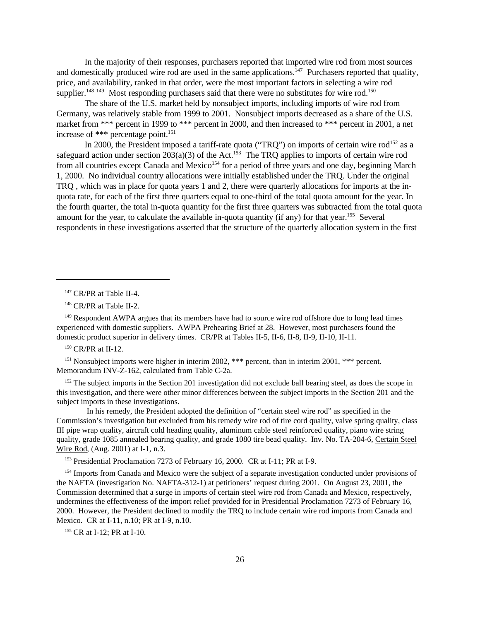In the majority of their responses, purchasers reported that imported wire rod from most sources and domestically produced wire rod are used in the same applications.<sup>147</sup> Purchasers reported that quality, price, and availability, ranked in that order, were the most important factors in selecting a wire rod supplier.<sup>148 149</sup> Most responding purchasers said that there were no substitutes for wire rod.<sup>150</sup>

The share of the U.S. market held by nonsubject imports, including imports of wire rod from Germany, was relatively stable from 1999 to 2001. Nonsubject imports decreased as a share of the U.S. market from \*\*\* percent in 1999 to \*\*\* percent in 2000, and then increased to \*\*\* percent in 2001, a net increase of \*\*\* percentage point.<sup>151</sup>

In 2000, the President imposed a tariff-rate quota ("TRQ") on imports of certain wire rod<sup>152</sup> as a safeguard action under section  $203(a)(3)$  of the Act.<sup>153</sup> The TRQ applies to imports of certain wire rod from all countries except Canada and Mexico<sup>154</sup> for a period of three years and one day, beginning March 1, 2000. No individual country allocations were initially established under the TRQ. Under the original TRQ , which was in place for quota years 1 and 2, there were quarterly allocations for imports at the inquota rate, for each of the first three quarters equal to one-third of the total quota amount for the year. In the fourth quarter, the total in-quota quantity for the first three quarters was subtracted from the total quota amount for the year, to calculate the available in-quota quantity (if any) for that year.<sup>155</sup> Several respondents in these investigations asserted that the structure of the quarterly allocation system in the first

<sup>149</sup> Respondent AWPA argues that its members have had to source wire rod offshore due to long lead times experienced with domestic suppliers. AWPA Prehearing Brief at 28. However, most purchasers found the domestic product superior in delivery times. CR/PR at Tables II-5, II-6, II-8, II-9, II-10, II-11.

<sup>150</sup> CR/PR at II-12.

<sup>151</sup> Nonsubject imports were higher in interim 2002, \*\*\* percent, than in interim 2001, \*\*\* percent. Memorandum INV-Z-162, calculated from Table C-2a.

<sup>152</sup> The subject imports in the Section 201 investigation did not exclude ball bearing steel, as does the scope in this investigation, and there were other minor differences between the subject imports in the Section 201 and the subject imports in these investigations.

 In his remedy, the President adopted the definition of "certain steel wire rod" as specified in the Commission's investigation but excluded from his remedy wire rod of tire cord quality, valve spring quality, class III pipe wrap quality, aircraft cold heading quality, aluminum cable steel reinforced quality, piano wire string quality, grade 1085 annealed bearing quality, and grade 1080 tire bead quality. Inv. No. TA-204-6, Certain Steel Wire Rod, (Aug. 2001) at I-1, n.3.

<sup>153</sup> Presidential Proclamation 7273 of February 16, 2000. CR at I-11; PR at I-9.

<sup>154</sup> Imports from Canada and Mexico were the subject of a separate investigation conducted under provisions of the NAFTA (investigation No. NAFTA-312-1) at petitioners' request during 2001. On August 23, 2001, the Commission determined that a surge in imports of certain steel wire rod from Canada and Mexico, respectively, undermines the effectiveness of the import relief provided for in Presidential Proclamation 7273 of February 16, 2000. However, the President declined to modify the TRQ to include certain wire rod imports from Canada and Mexico. CR at I-11, n.10; PR at I-9, n.10.

<sup>155</sup> CR at I-12; PR at I-10.

<sup>&</sup>lt;sup>147</sup> CR/PR at Table II-4.

<sup>&</sup>lt;sup>148</sup> CR/PR at Table II-2.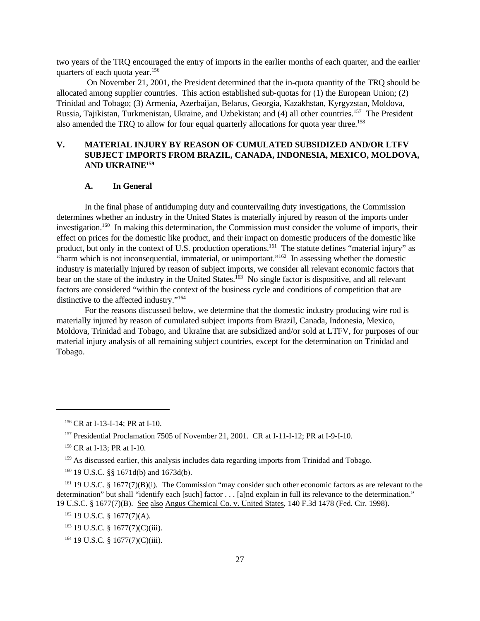two years of the TRQ encouraged the entry of imports in the earlier months of each quarter, and the earlier quarters of each quota year.<sup>156</sup>

 On November 21, 2001, the President determined that the in-quota quantity of the TRQ should be allocated among supplier countries. This action established sub-quotas for (1) the European Union; (2) Trinidad and Tobago; (3) Armenia, Azerbaijan, Belarus, Georgia, Kazakhstan, Kyrgyzstan, Moldova, Russia, Tajikistan, Turkmenistan, Ukraine, and Uzbekistan; and (4) all other countries.<sup>157</sup> The President also amended the TRQ to allow for four equal quarterly allocations for quota year three.<sup>158</sup>

# **V. MATERIAL INJURY BY REASON OF CUMULATED SUBSIDIZED AND/OR LTFV SUBJECT IMPORTS FROM BRAZIL, CANADA, INDONESIA, MEXICO, MOLDOVA, AND UKRAINE<sup>159</sup>**

### **A. In General**

 In the final phase of antidumping duty and countervailing duty investigations, the Commission determines whether an industry in the United States is materially injured by reason of the imports under investigation.<sup>160</sup> In making this determination, the Commission must consider the volume of imports, their effect on prices for the domestic like product, and their impact on domestic producers of the domestic like product, but only in the context of U.S. production operations.<sup>161</sup> The statute defines "material injury" as "harm which is not inconsequential, immaterial, or unimportant."<sup>162</sup> In assessing whether the domestic industry is materially injured by reason of subject imports, we consider all relevant economic factors that bear on the state of the industry in the United States.<sup>163</sup> No single factor is dispositive, and all relevant factors are considered "within the context of the business cycle and conditions of competition that are distinctive to the affected industry."<sup>164</sup>

For the reasons discussed below, we determine that the domestic industry producing wire rod is materially injured by reason of cumulated subject imports from Brazil, Canada, Indonesia, Mexico, Moldova, Trinidad and Tobago, and Ukraine that are subsidized and/or sold at LTFV, for purposes of our material injury analysis of all remaining subject countries, except for the determination on Trinidad and Tobago.

<sup>156</sup> CR at I-13-I-14; PR at I-10.

<sup>&</sup>lt;sup>157</sup> Presidential Proclamation 7505 of November 21, 2001. CR at I-11-I-12; PR at I-9-I-10.

<sup>&</sup>lt;sup>158</sup> CR at I-13; PR at I-10.

<sup>&</sup>lt;sup>159</sup> As discussed earlier, this analysis includes data regarding imports from Trinidad and Tobago.

<sup>160</sup> 19 U.S.C. §§ 1671d(b) and 1673d(b).

<sup>&</sup>lt;sup>161</sup> 19 U.S.C. § 1677(7)(B)(i). The Commission "may consider such other economic factors as are relevant to the determination" but shall "identify each [such] factor . . . [a]nd explain in full its relevance to the determination." 19 U.S.C. § 1677(7)(B). See also Angus Chemical Co. v. United States, 140 F.3d 1478 (Fed. Cir. 1998).

<sup>&</sup>lt;sup>162</sup> 19 U.S.C. § 1677(7)(A).

 $163$  19 U.S.C. § 1677(7)(C)(iii).

<sup>164</sup> 19 U.S.C. § 1677(7)(C)(iii).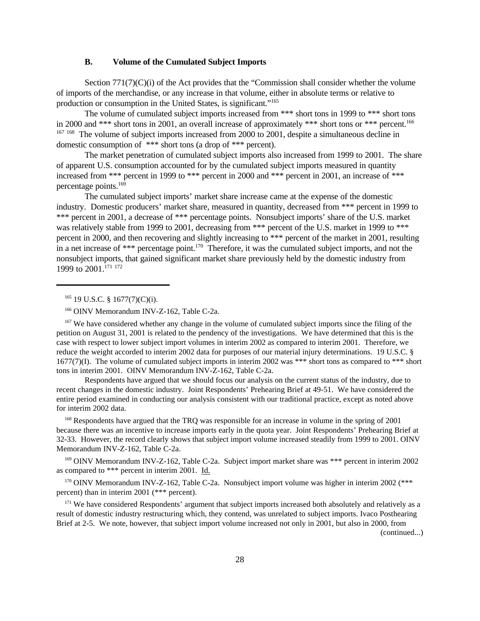### **B. Volume of the Cumulated Subject Imports**

Section 771(7)(C)(i) of the Act provides that the "Commission shall consider whether the volume of imports of the merchandise, or any increase in that volume, either in absolute terms or relative to production or consumption in the United States, is significant."<sup>165</sup>

The volume of cumulated subject imports increased from \*\*\* short tons in 1999 to \*\*\* short tons in 2000 and \*\*\* short tons in 2001, an overall increase of approximately \*\*\* short tons or \*\*\* percent.<sup>166</sup> <sup>167 168</sup> The volume of subject imports increased from 2000 to 2001, despite a simultaneous decline in domestic consumption of \*\*\* short tons (a drop of \*\*\* percent).

The market penetration of cumulated subject imports also increased from 1999 to 2001. The share of apparent U.S. consumption accounted for by the cumulated subject imports measured in quantity increased from \*\*\* percent in 1999 to \*\*\* percent in 2000 and \*\*\* percent in 2001, an increase of \*\*\* percentage points.<sup>169</sup>

The cumulated subject imports' market share increase came at the expense of the domestic industry. Domestic producers' market share, measured in quantity, decreased from \*\*\* percent in 1999 to \*\*\* percent in 2001, a decrease of \*\*\* percentage points. Nonsubject imports' share of the U.S. market was relatively stable from 1999 to 2001, decreasing from \*\*\* percent of the U.S. market in 1999 to \*\*\* percent in 2000, and then recovering and slightly increasing to \*\*\* percent of the market in 2001, resulting in a net increase of \*\*\* percentage point.<sup>170</sup> Therefore, it was the cumulated subject imports, and not the nonsubject imports, that gained significant market share previously held by the domestic industry from 1999 to 2001.<sup>171 172</sup>

 $165$  19 U.S.C. § 1677(7)(C)(i).

<sup>167</sup> We have considered whether any change in the volume of cumulated subject imports since the filing of the petition on August 31, 2001 is related to the pendency of the investigations. We have determined that this is the case with respect to lower subject import volumes in interim 2002 as compared to interim 2001. Therefore, we reduce the weight accorded to interim 2002 data for purposes of our material injury determinations. 19 U.S.C. § 1677(7)(I). The volume of cumulated subject imports in interim 2002 was \*\*\* short tons as compared to \*\*\* short tons in interim 2001. OINV Memorandum INV-Z-162, Table C-2a.

Respondents have argued that we should focus our analysis on the current status of the industry, due to recent changes in the domestic industry. Joint Respondents' Prehearing Brief at 49-51. We have considered the entire period examined in conducting our analysis consistent with our traditional practice, except as noted above for interim 2002 data.

<sup>168</sup> Respondents have argued that the TRQ was responsible for an increase in volume in the spring of 2001 because there was an incentive to increase imports early in the quota year. Joint Respondents' Prehearing Brief at 32-33. However, the record clearly shows that subject import volume increased steadily from 1999 to 2001. OINV Memorandum INV-Z-162, Table C-2a.

<sup>169</sup> OINV Memorandum INV-Z-162, Table C-2a. Subject import market share was \*\*\* percent in interim 2002 as compared to \*\*\* percent in interim 2001. Id.

 $170$  OINV Memorandum INV-Z-162, Table C-2a. Nonsubject import volume was higher in interim 2002 (\*\*\* percent) than in interim 2001 (\*\*\* percent).

<sup>171</sup> We have considered Respondents' argument that subject imports increased both absolutely and relatively as a result of domestic industry restructuring which, they contend, was unrelated to subject imports. Ivaco Posthearing Brief at 2-5. We note, however, that subject import volume increased not only in 2001, but also in 2000, from

(continued...)

<sup>&</sup>lt;sup>166</sup> OINV Memorandum INV-Z-162, Table C-2a.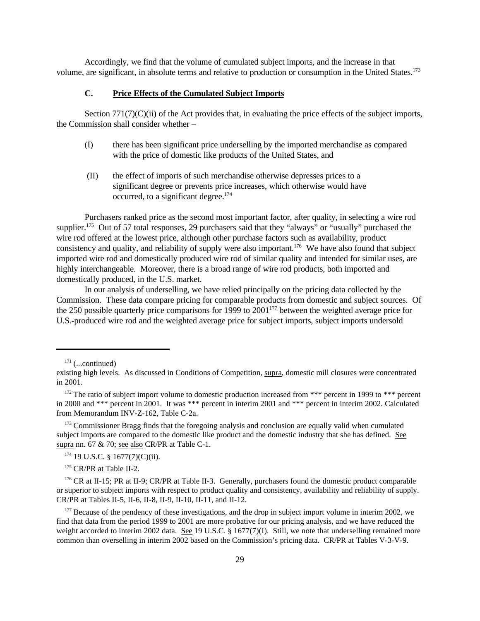Accordingly, we find that the volume of cumulated subject imports, and the increase in that volume, are significant, in absolute terms and relative to production or consumption in the United States.<sup>173</sup>

### **C. Price Effects of the Cumulated Subject Imports**

Section 771(7)(C)(ii) of the Act provides that, in evaluating the price effects of the subject imports, the Commission shall consider whether –

- (I) there has been significant price underselling by the imported merchandise as compared with the price of domestic like products of the United States, and
- (II) the effect of imports of such merchandise otherwise depresses prices to a significant degree or prevents price increases, which otherwise would have occurred, to a significant degree.<sup>174</sup>

Purchasers ranked price as the second most important factor, after quality, in selecting a wire rod supplier.<sup>175</sup> Out of 57 total responses, 29 purchasers said that they "always" or "usually" purchased the wire rod offered at the lowest price, although other purchase factors such as availability, product consistency and quality, and reliability of supply were also important.<sup>176</sup> We have also found that subject imported wire rod and domestically produced wire rod of similar quality and intended for similar uses, are highly interchangeable. Moreover, there is a broad range of wire rod products, both imported and domestically produced, in the U.S. market.

In our analysis of underselling, we have relied principally on the pricing data collected by the Commission. These data compare pricing for comparable products from domestic and subject sources. Of the 250 possible quarterly price comparisons for 1999 to  $2001^{177}$  between the weighted average price for U.S.-produced wire rod and the weighted average price for subject imports, subject imports undersold

<sup>173</sup> Commissioner Bragg finds that the foregoing analysis and conclusion are equally valid when cumulated subject imports are compared to the domestic like product and the domestic industry that she has defined. See supra nn. 67 & 70; see also CR/PR at Table C-1.

 $174$  19 U.S.C. § 1677(7)(C)(ii).

<sup>175</sup> CR/PR at Table II-2.

<sup>176</sup> CR at II-15; PR at II-9; CR/PR at Table II-3. Generally, purchasers found the domestic product comparable or superior to subject imports with respect to product quality and consistency, availability and reliability of supply. CR/PR at Tables II-5, II-6, II-8, II-9, II-10, II-11, and II-12.

<sup>177</sup> Because of the pendency of these investigations, and the drop in subject import volume in interim 2002, we find that data from the period 1999 to 2001 are more probative for our pricing analysis, and we have reduced the weight accorded to interim 2002 data. See 19 U.S.C. § 1677(7)(I). Still, we note that underselling remained more common than overselling in interim 2002 based on the Commission's pricing data. CR/PR at Tables V-3-V-9.

 $171$  (...continued)

existing high levels. As discussed in Conditions of Competition, supra, domestic mill closures were concentrated in 2001.

<sup>&</sup>lt;sup>172</sup> The ratio of subject import volume to domestic production increased from \*\*\* percent in 1999 to \*\*\* percent in 2000 and \*\*\* percent in 2001. It was \*\*\* percent in interim 2001 and \*\*\* percent in interim 2002. Calculated from Memorandum INV-Z-162, Table C-2a.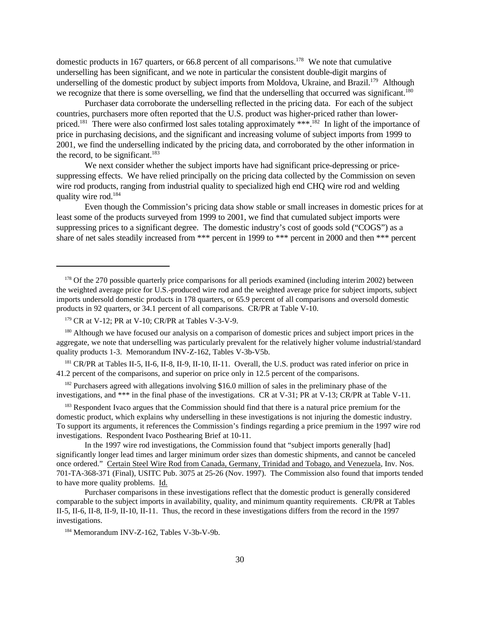domestic products in 167 quarters, or 66.8 percent of all comparisons.<sup>178</sup> We note that cumulative underselling has been significant, and we note in particular the consistent double-digit margins of underselling of the domestic product by subject imports from Moldova, Ukraine, and Brazil.<sup>179</sup> Although we recognize that there is some overselling, we find that the underselling that occurred was significant.<sup>180</sup>

Purchaser data corroborate the underselling reflected in the pricing data. For each of the subject countries, purchasers more often reported that the U.S. product was higher-priced rather than lowerpriced.<sup>181</sup> There were also confirmed lost sales totaling approximately \*\*\*.<sup>182</sup> In light of the importance of price in purchasing decisions, and the significant and increasing volume of subject imports from 1999 to 2001, we find the underselling indicated by the pricing data, and corroborated by the other information in the record, to be significant.<sup>183</sup>

We next consider whether the subject imports have had significant price-depressing or pricesuppressing effects. We have relied principally on the pricing data collected by the Commission on seven wire rod products, ranging from industrial quality to specialized high end CHQ wire rod and welding quality wire rod.<sup>184</sup>

Even though the Commission's pricing data show stable or small increases in domestic prices for at least some of the products surveyed from 1999 to 2001, we find that cumulated subject imports were suppressing prices to a significant degree. The domestic industry's cost of goods sold ("COGS") as a share of net sales steadily increased from \*\*\* percent in 1999 to \*\*\* percent in 2000 and then \*\*\* percent

<sup>180</sup> Although we have focused our analysis on a comparison of domestic prices and subject import prices in the aggregate, we note that underselling was particularly prevalent for the relatively higher volume industrial/standard quality products 1-3. Memorandum INV-Z-162, Tables V-3b-V5b.

<sup>181</sup> CR/PR at Tables II-5, II-6, II-8, II-9, II-10, II-11. Overall, the U.S. product was rated inferior on price in 41.2 percent of the comparisons, and superior on price only in 12.5 percent of the comparisons.

 $182$  Purchasers agreed with allegations involving \$16.0 million of sales in the preliminary phase of the investigations, and \*\*\* in the final phase of the investigations. CR at V-31; PR at V-13; CR/PR at Table V-11.

<sup>183</sup> Respondent Ivaco argues that the Commission should find that there is a natural price premium for the domestic product, which explains why underselling in these investigations is not injuring the domestic industry. To support its arguments, it references the Commission's findings regarding a price premium in the 1997 wire rod investigations. Respondent Ivaco Posthearing Brief at 10-11.

In the 1997 wire rod investigations, the Commission found that "subject imports generally [had] significantly longer lead times and larger minimum order sizes than domestic shipments, and cannot be canceled once ordered." Certain Steel Wire Rod from Canada, Germany, Trinidad and Tobago, and Venezuela, Inv. Nos. 701-TA-368-371 (Final), USITC Pub. 3075 at 25-26 (Nov. 1997). The Commission also found that imports tended to have more quality problems. Id.

Purchaser comparisons in these investigations reflect that the domestic product is generally considered comparable to the subject imports in availability, quality, and minimum quantity requirements. CR/PR at Tables II-5, II-6, II-8, II-9, II-10, II-11. Thus, the record in these investigations differs from the record in the 1997 investigations.

<sup>&</sup>lt;sup>178</sup> Of the 270 possible quarterly price comparisons for all periods examined (including interim 2002) between the weighted average price for U.S.-produced wire rod and the weighted average price for subject imports, subject imports undersold domestic products in 178 quarters, or 65.9 percent of all comparisons and oversold domestic products in 92 quarters, or 34.1 percent of all comparisons. CR/PR at Table V-10.

 $179$  CR at V-12; PR at V-10; CR/PR at Tables V-3-V-9.

<sup>184</sup> Memorandum INV-Z-162, Tables V-3b-V-9b.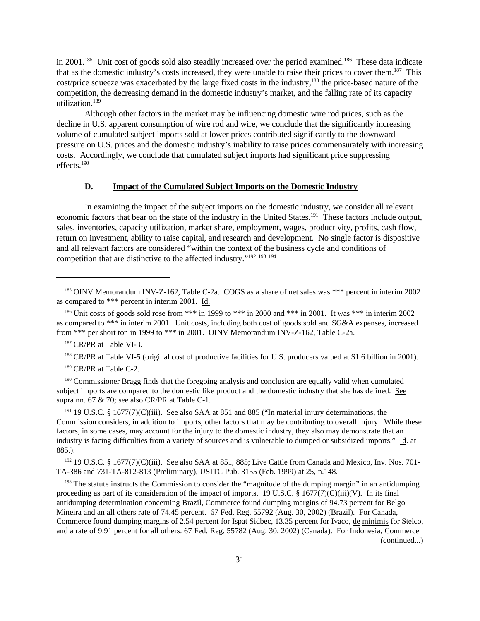in 2001.<sup>185</sup> Unit cost of goods sold also steadily increased over the period examined.<sup>186</sup> These data indicate that as the domestic industry's costs increased, they were unable to raise their prices to cover them.<sup>187</sup> This cost/price squeeze was exacerbated by the large fixed costs in the industry,<sup>188</sup> the price-based nature of the competition, the decreasing demand in the domestic industry's market, and the falling rate of its capacity utilization.<sup>189</sup>

Although other factors in the market may be influencing domestic wire rod prices, such as the decline in U.S. apparent consumption of wire rod and wire, we conclude that the significantly increasing volume of cumulated subject imports sold at lower prices contributed significantly to the downward pressure on U.S. prices and the domestic industry's inability to raise prices commensurately with increasing costs. Accordingly, we conclude that cumulated subject imports had significant price suppressing effects.<sup>190</sup>

## **D. Impact of the Cumulated Subject Imports on the Domestic Industry**

In examining the impact of the subject imports on the domestic industry, we consider all relevant economic factors that bear on the state of the industry in the United States.<sup>191</sup> These factors include output, sales, inventories, capacity utilization, market share, employment, wages, productivity, profits, cash flow, return on investment, ability to raise capital, and research and development. No single factor is dispositive and all relevant factors are considered "within the context of the business cycle and conditions of competition that are distinctive to the affected industry."<sup>192</sup> <sup>193</sup> <sup>194</sup>

<sup>188</sup> CR/PR at Table VI-5 (original cost of productive facilities for U.S. producers valued at \$1.6 billion in 2001).

<sup>189</sup> CR/PR at Table C-2.

<sup>190</sup> Commissioner Bragg finds that the foregoing analysis and conclusion are equally valid when cumulated subject imports are compared to the domestic like product and the domestic industry that she has defined. See supra nn. 67 & 70; see also CR/PR at Table C-1.

<sup>191</sup> 19 U.S.C. § 1677(7)(C)(iii). <u>See also</u> SAA at 851 and 885 ("In material injury determinations, the Commission considers, in addition to imports, other factors that may be contributing to overall injury. While these factors, in some cases, may account for the injury to the domestic industry, they also may demonstrate that an industry is facing difficulties from a variety of sources and is vulnerable to dumped or subsidized imports." Id. at 885.).

<sup>192</sup> 19 U.S.C. § 1677(7)(C)(iii). See also SAA at 851, 885; Live Cattle from Canada and Mexico, Inv. Nos. 701-TA-386 and 731-TA-812-813 (Preliminary), USITC Pub. 3155 (Feb. 1999) at 25, n.148.

<sup>193</sup> The statute instructs the Commission to consider the "magnitude of the dumping margin" in an antidumping proceeding as part of its consideration of the impact of imports. 19 U.S.C.  $\S 1677(7)(C)(iii)(V)$ . In its final antidumping determination concerning Brazil, Commerce found dumping margins of 94.73 percent for Belgo Mineira and an all others rate of 74.45 percent. 67 Fed. Reg. 55792 (Aug. 30, 2002) (Brazil). For Canada, Commerce found dumping margins of 2.54 percent for Ispat Sidbec, 13.35 percent for Ivaco, de minimis for Stelco, and a rate of 9.91 percent for all others. 67 Fed. Reg. 55782 (Aug. 30, 2002) (Canada). For Indonesia, Commerce

<sup>185</sup> OINV Memorandum INV-Z-162, Table C-2a. COGS as a share of net sales was \*\*\* percent in interim 2002 as compared to \*\*\* percent in interim 2001. Id.

<sup>&</sup>lt;sup>186</sup> Unit costs of goods sold rose from \*\*\* in 1999 to \*\*\* in 2000 and \*\*\* in 2001. It was \*\*\* in interim 2002 as compared to \*\*\* in interim 2001. Unit costs, including both cost of goods sold and SG&A expenses, increased from \*\*\* per short ton in 1999 to \*\*\* in 2001. OINV Memorandum INV-Z-162, Table C-2a.

<sup>&</sup>lt;sup>187</sup> CR/PR at Table VI-3.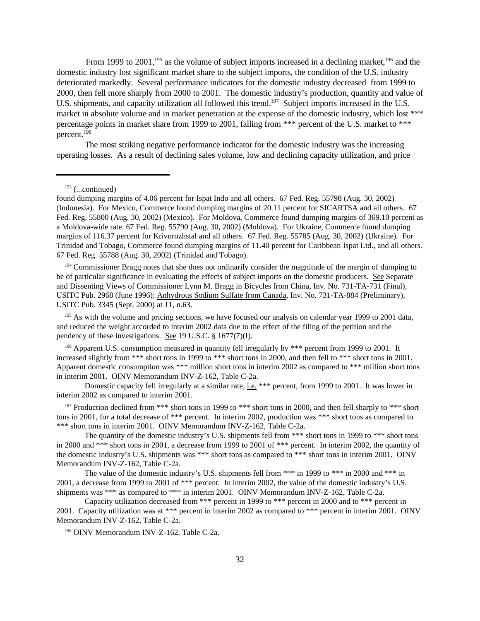From 1999 to 2001,<sup>195</sup> as the volume of subject imports increased in a declining market,<sup>196</sup> and the domestic industry lost significant market share to the subject imports, the condition of the U.S. industry deteriorated markedly. Several performance indicators for the domestic industry decreased from 1999 to 2000, then fell more sharply from 2000 to 2001. The domestic industry's production, quantity and value of U.S. shipments, and capacity utilization all followed this trend.<sup>197</sup> Subject imports increased in the U.S. market in absolute volume and in market penetration at the expense of the domestic industry, which lost \*\*\* percentage points in market share from 1999 to 2001, falling from \*\*\* percent of the U.S. market to \*\*\* percent.<sup>198</sup>

The most striking negative performance indicator for the domestic industry was the increasing operating losses. As a result of declining sales volume, low and declining capacity utilization, and price

 $193$  (...continued)

<sup>194</sup> Commissioner Bragg notes that she does not ordinarily consider the magnitude of the margin of dumping to be of particular significance in evaluating the effects of subject imports on the domestic producers. See Separate and Dissenting Views of Commissioner Lynn M. Bragg in Bicycles from China, Inv. No. 731-TA-731 (Final), USITC Pub. 2968 (June 1996); Anhydrous Sodium Sulfate from Canada, Inv. No. 731-TA-884 (Preliminary), USITC Pub. 3345 (Sept. 2000) at 11, n.63.

<sup>195</sup> As with the volume and pricing sections, we have focused our analysis on calendar year 1999 to 2001 data, and reduced the weight accorded to interim 2002 data due to the effect of the filing of the petition and the pendency of these investigations. See 19 U.S.C. § 1677(7)(I).

<sup>196</sup> Apparent U.S. consumption measured in quantity fell irregularly by \*\*\* percent from 1999 to 2001. It increased slightly from \*\*\* short tons in 1999 to \*\*\* short tons in 2000, and then fell to \*\*\* short tons in 2001. Apparent domestic consumption was \*\*\* million short tons in interim 2002 as compared to \*\*\* million short tons in interim 2001. OINV Memorandum INV-Z-162, Table C-2a.

Domestic capacity fell irregularly at a similar rate, i.e. \*\*\* percent, from 1999 to 2001. It was lower in interim 2002 as compared to interim 2001.

<sup>197</sup> Production declined from \*\*\* short tons in 1999 to \*\*\* short tons in 2000, and then fell sharply to \*\*\* short tons in 2001, for a total decrease of \*\*\* percent. In interim 2002, production was \*\*\* short tons as compared to \*\*\* short tons in interim 2001. OINV Memorandum INV-Z-162, Table C-2a.

The quantity of the domestic industry's U.S. shipments fell from \*\*\* short tons in 1999 to \*\*\* short tons in 2000 and \*\*\* short tons in 2001, a decrease from 1999 to 2001 of \*\*\* percent. In interim 2002, the quantity of the domestic industry's U.S. shipments was \*\*\* short tons as compared to \*\*\* short tons in interim 2001. OINV Memorandum INV-Z-162, Table C-2a.

The value of the domestic industry's U.S. shipments fell from \*\*\* in 1999 to \*\*\* in 2000 and \*\*\* in 2001, a decrease from 1999 to 2001 of \*\*\* percent. In interim 2002, the value of the domestic industry's U.S. shipments was \*\*\* as compared to \*\*\* in interim 2001. OINV Memorandum INV-Z-162, Table C-2a.

Capacity utilization decreased from \*\*\* percent in 1999 to \*\*\* percent in 2000 and to \*\*\* percent in 2001. Capacity utilization was at \*\*\* percent in interim 2002 as compared to \*\*\* percent in interim 2001. OINV Memorandum INV-Z-162, Table C-2a.

<sup>198</sup> OINV Memorandum INV-Z-162, Table C-2a.

found dumping margins of 4.06 percent for Ispat Indo and all others. 67 Fed. Reg. 55798 (Aug. 30, 2002) (Indonesia). For Mexico, Commerce found dumping margins of 20.11 percent for SICARTSA and all others. 67 Fed. Reg. 55800 (Aug. 30, 2002) (Mexico). For Moldova, Commerce found dumping margins of 369.10 percent as a Moldova-wide rate. 67 Fed. Reg. 55790 (Aug. 30, 2002) (Moldova). For Ukraine, Commerce found dumping margins of 116.37 percent for Krivorozhstal and all others. 67 Fed. Reg. 55785 (Aug. 30, 2002) (Ukraine). For Trinidad and Tobago, Commerce found dumping margins of 11.40 percent for Caribbean Ispat Ltd., and all others. 67 Fed. Reg. 55788 (Aug. 30, 2002) (Trinidad and Tobago).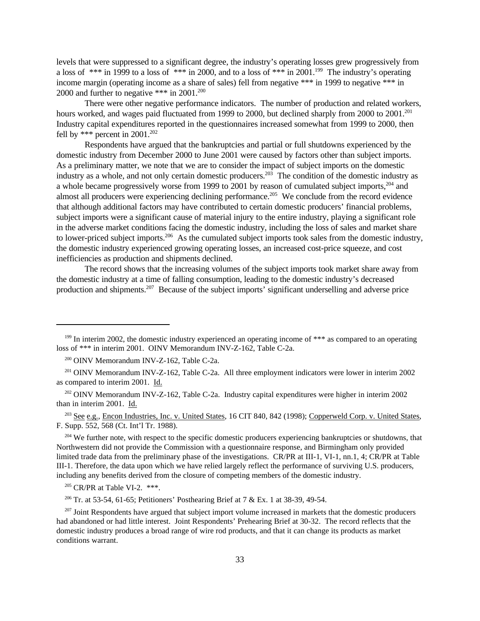levels that were suppressed to a significant degree, the industry's operating losses grew progressively from a loss of \*\*\* in 1999 to a loss of \*\*\* in 2000, and to a loss of \*\*\* in 2001.<sup>199</sup> The industry's operating income margin (operating income as a share of sales) fell from negative \*\*\* in 1999 to negative \*\*\* in 2000 and further to negative \*\*\* in 2001.<sup>200</sup>

There were other negative performance indicators. The number of production and related workers, hours worked, and wages paid fluctuated from 1999 to 2000, but declined sharply from 2000 to 2001.<sup>201</sup> Industry capital expenditures reported in the questionnaires increased somewhat from 1999 to 2000, then fell by \*\*\* percent in  $2001$ .<sup>202</sup>

Respondents have argued that the bankruptcies and partial or full shutdowns experienced by the domestic industry from December 2000 to June 2001 were caused by factors other than subject imports. As a preliminary matter, we note that we are to consider the impact of subject imports on the domestic industry as a whole, and not only certain domestic producers.<sup>203</sup> The condition of the domestic industry as a whole became progressively worse from 1999 to 2001 by reason of cumulated subject imports, <sup>204</sup> and almost all producers were experiencing declining performance.<sup>205</sup> We conclude from the record evidence that although additional factors may have contributed to certain domestic producers' financial problems, subject imports were a significant cause of material injury to the entire industry, playing a significant role in the adverse market conditions facing the domestic industry, including the loss of sales and market share to lower-priced subject imports.<sup>206</sup> As the cumulated subject imports took sales from the domestic industry, the domestic industry experienced growing operating losses, an increased cost-price squeeze, and cost inefficiencies as production and shipments declined.

The record shows that the increasing volumes of the subject imports took market share away from the domestic industry at a time of falling consumption, leading to the domestic industry's decreased production and shipments.207 Because of the subject imports' significant underselling and adverse price

<sup>202</sup> OINV Memorandum INV-Z-162, Table C-2a. Industry capital expenditures were higher in interim 2002 than in interim 2001. Id.

<sup>203</sup> See e.g., Encon Industries, Inc. v. United States, 16 CIT 840, 842 (1998); Copperweld Corp. v. United States, F. Supp. 552, 568 (Ct. Int'l Tr. 1988).

<sup>204</sup> We further note, with respect to the specific domestic producers experiencing bankruptcies or shutdowns, that Northwestern did not provide the Commission with a questionnaire response, and Birmingham only provided limited trade data from the preliminary phase of the investigations. CR/PR at III-1, VI-1, nn.1, 4; CR/PR at Table III-1. Therefore, the data upon which we have relied largely reflect the performance of surviving U.S. producers, including any benefits derived from the closure of competing members of the domestic industry.

<sup>205</sup> CR/PR at Table VI-2. \*\*\*.

<sup>206</sup> Tr. at 53-54, 61-65; Petitioners' Posthearing Brief at 7 & Ex. 1 at 38-39, 49-54.

<sup>207</sup> Joint Respondents have argued that subject import volume increased in markets that the domestic producers had abandoned or had little interest. Joint Respondents' Prehearing Brief at 30-32. The record reflects that the domestic industry produces a broad range of wire rod products, and that it can change its products as market conditions warrant.

<sup>&</sup>lt;sup>199</sup> In interim 2002, the domestic industry experienced an operating income of \*\*\* as compared to an operating loss of \*\*\* in interim 2001. OINV Memorandum INV-Z-162, Table C-2a.

<sup>200</sup> OINV Memorandum INV-Z-162, Table C-2a.

<sup>&</sup>lt;sup>201</sup> OINV Memorandum INV-Z-162, Table C-2a. All three employment indicators were lower in interim 2002 as compared to interim 2001. Id.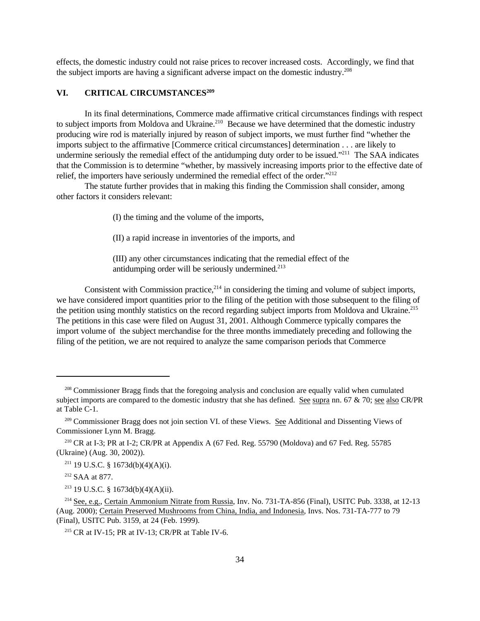effects, the domestic industry could not raise prices to recover increased costs. Accordingly, we find that the subject imports are having a significant adverse impact on the domestic industry.<sup>208</sup>

# **VI. CRITICAL CIRCUMSTANCES<sup>209</sup>**

In its final determinations, Commerce made affirmative critical circumstances findings with respect to subject imports from Moldova and Ukraine.<sup>210</sup> Because we have determined that the domestic industry producing wire rod is materially injured by reason of subject imports, we must further find "whether the imports subject to the affirmative [Commerce critical circumstances] determination . . . are likely to undermine seriously the remedial effect of the antidumping duty order to be issued."<sup>211</sup> The SAA indicates that the Commission is to determine "whether, by massively increasing imports prior to the effective date of relief, the importers have seriously undermined the remedial effect of the order."<sup>212</sup>

The statute further provides that in making this finding the Commission shall consider, among other factors it considers relevant:

(I) the timing and the volume of the imports,

(II) a rapid increase in inventories of the imports, and

(III) any other circumstances indicating that the remedial effect of the antidumping order will be seriously undermined. $213$ 

Consistent with Commission practice,  $2^{14}$  in considering the timing and volume of subject imports, we have considered import quantities prior to the filing of the petition with those subsequent to the filing of the petition using monthly statistics on the record regarding subject imports from Moldova and Ukraine.<sup>215</sup> The petitions in this case were filed on August 31, 2001. Although Commerce typically compares the import volume of the subject merchandise for the three months immediately preceding and following the filing of the petition, we are not required to analyze the same comparison periods that Commerce

<sup>&</sup>lt;sup>208</sup> Commissioner Bragg finds that the foregoing analysis and conclusion are equally valid when cumulated subject imports are compared to the domestic industry that she has defined. See supra nn. 67  $\&$  70; see also CR/PR at Table C-1.

<sup>&</sup>lt;sup>209</sup> Commissioner Bragg does not join section VI. of these Views. See Additional and Dissenting Views of Commissioner Lynn M. Bragg.

<sup>&</sup>lt;sup>210</sup> CR at I-3; PR at I-2; CR/PR at Appendix A (67 Fed. Reg. 55790 (Moldova) and 67 Fed. Reg. 55785 (Ukraine) (Aug. 30, 2002)).

<sup>&</sup>lt;sup>211</sup> 19 U.S.C. § 1673d(b)(4)(A)(i).

<sup>212</sup> SAA at 877.

<sup>&</sup>lt;sup>213</sup> 19 U.S.C. § 1673d(b)(4)(A)(ii).

<sup>214</sup> See, e.g., Certain Ammonium Nitrate from Russia, Inv. No. 731-TA-856 (Final), USITC Pub. 3338, at 12-13 (Aug. 2000); Certain Preserved Mushrooms from China, India, and Indonesia, Invs. Nos. 731-TA-777 to 79 (Final), USITC Pub. 3159, at 24 (Feb. 1999).

<sup>&</sup>lt;sup>215</sup> CR at IV-15; PR at IV-13; CR/PR at Table IV-6.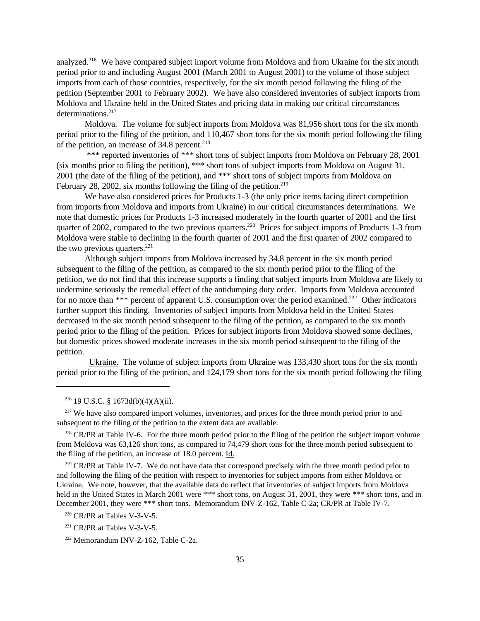analyzed.<sup>216</sup> We have compared subject import volume from Moldova and from Ukraine for the six month period prior to and including August 2001 (March 2001 to August 2001) to the volume of those subject imports from each of those countries, respectively, for the six month period following the filing of the petition (September 2001 to February 2002). We have also considered inventories of subject imports from Moldova and Ukraine held in the United States and pricing data in making our critical circumstances determinations.<sup>217</sup>

Moldova. The volume for subject imports from Moldova was 81,956 short tons for the six month period prior to the filing of the petition, and 110,467 short tons for the six month period following the filing of the petition, an increase of  $34.8$  percent.<sup>218</sup>

\*\*\* reported inventories of \*\*\* short tons of subject imports from Moldova on February 28, 2001 (six months prior to filing the petition), \*\*\* short tons of subject imports from Moldova on August 31, 2001 (the date of the filing of the petition), and \*\*\* short tons of subject imports from Moldova on February 28, 2002, six months following the filing of the petition.<sup>219</sup>

We have also considered prices for Products 1-3 (the only price items facing direct competition from imports from Moldova and imports from Ukraine) in our critical circumstances determinations. We note that domestic prices for Products 1-3 increased moderately in the fourth quarter of 2001 and the first quarter of 2002, compared to the two previous quarters.<sup>220</sup> Prices for subject imports of Products 1-3 from Moldova were stable to declining in the fourth quarter of 2001 and the first quarter of 2002 compared to the two previous quarters. $^{221}$ 

Although subject imports from Moldova increased by 34.8 percent in the six month period subsequent to the filing of the petition, as compared to the six month period prior to the filing of the petition, we do not find that this increase supports a finding that subject imports from Moldova are likely to undermine seriously the remedial effect of the antidumping duty order. Imports from Moldova accounted for no more than \*\*\* percent of apparent U.S. consumption over the period examined.<sup>222</sup> Other indicators further support this finding. Inventories of subject imports from Moldova held in the United States decreased in the six month period subsequent to the filing of the petition, as compared to the six month period prior to the filing of the petition. Prices for subject imports from Moldova showed some declines, but domestic prices showed moderate increases in the six month period subsequent to the filing of the petition.

 Ukraine. The volume of subject imports from Ukraine was 133,430 short tons for the six month period prior to the filing of the petition, and 124,179 short tons for the six month period following the filing

<sup>217</sup> We have also compared import volumes, inventories, and prices for the three month period prior to and subsequent to the filing of the petition to the extent data are available.

<sup>218</sup> CR/PR at Table IV-6. For the three month period prior to the filing of the petition the subject import volume from Moldova was 63,126 short tons, as compared to 74,479 short tons for the three month period subsequent to the filing of the petition, an increase of 18.0 percent. Id.

<sup>219</sup> CR/PR at Table IV-7. We do not have data that correspond precisely with the three month period prior to and following the filing of the petition with respect to inventories for subject imports from either Moldova or Ukraine. We note, however, that the available data do reflect that inventories of subject imports from Moldova held in the United States in March 2001 were \*\*\* short tons, on August 31, 2001, they were \*\*\* short tons, and in December 2001, they were \*\*\* short tons. Memorandum INV-Z-162, Table C-2a; CR/PR at Table IV-7.

 $216$  19 U.S.C. § 1673d(b)(4)(A)(ii).

 $220$  CR/PR at Tables V-3-V-5.

 $221$  CR/PR at Tables V-3-V-5.

<sup>222</sup> Memorandum INV-Z-162, Table C-2a.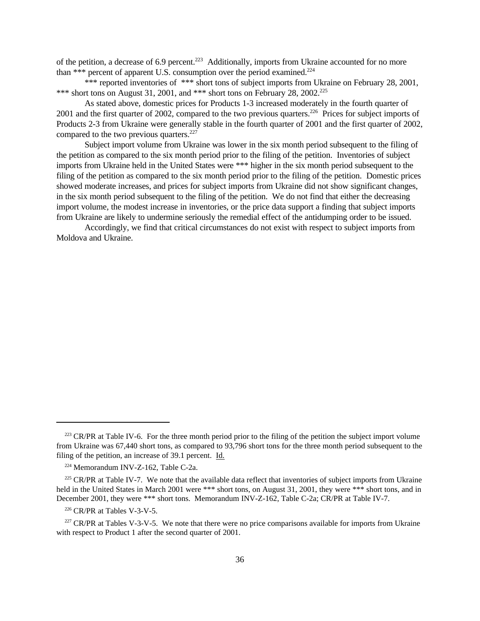of the petition, a decrease of 6.9 percent.<sup>223</sup> Additionally, imports from Ukraine accounted for no more than \*\*\* percent of apparent U.S. consumption over the period examined.<sup>224</sup>

\*\*\* reported inventories of \*\*\* short tons of subject imports from Ukraine on February 28, 2001, \*\*\* short tons on August 31, 2001, and \*\*\* short tons on February 28, 2002.<sup>225</sup>

As stated above, domestic prices for Products 1-3 increased moderately in the fourth quarter of 2001 and the first quarter of 2002, compared to the two previous quarters.<sup>226</sup> Prices for subject imports of Products 2-3 from Ukraine were generally stable in the fourth quarter of 2001 and the first quarter of 2002, compared to the two previous quarters. $227$ 

Subject import volume from Ukraine was lower in the six month period subsequent to the filing of the petition as compared to the six month period prior to the filing of the petition. Inventories of subject imports from Ukraine held in the United States were \*\*\* higher in the six month period subsequent to the filing of the petition as compared to the six month period prior to the filing of the petition. Domestic prices showed moderate increases, and prices for subject imports from Ukraine did not show significant changes, in the six month period subsequent to the filing of the petition. We do not find that either the decreasing import volume, the modest increase in inventories, or the price data support a finding that subject imports from Ukraine are likely to undermine seriously the remedial effect of the antidumping order to be issued.

Accordingly, we find that critical circumstances do not exist with respect to subject imports from Moldova and Ukraine.

<sup>&</sup>lt;sup>223</sup> CR/PR at Table IV-6. For the three month period prior to the filing of the petition the subject import volume from Ukraine was 67,440 short tons, as compared to 93,796 short tons for the three month period subsequent to the filing of the petition, an increase of 39.1 percent. Id.

<sup>224</sup> Memorandum INV-Z-162, Table C-2a.

 $225$  CR/PR at Table IV-7. We note that the available data reflect that inventories of subject imports from Ukraine held in the United States in March 2001 were \*\*\* short tons, on August 31, 2001, they were \*\*\* short tons, and in December 2001, they were \*\*\* short tons. Memorandum INV-Z-162, Table C-2a; CR/PR at Table IV-7.

 $226$  CR/PR at Tables V-3-V-5.

<sup>&</sup>lt;sup>227</sup> CR/PR at Tables V-3-V-5. We note that there were no price comparisons available for imports from Ukraine with respect to Product 1 after the second quarter of 2001.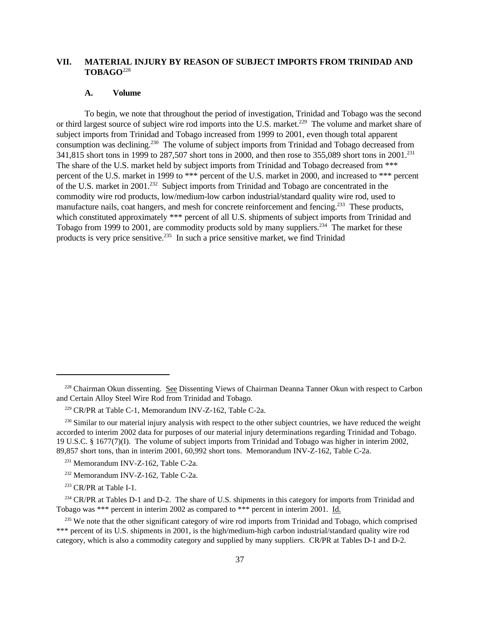# **VII. MATERIAL INJURY BY REASON OF SUBJECT IMPORTS FROM TRINIDAD AND TOBAGO**<sup>228</sup>

### **A. Volume**

To begin, we note that throughout the period of investigation, Trinidad and Tobago was the second or third largest source of subject wire rod imports into the U.S. market.<sup>229</sup> The volume and market share of subject imports from Trinidad and Tobago increased from 1999 to 2001, even though total apparent consumption was declining.<sup>230</sup> The volume of subject imports from Trinidad and Tobago decreased from 341,815 short tons in 1999 to 287,507 short tons in 2000, and then rose to 355,089 short tons in 2001.<sup>231</sup> The share of the U.S. market held by subject imports from Trinidad and Tobago decreased from \*\*\* percent of the U.S. market in 1999 to \*\*\* percent of the U.S. market in 2000, and increased to \*\*\* percent of the U.S. market in 2001.<sup>232</sup> Subject imports from Trinidad and Tobago are concentrated in the commodity wire rod products, low/medium-low carbon industrial/standard quality wire rod, used to manufacture nails, coat hangers, and mesh for concrete reinforcement and fencing.<sup>233</sup> These products, which constituted approximately \*\*\* percent of all U.S. shipments of subject imports from Trinidad and Tobago from 1999 to 2001, are commodity products sold by many suppliers.<sup>234</sup> The market for these products is very price sensitive.235 In such a price sensitive market, we find Trinidad

<sup>&</sup>lt;sup>228</sup> Chairman Okun dissenting. See Dissenting Views of Chairman Deanna Tanner Okun with respect to Carbon and Certain Alloy Steel Wire Rod from Trinidad and Tobago.

<sup>229</sup> CR/PR at Table C-1, Memorandum INV-Z-162, Table C-2a.

<sup>&</sup>lt;sup>230</sup> Similar to our material injury analysis with respect to the other subject countries, we have reduced the weight accorded to interim 2002 data for purposes of our material injury determinations regarding Trinidad and Tobago. 19 U.S.C. § 1677(7)(I). The volume of subject imports from Trinidad and Tobago was higher in interim 2002, 89,857 short tons, than in interim 2001, 60,992 short tons. Memorandum INV-Z-162, Table C-2a.

<sup>&</sup>lt;sup>231</sup> Memorandum INV-Z-162, Table C-2a.

<sup>232</sup> Memorandum INV-Z-162, Table C-2a.

<sup>&</sup>lt;sup>233</sup> CR/PR at Table I-1.

<sup>&</sup>lt;sup>234</sup> CR/PR at Tables D-1 and D-2. The share of U.S. shipments in this category for imports from Trinidad and Tobago was \*\*\* percent in interim 2002 as compared to \*\*\* percent in interim 2001. Id.

<sup>&</sup>lt;sup>235</sup> We note that the other significant category of wire rod imports from Trinidad and Tobago, which comprised \*\*\* percent of its U.S. shipments in 2001, is the high/medium-high carbon industrial/standard quality wire rod category, which is also a commodity category and supplied by many suppliers. CR/PR at Tables D-1 and D-2.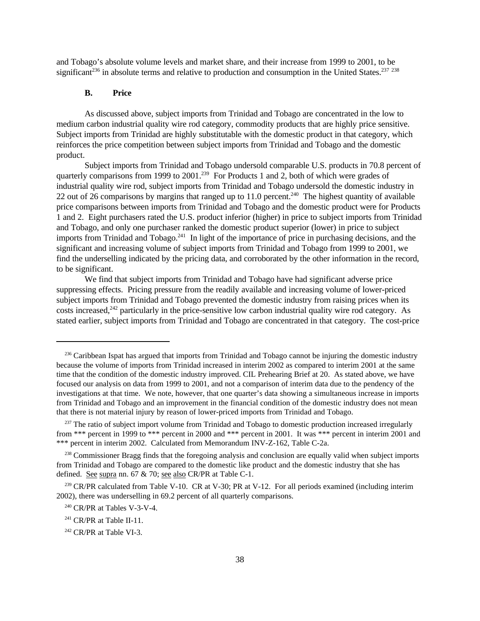and Tobago's absolute volume levels and market share, and their increase from 1999 to 2001, to be significant<sup>236</sup> in absolute terms and relative to production and consumption in the United States.<sup>237</sup> <sup>238</sup>

# **B. Price**

As discussed above, subject imports from Trinidad and Tobago are concentrated in the low to medium carbon industrial quality wire rod category, commodity products that are highly price sensitive. Subject imports from Trinidad are highly substitutable with the domestic product in that category, which reinforces the price competition between subject imports from Trinidad and Tobago and the domestic product.

Subject imports from Trinidad and Tobago undersold comparable U.S. products in 70.8 percent of quarterly comparisons from 1999 to 2001.<sup>239</sup> For Products 1 and 2, both of which were grades of industrial quality wire rod, subject imports from Trinidad and Tobago undersold the domestic industry in 22 out of  $26$  comparisons by margins that ranged up to 11.0 percent.<sup>240</sup> The highest quantity of available price comparisons between imports from Trinidad and Tobago and the domestic product were for Products 1 and 2. Eight purchasers rated the U.S. product inferior (higher) in price to subject imports from Trinidad and Tobago, and only one purchaser ranked the domestic product superior (lower) in price to subject imports from Trinidad and Tobago.<sup>241</sup> In light of the importance of price in purchasing decisions, and the significant and increasing volume of subject imports from Trinidad and Tobago from 1999 to 2001, we find the underselling indicated by the pricing data, and corroborated by the other information in the record, to be significant.

We find that subject imports from Trinidad and Tobago have had significant adverse price suppressing effects. Pricing pressure from the readily available and increasing volume of lower-priced subject imports from Trinidad and Tobago prevented the domestic industry from raising prices when its costs increased,<sup>242</sup> particularly in the price-sensitive low carbon industrial quality wire rod category. As stated earlier, subject imports from Trinidad and Tobago are concentrated in that category. The cost-price

<sup>&</sup>lt;sup>236</sup> Caribbean Ispat has argued that imports from Trinidad and Tobago cannot be injuring the domestic industry because the volume of imports from Trinidad increased in interim 2002 as compared to interim 2001 at the same time that the condition of the domestic industry improved. CIL Prehearing Brief at 20. As stated above, we have focused our analysis on data from 1999 to 2001, and not a comparison of interim data due to the pendency of the investigations at that time. We note, however, that one quarter's data showing a simultaneous increase in imports from Trinidad and Tobago and an improvement in the financial condition of the domestic industry does not mean that there is not material injury by reason of lower-priced imports from Trinidad and Tobago.

<sup>&</sup>lt;sup>237</sup> The ratio of subject import volume from Trinidad and Tobago to domestic production increased irregularly from \*\*\* percent in 1999 to \*\*\* percent in 2000 and \*\*\* percent in 2001. It was \*\*\* percent in interim 2001 and \*\*\* percent in interim 2002. Calculated from Memorandum INV-Z-162, Table C-2a.

<sup>&</sup>lt;sup>238</sup> Commissioner Bragg finds that the foregoing analysis and conclusion are equally valid when subject imports from Trinidad and Tobago are compared to the domestic like product and the domestic industry that she has defined. See supra nn. 67 & 70; see also CR/PR at Table C-1.

<sup>&</sup>lt;sup>239</sup> CR/PR calculated from Table V-10. CR at V-30; PR at V-12. For all periods examined (including interim 2002), there was underselling in 69.2 percent of all quarterly comparisons.

<sup>240</sup> CR/PR at Tables V-3-V-4.

 $241$  CR/PR at Table II-11.

<sup>&</sup>lt;sup>242</sup> CR/PR at Table VI-3.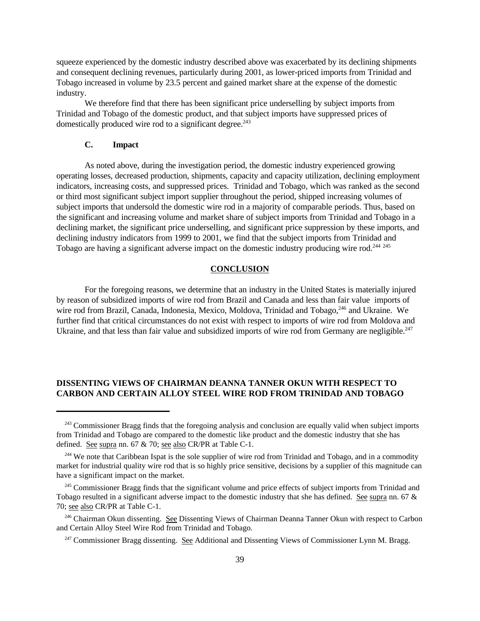squeeze experienced by the domestic industry described above was exacerbated by its declining shipments and consequent declining revenues, particularly during 2001, as lower-priced imports from Trinidad and Tobago increased in volume by 23.5 percent and gained market share at the expense of the domestic industry.

We therefore find that there has been significant price underselling by subject imports from Trinidad and Tobago of the domestic product, and that subject imports have suppressed prices of domestically produced wire rod to a significant degree.<sup>243</sup>

### **C. Impact**

As noted above, during the investigation period, the domestic industry experienced growing operating losses, decreased production, shipments, capacity and capacity utilization, declining employment indicators, increasing costs, and suppressed prices. Trinidad and Tobago, which was ranked as the second or third most significant subject import supplier throughout the period, shipped increasing volumes of subject imports that undersold the domestic wire rod in a majority of comparable periods. Thus, based on the significant and increasing volume and market share of subject imports from Trinidad and Tobago in a declining market, the significant price underselling, and significant price suppression by these imports, and declining industry indicators from 1999 to 2001, we find that the subject imports from Trinidad and Tobago are having a significant adverse impact on the domestic industry producing wire rod.<sup>244 245</sup>

### **CONCLUSION**

For the foregoing reasons, we determine that an industry in the United States is materially injured by reason of subsidized imports of wire rod from Brazil and Canada and less than fair value imports of wire rod from Brazil, Canada, Indonesia, Mexico, Moldova, Trinidad and Tobago, <sup>246</sup> and Ukraine. We further find that critical circumstances do not exist with respect to imports of wire rod from Moldova and Ukraine, and that less than fair value and subsidized imports of wire rod from Germany are negligible. $247$ 

# **DISSENTING VIEWS OF CHAIRMAN DEANNA TANNER OKUN WITH RESPECT TO CARBON AND CERTAIN ALLOY STEEL WIRE ROD FROM TRINIDAD AND TOBAGO**

<sup>&</sup>lt;sup>243</sup> Commissioner Bragg finds that the foregoing analysis and conclusion are equally valid when subject imports from Trinidad and Tobago are compared to the domestic like product and the domestic industry that she has defined. See supra nn. 67 & 70; see also CR/PR at Table C-1.

<sup>&</sup>lt;sup>244</sup> We note that Caribbean Ispat is the sole supplier of wire rod from Trinidad and Tobago, and in a commodity market for industrial quality wire rod that is so highly price sensitive, decisions by a supplier of this magnitude can have a significant impact on the market.

<sup>&</sup>lt;sup>245</sup> Commissioner Bragg finds that the significant volume and price effects of subject imports from Trinidad and Tobago resulted in a significant adverse impact to the domestic industry that she has defined. See supra nn. 67 & 70; see also CR/PR at Table C-1.

<sup>&</sup>lt;sup>246</sup> Chairman Okun dissenting. See Dissenting Views of Chairman Deanna Tanner Okun with respect to Carbon and Certain Alloy Steel Wire Rod from Trinidad and Tobago.

<sup>&</sup>lt;sup>247</sup> Commissioner Bragg dissenting. See Additional and Dissenting Views of Commissioner Lynn M. Bragg.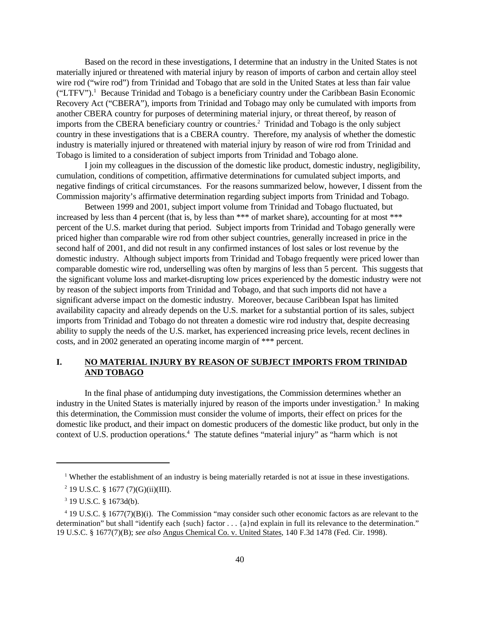Based on the record in these investigations, I determine that an industry in the United States is not materially injured or threatened with material injury by reason of imports of carbon and certain alloy steel wire rod ("wire rod") from Trinidad and Tobago that are sold in the United States at less than fair value ("LTFV").<sup>1</sup> Because Trinidad and Tobago is a beneficiary country under the Caribbean Basin Economic Recovery Act ("CBERA"), imports from Trinidad and Tobago may only be cumulated with imports from another CBERA country for purposes of determining material injury, or threat thereof, by reason of imports from the CBERA beneficiary country or countries.<sup>2</sup> Trinidad and Tobago is the only subject country in these investigations that is a CBERA country. Therefore, my analysis of whether the domestic industry is materially injured or threatened with material injury by reason of wire rod from Trinidad and Tobago is limited to a consideration of subject imports from Trinidad and Tobago alone.

I join my colleagues in the discussion of the domestic like product, domestic industry, negligibility, cumulation, conditions of competition, affirmative determinations for cumulated subject imports, and negative findings of critical circumstances. For the reasons summarized below, however, I dissent from the Commission majority's affirmative determination regarding subject imports from Trinidad and Tobago.

Between 1999 and 2001, subject import volume from Trinidad and Tobago fluctuated, but increased by less than 4 percent (that is, by less than \*\*\* of market share), accounting for at most \*\*\* percent of the U.S. market during that period. Subject imports from Trinidad and Tobago generally were priced higher than comparable wire rod from other subject countries, generally increased in price in the second half of 2001, and did not result in any confirmed instances of lost sales or lost revenue by the domestic industry. Although subject imports from Trinidad and Tobago frequently were priced lower than comparable domestic wire rod, underselling was often by margins of less than 5 percent. This suggests that the significant volume loss and market-disrupting low prices experienced by the domestic industry were not by reason of the subject imports from Trinidad and Tobago, and that such imports did not have a significant adverse impact on the domestic industry. Moreover, because Caribbean Ispat has limited availability capacity and already depends on the U.S. market for a substantial portion of its sales, subject imports from Trinidad and Tobago do not threaten a domestic wire rod industry that, despite decreasing ability to supply the needs of the U.S. market, has experienced increasing price levels, recent declines in costs, and in 2002 generated an operating income margin of \*\*\* percent.

# **I. NO MATERIAL INJURY BY REASON OF SUBJECT IMPORTS FROM TRINIDAD AND TOBAGO**

In the final phase of antidumping duty investigations, the Commission determines whether an industry in the United States is materially injured by reason of the imports under investigation.<sup>3</sup> In making this determination, the Commission must consider the volume of imports, their effect on prices for the domestic like product, and their impact on domestic producers of the domestic like product, but only in the context of U.S. production operations.<sup>4</sup> The statute defines "material injury" as "harm which is not

<sup>&</sup>lt;sup>1</sup> Whether the establishment of an industry is being materially retarded is not at issue in these investigations.

 $2$  19 U.S.C. § 1677 (7)(G)(ii)(III).

 $3$  19 U.S.C. § 1673d(b).

<sup>&</sup>lt;sup>4</sup> 19 U.S.C. § 1677(7)(B)(i). The Commission "may consider such other economic factors as are relevant to the determination" but shall "identify each {such} factor . . . {a}nd explain in full its relevance to the determination." 19 U.S.C. § 1677(7)(B); *see also* Angus Chemical Co. v. United States, 140 F.3d 1478 (Fed. Cir. 1998).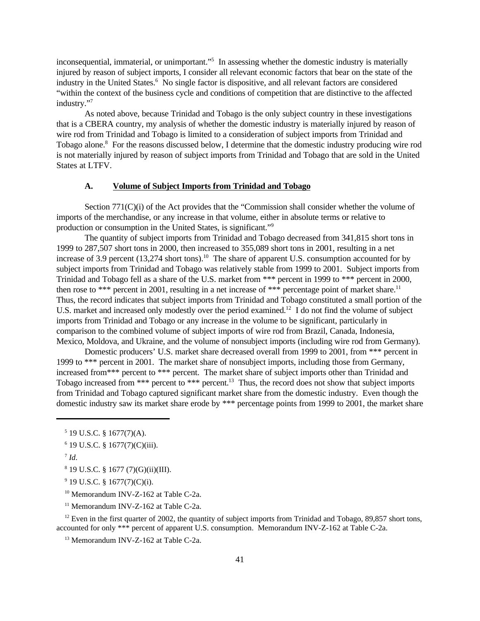inconsequential, immaterial, or unimportant."<sup>5</sup> In assessing whether the domestic industry is materially injured by reason of subject imports, I consider all relevant economic factors that bear on the state of the industry in the United States.<sup>6</sup> No single factor is dispositive, and all relevant factors are considered "within the context of the business cycle and conditions of competition that are distinctive to the affected industry."<sup>7</sup>

As noted above, because Trinidad and Tobago is the only subject country in these investigations that is a CBERA country, my analysis of whether the domestic industry is materially injured by reason of wire rod from Trinidad and Tobago is limited to a consideration of subject imports from Trinidad and Tobago alone.<sup>8</sup> For the reasons discussed below, I determine that the domestic industry producing wire rod is not materially injured by reason of subject imports from Trinidad and Tobago that are sold in the United States at LTFV.

# **A. Volume of Subject Imports from Trinidad and Tobago**

Section 771(C)(i) of the Act provides that the "Commission shall consider whether the volume of imports of the merchandise, or any increase in that volume, either in absolute terms or relative to production or consumption in the United States, is significant."<sup>9</sup>

The quantity of subject imports from Trinidad and Tobago decreased from 341,815 short tons in 1999 to 287,507 short tons in 2000, then increased to 355,089 short tons in 2001, resulting in a net increase of 3.9 percent  $(13,274 \text{ short tons})$ .<sup>10</sup> The share of apparent U.S. consumption accounted for by subject imports from Trinidad and Tobago was relatively stable from 1999 to 2001. Subject imports from Trinidad and Tobago fell as a share of the U.S. market from \*\*\* percent in 1999 to \*\*\* percent in 2000, then rose to \*\*\* percent in 2001, resulting in a net increase of \*\*\* percentage point of market share.<sup>11</sup> Thus, the record indicates that subject imports from Trinidad and Tobago constituted a small portion of the U.S. market and increased only modestly over the period examined.<sup>12</sup> I do not find the volume of subject imports from Trinidad and Tobago or any increase in the volume to be significant, particularly in comparison to the combined volume of subject imports of wire rod from Brazil, Canada, Indonesia, Mexico, Moldova, and Ukraine, and the volume of nonsubject imports (including wire rod from Germany).

Domestic producers' U.S. market share decreased overall from 1999 to 2001, from \*\*\* percent in 1999 to \*\*\* percent in 2001. The market share of nonsubject imports, including those from Germany, increased from\*\*\* percent to \*\*\* percent. The market share of subject imports other than Trinidad and Tobago increased from \*\*\* percent to \*\*\* percent.<sup>13</sup> Thus, the record does not show that subject imports from Trinidad and Tobago captured significant market share from the domestic industry. Even though the domestic industry saw its market share erode by \*\*\* percentage points from 1999 to 2001, the market share

- $8$  19 U.S.C. § 1677 (7)(G)(ii)(III).
- $9$  19 U.S.C. § 1677(7)(C)(i).
- <sup>10</sup> Memorandum INV-Z-162 at Table C-2a.
- <sup>11</sup> Memorandum INV-Z-162 at Table C-2a.

 $12$  Even in the first quarter of 2002, the quantity of subject imports from Trinidad and Tobago, 89,857 short tons, accounted for only \*\*\* percent of apparent U.S. consumption. Memorandum INV-Z-162 at Table C-2a.

<sup>13</sup> Memorandum INV-Z-162 at Table C-2a.

 $5$  19 U.S.C. § 1677(7)(A).

 $6$  19 U.S.C. § 1677(7)(C)(iii).

<sup>7</sup> *Id*.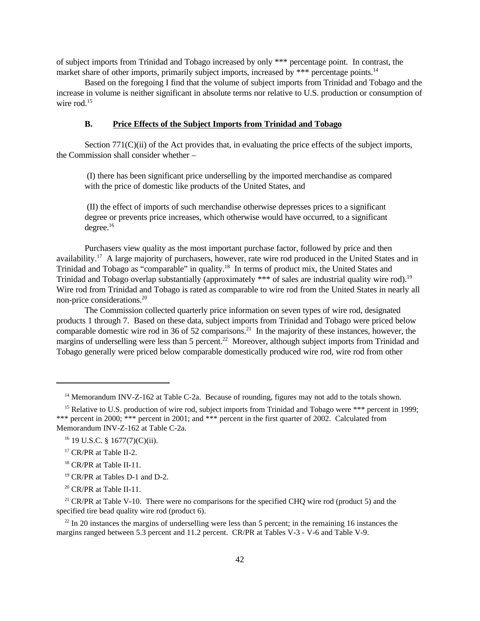of subject imports from Trinidad and Tobago increased by only \*\*\* percentage point. In contrast, the market share of other imports, primarily subject imports, increased by \*\*\* percentage points.<sup>14</sup>

Based on the foregoing I find that the volume of subject imports from Trinidad and Tobago and the increase in volume is neither significant in absolute terms nor relative to U.S. production or consumption of wire rod.<sup>15</sup>

#### **B. Price Effects of the Subject Imports from Trinidad and Tobago**

Section 771(C)(ii) of the Act provides that, in evaluating the price effects of the subject imports, the Commission shall consider whether –

 (I) there has been significant price underselling by the imported merchandise as compared with the price of domestic like products of the United States, and

 (II) the effect of imports of such merchandise otherwise depresses prices to a significant degree or prevents price increases, which otherwise would have occurred, to a significant degree.<sup>16</sup>

Purchasers view quality as the most important purchase factor, followed by price and then availability.<sup>17</sup> A large majority of purchasers, however, rate wire rod produced in the United States and in Trinidad and Tobago as "comparable" in quality.<sup>18</sup> In terms of product mix, the United States and Trinidad and Tobago overlap substantially (approximately \*\*\* of sales are industrial quality wire rod).<sup>19</sup> Wire rod from Trinidad and Tobago is rated as comparable to wire rod from the United States in nearly all non-price considerations.<sup>20</sup>

The Commission collected quarterly price information on seven types of wire rod, designated products 1 through 7. Based on these data, subject imports from Trinidad and Tobago were priced below comparable domestic wire rod in 36 of 52 comparisons.<sup>21</sup> In the majority of these instances, however, the margins of underselling were less than 5 percent.<sup>22</sup> Moreover, although subject imports from Trinidad and Tobago generally were priced below comparable domestically produced wire rod, wire rod from other

<sup>&</sup>lt;sup>14</sup> Memorandum INV-Z-162 at Table C-2a. Because of rounding, figures may not add to the totals shown.

<sup>&</sup>lt;sup>15</sup> Relative to U.S. production of wire rod, subject imports from Trinidad and Tobago were \*\*\* percent in 1999; \*\*\* percent in 2000; \*\*\* percent in 2001; and \*\*\* percent in the first quarter of 2002. Calculated from Memorandum INV-Z-162 at Table C-2a.

 $16$  19 U.S.C. § 1677(7)(C)(ii).

<sup>&</sup>lt;sup>17</sup> CR/PR at Table II-2.

<sup>&</sup>lt;sup>18</sup> CR/PR at Table II-11.

<sup>19</sup> CR/PR at Tables D-1 and D-2.

 $20$  CR/PR at Table II-11.

<sup>&</sup>lt;sup>21</sup> CR/PR at Table V-10. There were no comparisons for the specified CHQ wire rod (product 5) and the specified tire bead quality wire rod (product 6).

 $22$  In 20 instances the margins of underselling were less than 5 percent; in the remaining 16 instances the margins ranged between 5.3 percent and 11.2 percent. CR/PR at Tables V-3 - V-6 and Table V-9.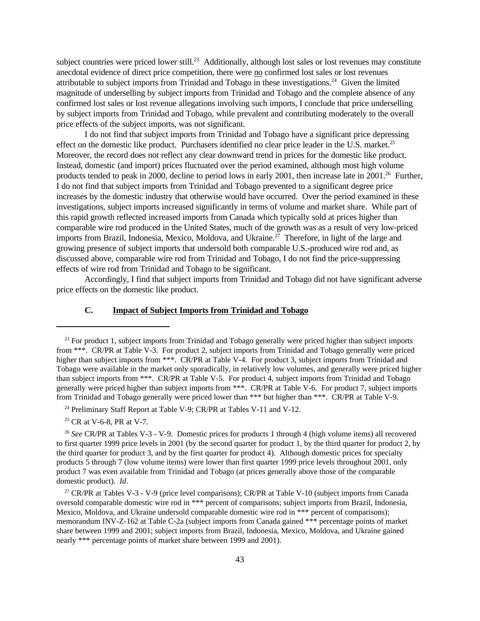subject countries were priced lower still.<sup>23</sup> Additionally, although lost sales or lost revenues may constitute anecdotal evidence of direct price competition, there were no confirmed lost sales or lost revenues attributable to subject imports from Trinidad and Tobago in these investigations.<sup>24</sup> Given the limited magnitude of underselling by subject imports from Trinidad and Tobago and the complete absence of any confirmed lost sales or lost revenue allegations involving such imports, I conclude that price underselling by subject imports from Trinidad and Tobago, while prevalent and contributing moderately to the overall price effects of the subject imports, was not significant.

I do not find that subject imports from Trinidad and Tobago have a significant price depressing effect on the domestic like product. Purchasers identified no clear price leader in the U.S. market.<sup>25</sup> Moreover, the record does not reflect any clear downward trend in prices for the domestic like product. Instead, domestic (and import) prices fluctuated over the period examined, although most high volume products tended to peak in 2000, decline to period lows in early 2001, then increase late in 2001.<sup>26</sup> Further, I do not find that subject imports from Trinidad and Tobago prevented to a significant degree price increases by the domestic industry that otherwise would have occurred. Over the period examined in these investigations, subject imports increased significantly in terms of volume and market share. While part of this rapid growth reflected increased imports from Canada which typically sold at prices higher than comparable wire rod produced in the United States, much of the growth was as a result of very low-priced imports from Brazil, Indonesia, Mexico, Moldova, and Ukraine.<sup>27</sup> Therefore, in light of the large and growing presence of subject imports that undersold both comparable U.S.-produced wire rod and, as discussed above, comparable wire rod from Trinidad and Tobago, I do not find the price-suppressing effects of wire rod from Trinidad and Tobago to be significant.

Accordingly, I find that subject imports from Trinidad and Tobago did not have significant adverse price effects on the domestic like product.

# **C. Impact of Subject Imports from Trinidad and Tobago**

<sup>24</sup> Preliminary Staff Report at Table V-9; CR/PR at Tables V-11 and V-12.

<sup>25</sup> CR at V-6-8, PR at V-7.

<sup>26</sup> *See* CR/PR at Tables V-3 - V-9. Domestic prices for products 1 through 4 (high volume items) all recovered to first quarter 1999 price levels in 2001 (by the second quarter for product 1, by the third quarter for product 2, by the third quarter for product 3, and by the first quarter for product 4). Although domestic prices for specialty products 5 through 7 (low volume items) were lower than first quarter 1999 price levels throughout 2001, only product 7 was even available from Trinidad and Tobago (at prices generally above those of the comparable domestic product). *Id*.

<sup>27</sup> CR/PR at Tables V-3 - V-9 (price level comparisons); CR/PR at Table V-10 (subject imports from Canada oversold comparable domestic wire rod in \*\*\* percent of comparisons; subject imports from Brazil, Indonesia, Mexico, Moldova, and Ukraine undersold comparable domestic wire rod in \*\*\* percent of comparisons); memorandum INV-Z-162 at Table C-2a (subject imports from Canada gained \*\*\* percentage points of market share between 1999 and 2001; subject imports from Brazil, Indonesia, Mexico, Moldova, and Ukraine gained nearly \*\*\* percentage points of market share between 1999 and 2001).

<sup>&</sup>lt;sup>23</sup> For product 1, subject imports from Trinidad and Tobago generally were priced higher than subject imports from \*\*\*. CR/PR at Table V-3. For product 2, subject imports from Trinidad and Tobago generally were priced higher than subject imports from \*\*\*. CR/PR at Table V-4. For product 3, subject imports from Trinidad and Tobago were available in the market only sporadically, in relatively low volumes, and generally were priced higher than subject imports from \*\*\*. CR/PR at Table V-5. For product 4, subject imports from Trinidad and Tobago generally were priced higher than subject imports from \*\*\*. CR/PR at Table V-6. For product 7, subject imports from Trinidad and Tobago generally were priced lower than \*\*\* but higher than \*\*\*. CR/PR at Table V-9.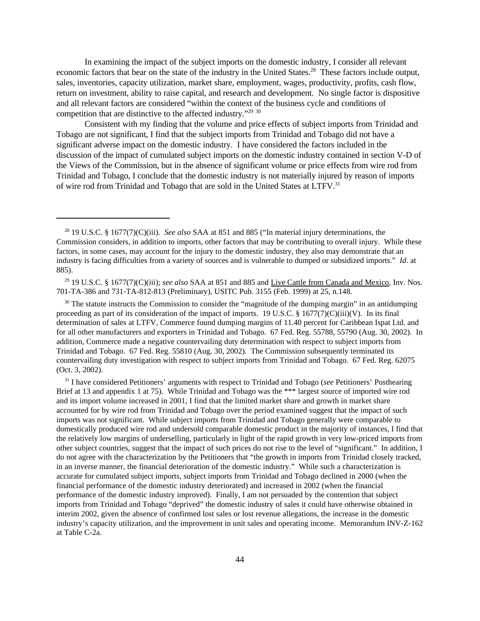In examining the impact of the subject imports on the domestic industry, I consider all relevant economic factors that bear on the state of the industry in the United States.<sup>28</sup> These factors include output, sales, inventories, capacity utilization, market share, employment, wages, productivity, profits, cash flow, return on investment, ability to raise capital, and research and development. No single factor is dispositive and all relevant factors are considered "within the context of the business cycle and conditions of competition that are distinctive to the affected industry."<sup>29</sup> <sup>30</sup>

Consistent with my finding that the volume and price effects of subject imports from Trinidad and Tobago are not significant, I find that the subject imports from Trinidad and Tobago did not have a significant adverse impact on the domestic industry. I have considered the factors included in the discussion of the impact of cumulated subject imports on the domestic industry contained in section V-D of the Views of the Commission, but in the absence of significant volume or price effects from wire rod from Trinidad and Tobago, I conclude that the domestic industry is not materially injured by reason of imports of wire rod from Trinidad and Tobago that are sold in the United States at LTFV.<sup>31</sup>

 $30$  The statute instructs the Commission to consider the "magnitude of the dumping margin" in an antidumping proceeding as part of its consideration of the impact of imports. 19 U.S.C.  $\S$  1677(7)(C)(iii)(V). In its final determination of sales at LTFV, Commerce found dumping margins of 11.40 percent for Caribbean Ispat Ltd. and for all other manufacturers and exporters in Trinidad and Tobago. 67 Fed. Reg. 55788, 55790 (Aug. 30, 2002). In addition, Commerce made a negative countervailing duty determination with respect to subject imports from Trinidad and Tobago. 67 Fed. Reg. 55810 (Aug. 30, 2002). The Commission subsequently terminated its countervailing duty investigation with respect to subject imports from Trinidad and Tobago. 67 Fed. Reg. 62075 (Oct. 3, 2002).

<sup>31</sup> I have considered Petitioners' arguments with respect to Trinidad and Tobago (*see* Petitioners' Posthearing Brief at 13 and appendix 1 at 75). While Trinidad and Tobago was the \*\*\* largest source of imported wire rod and its import volume increased in 2001, I find that the limited market share and growth in market share accounted for by wire rod from Trinidad and Tobago over the period examined suggest that the impact of such imports was not significant. While subject imports from Trinidad and Tobago generally were comparable to domestically produced wire rod and undersold comparable domestic product in the majority of instances, I find that the relatively low margins of underselling, particularly in light of the rapid growth in very low-priced imports from other subject countries, suggest that the impact of such prices do not rise to the level of "significant." In addition, I do not agree with the characterization by the Petitioners that "the growth in imports from Trinidad closely tracked, in an inverse manner, the financial deterioration of the domestic industry." While such a characterization is accurate for cumulated subject imports, subject imports from Trinidad and Tobago declined in 2000 (when the financial performance of the domestic industry deteriorated) and increased in 2002 (when the financial performance of the domestic industry improved). Finally, I am not persuaded by the contention that subject imports from Trinidad and Tobago "deprived" the domestic industry of sales it could have otherwise obtained in interim 2002, given the absence of confirmed lost sales or lost revenue allegations, the increase in the domestic industry's capacity utilization, and the improvement in unit sales and operating income. Memorandum INV-Z-162 at Table C-2a.

<sup>28</sup> 19 U.S.C. § 1677(7)(C)(iii). *See also* SAA at 851 and 885 ("In material injury determinations, the Commission considers, in addition to imports, other factors that may be contributing to overall injury. While these factors, in some cases, may account for the injury to the domestic industry, they also may demonstrate that an industry is facing difficulties from a variety of sources and is vulnerable to dumped or subsidized imports." *Id*. at 885).

<sup>29</sup> 19 U.S.C. § 1677(7)(C)(iii); *see also* SAA at 851 and 885 and Live Cattle from Canada and Mexico, Inv. Nos. 701-TA-386 and 731-TA-812-813 (Preliminary), USITC Pub. 3155 (Feb. 1999) at 25, n.148.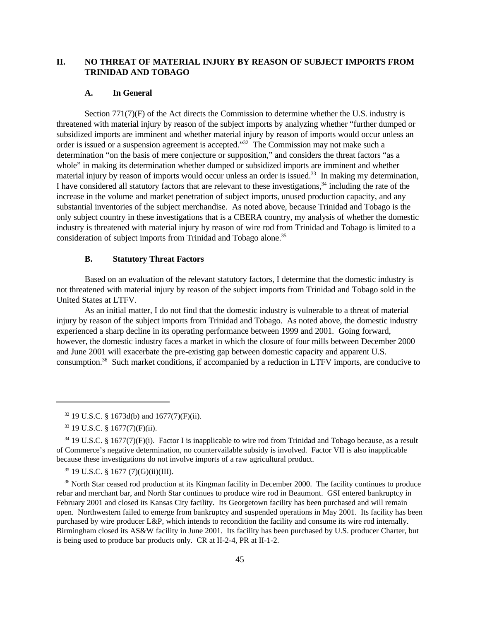# **II. NO THREAT OF MATERIAL INJURY BY REASON OF SUBJECT IMPORTS FROM TRINIDAD AND TOBAGO**

### **A. In General**

Section 771(7)(F) of the Act directs the Commission to determine whether the U.S. industry is threatened with material injury by reason of the subject imports by analyzing whether "further dumped or subsidized imports are imminent and whether material injury by reason of imports would occur unless an order is issued or a suspension agreement is accepted."<sup>32</sup> The Commission may not make such a determination "on the basis of mere conjecture or supposition," and considers the threat factors "as a whole" in making its determination whether dumped or subsidized imports are imminent and whether material injury by reason of imports would occur unless an order is issued.<sup>33</sup> In making my determination, I have considered all statutory factors that are relevant to these investigations,<sup>34</sup> including the rate of the increase in the volume and market penetration of subject imports, unused production capacity, and any substantial inventories of the subject merchandise. As noted above, because Trinidad and Tobago is the only subject country in these investigations that is a CBERA country, my analysis of whether the domestic industry is threatened with material injury by reason of wire rod from Trinidad and Tobago is limited to a consideration of subject imports from Trinidad and Tobago alone.<sup>35</sup>

# **B. Statutory Threat Factors**

Based on an evaluation of the relevant statutory factors, I determine that the domestic industry is not threatened with material injury by reason of the subject imports from Trinidad and Tobago sold in the United States at LTFV.

As an initial matter, I do not find that the domestic industry is vulnerable to a threat of material injury by reason of the subject imports from Trinidad and Tobago. As noted above, the domestic industry experienced a sharp decline in its operating performance between 1999 and 2001. Going forward, however, the domestic industry faces a market in which the closure of four mills between December 2000 and June 2001 will exacerbate the pre-existing gap between domestic capacity and apparent U.S. consumption.36 Such market conditions, if accompanied by a reduction in LTFV imports, are conducive to

<sup>35</sup> 19 U.S.C. § 1677 (7)(G)(ii)(III).

<sup>36</sup> North Star ceased rod production at its Kingman facility in December 2000. The facility continues to produce rebar and merchant bar, and North Star continues to produce wire rod in Beaumont. GSI entered bankruptcy in February 2001 and closed its Kansas City facility. Its Georgetown facility has been purchased and will remain open. Northwestern failed to emerge from bankruptcy and suspended operations in May 2001. Its facility has been purchased by wire producer L&P, which intends to recondition the facility and consume its wire rod internally. Birmingham closed its AS&W facility in June 2001. Its facility has been purchased by U.S. producer Charter, but is being used to produce bar products only. CR at II-2-4, PR at II-1-2.

 $32$  19 U.S.C. § 1673d(b) and 1677(7)(F)(ii).

<sup>33</sup> 19 U.S.C. § 1677(7)(F)(ii).

 $34$  19 U.S.C. § 1677(7)(F)(i). Factor I is inapplicable to wire rod from Trinidad and Tobago because, as a result of Commerce's negative determination, no countervailable subsidy is involved. Factor VII is also inapplicable because these investigations do not involve imports of a raw agricultural product.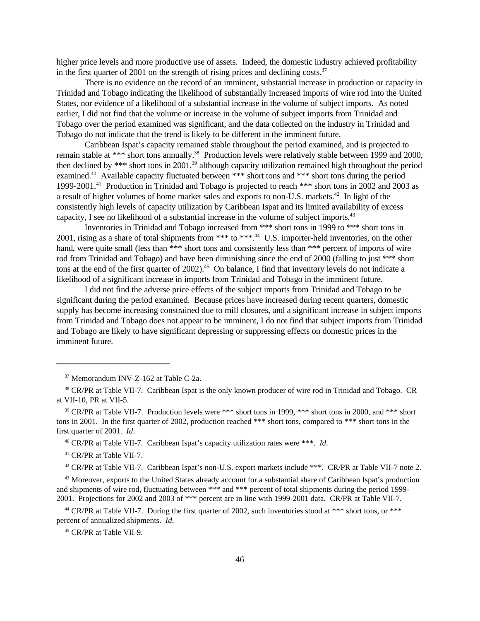higher price levels and more productive use of assets. Indeed, the domestic industry achieved profitability in the first quarter of 2001 on the strength of rising prices and declining costs.<sup>37</sup>

There is no evidence on the record of an imminent, substantial increase in production or capacity in Trinidad and Tobago indicating the likelihood of substantially increased imports of wire rod into the United States, nor evidence of a likelihood of a substantial increase in the volume of subject imports. As noted earlier, I did not find that the volume or increase in the volume of subject imports from Trinidad and Tobago over the period examined was significant, and the data collected on the industry in Trinidad and Tobago do not indicate that the trend is likely to be different in the imminent future.

Caribbean Ispat's capacity remained stable throughout the period examined, and is projected to remain stable at \*\*\* short tons annually.<sup>38</sup> Production levels were relatively stable between 1999 and 2000, then declined by \*\*\* short tons in 2001,<sup>39</sup> although capacity utilization remained high throughout the period examined.<sup>40</sup> Available capacity fluctuated between \*\*\* short tons and \*\*\* short tons during the period 1999-2001.<sup>41</sup> Production in Trinidad and Tobago is projected to reach \*\*\* short tons in 2002 and 2003 as a result of higher volumes of home market sales and exports to non-U.S. markets.<sup>42</sup> In light of the consistently high levels of capacity utilization by Caribbean Ispat and its limited availability of excess capacity, I see no likelihood of a substantial increase in the volume of subject imports.<sup>43</sup>

Inventories in Trinidad and Tobago increased from \*\*\* short tons in 1999 to \*\*\* short tons in 2001, rising as a share of total shipments from \*\*\* to \*\*\*.<sup>44</sup> U.S. importer-held inventories, on the other hand, were quite small (less than \*\*\* short tons and consistently less than \*\*\* percent of imports of wire rod from Trinidad and Tobago) and have been diminishing since the end of 2000 (falling to just \*\*\* short tons at the end of the first quarter of 2002).<sup>45</sup> On balance, I find that inventory levels do not indicate a likelihood of a significant increase in imports from Trinidad and Tobago in the imminent future.

I did not find the adverse price effects of the subject imports from Trinidad and Tobago to be significant during the period examined. Because prices have increased during recent quarters, domestic supply has become increasing constrained due to mill closures, and a significant increase in subject imports from Trinidad and Tobago does not appear to be imminent, I do not find that subject imports from Trinidad and Tobago are likely to have significant depressing or suppressing effects on domestic prices in the imminent future.

<sup>37</sup> Memorandum INV-Z-162 at Table C-2a.

<sup>&</sup>lt;sup>38</sup> CR/PR at Table VII-7. Caribbean Ispat is the only known producer of wire rod in Trinidad and Tobago. CR at VII-10, PR at VII-5.

<sup>39</sup> CR/PR at Table VII-7. Production levels were \*\*\* short tons in 1999, \*\*\* short tons in 2000, and \*\*\* short tons in 2001. In the first quarter of 2002, production reached \*\*\* short tons, compared to \*\*\* short tons in the first quarter of 2001. *Id*.

<sup>40</sup> CR/PR at Table VII-7. Caribbean Ispat's capacity utilization rates were \*\*\*. *Id*.

<sup>41</sup> CR/PR at Table VII-7.

<sup>&</sup>lt;sup>42</sup> CR/PR at Table VII-7. Caribbean Ispat's non-U.S. export markets include \*\*\*. CR/PR at Table VII-7 note 2.

<sup>&</sup>lt;sup>43</sup> Moreover, exports to the United States already account for a substantial share of Caribbean Ispat's production and shipments of wire rod, fluctuating between \*\*\* and \*\*\* percent of total shipments during the period 1999- 2001. Projections for 2002 and 2003 of \*\*\* percent are in line with 1999-2001 data. CR/PR at Table VII-7.

<sup>&</sup>lt;sup>44</sup> CR/PR at Table VII-7. During the first quarter of 2002, such inventories stood at \*\*\* short tons, or \*\*\* percent of annualized shipments. *Id*.

<sup>45</sup> CR/PR at Table VII-9.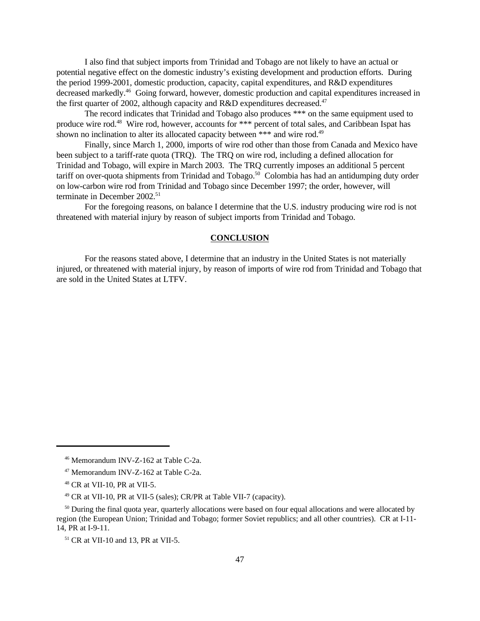I also find that subject imports from Trinidad and Tobago are not likely to have an actual or potential negative effect on the domestic industry's existing development and production efforts. During the period 1999-2001, domestic production, capacity, capital expenditures, and R&D expenditures decreased markedly.<sup>46</sup> Going forward, however, domestic production and capital expenditures increased in the first quarter of 2002, although capacity and R&D expenditures decreased.<sup>47</sup>

The record indicates that Trinidad and Tobago also produces \*\*\* on the same equipment used to produce wire rod.<sup>48</sup> Wire rod, however, accounts for \*\*\* percent of total sales, and Caribbean Ispat has shown no inclination to alter its allocated capacity between \*\*\* and wire rod.<sup>49</sup>

Finally, since March 1, 2000, imports of wire rod other than those from Canada and Mexico have been subject to a tariff-rate quota (TRQ). The TRQ on wire rod, including a defined allocation for Trinidad and Tobago, will expire in March 2003. The TRQ currently imposes an additional 5 percent tariff on over-quota shipments from Trinidad and Tobago.<sup>50</sup> Colombia has had an antidumping duty order on low-carbon wire rod from Trinidad and Tobago since December 1997; the order, however, will terminate in December 2002.<sup>51</sup>

For the foregoing reasons, on balance I determine that the U.S. industry producing wire rod is not threatened with material injury by reason of subject imports from Trinidad and Tobago.

### **CONCLUSION**

For the reasons stated above, I determine that an industry in the United States is not materially injured, or threatened with material injury, by reason of imports of wire rod from Trinidad and Tobago that are sold in the United States at LTFV.

<sup>46</sup> Memorandum INV-Z-162 at Table C-2a.

<sup>47</sup> Memorandum INV-Z-162 at Table C-2a.

<sup>48</sup> CR at VII-10, PR at VII-5.

<sup>49</sup> CR at VII-10, PR at VII-5 (sales); CR/PR at Table VII-7 (capacity).

<sup>&</sup>lt;sup>50</sup> During the final quota year, quarterly allocations were based on four equal allocations and were allocated by region (the European Union; Trinidad and Tobago; former Soviet republics; and all other countries). CR at I-11- 14, PR at I-9-11.

<sup>51</sup> CR at VII-10 and 13, PR at VII-5.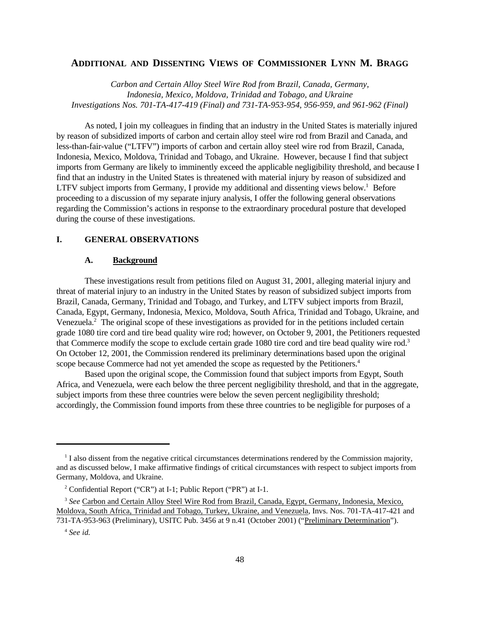# **ADDITIONAL AND DISSENTING VIEWS OF COMMISSIONER LYNN M. BRAGG**

*Carbon and Certain Alloy Steel Wire Rod from Brazil, Canada, Germany, Indonesia, Mexico, Moldova, Trinidad and Tobago, and Ukraine Investigations Nos. 701-TA-417-419 (Final) and 731-TA-953-954, 956-959, and 961-962 (Final)*

As noted, I join my colleagues in finding that an industry in the United States is materially injured by reason of subsidized imports of carbon and certain alloy steel wire rod from Brazil and Canada, and less-than-fair-value ("LTFV") imports of carbon and certain alloy steel wire rod from Brazil, Canada, Indonesia, Mexico, Moldova, Trinidad and Tobago, and Ukraine. However, because I find that subject imports from Germany are likely to imminently exceed the applicable negligibility threshold, and because I find that an industry in the United States is threatened with material injury by reason of subsidized and LTFV subject imports from Germany, I provide my additional and dissenting views below.<sup>1</sup> Before proceeding to a discussion of my separate injury analysis, I offer the following general observations regarding the Commission's actions in response to the extraordinary procedural posture that developed during the course of these investigations.

# **I. GENERAL OBSERVATIONS**

### **A. Background**

These investigations result from petitions filed on August 31, 2001, alleging material injury and threat of material injury to an industry in the United States by reason of subsidized subject imports from Brazil, Canada, Germany, Trinidad and Tobago, and Turkey, and LTFV subject imports from Brazil, Canada, Egypt, Germany, Indonesia, Mexico, Moldova, South Africa, Trinidad and Tobago, Ukraine, and Venezuela.<sup>2</sup> The original scope of these investigations as provided for in the petitions included certain grade 1080 tire cord and tire bead quality wire rod; however, on October 9, 2001, the Petitioners requested that Commerce modify the scope to exclude certain grade 1080 tire cord and tire bead quality wire rod.<sup>3</sup> On October 12, 2001, the Commission rendered its preliminary determinations based upon the original scope because Commerce had not yet amended the scope as requested by the Petitioners.<sup>4</sup>

Based upon the original scope, the Commission found that subject imports from Egypt, South Africa, and Venezuela, were each below the three percent negligibility threshold, and that in the aggregate, subject imports from these three countries were below the seven percent negligibility threshold; accordingly, the Commission found imports from these three countries to be negligible for purposes of a

<sup>&</sup>lt;sup>1</sup> I also dissent from the negative critical circumstances determinations rendered by the Commission majority, and as discussed below, I make affirmative findings of critical circumstances with respect to subject imports from Germany, Moldova, and Ukraine.

<sup>&</sup>lt;sup>2</sup> Confidential Report ("CR") at I-1; Public Report ("PR") at I-1.

<sup>&</sup>lt;sup>3</sup> See Carbon and Certain Alloy Steel Wire Rod from Brazil, Canada, Egypt, Germany, Indonesia, Mexico, Moldova, South Africa, Trinidad and Tobago, Turkey, Ukraine, and Venezuela, Invs. Nos. 701-TA-417-421 and 731-TA-953-963 (Preliminary), USITC Pub. 3456 at 9 n.41 (October 2001) ("Preliminary Determination").

<sup>4</sup> *See id.*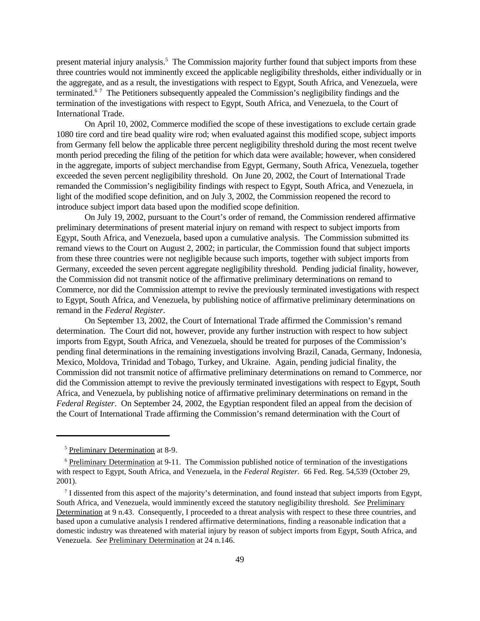present material injury analysis.<sup>5</sup> The Commission majority further found that subject imports from these three countries would not imminently exceed the applicable negligibility thresholds, either individually or in the aggregate, and as a result, the investigations with respect to Egypt, South Africa, and Venezuela, were terminated.<sup>67</sup> The Petitioners subsequently appealed the Commission's negligibility findings and the termination of the investigations with respect to Egypt, South Africa, and Venezuela, to the Court of International Trade.

On April 10, 2002, Commerce modified the scope of these investigations to exclude certain grade 1080 tire cord and tire bead quality wire rod; when evaluated against this modified scope, subject imports from Germany fell below the applicable three percent negligibility threshold during the most recent twelve month period preceding the filing of the petition for which data were available; however, when considered in the aggregate, imports of subject merchandise from Egypt, Germany, South Africa, Venezuela, together exceeded the seven percent negligibility threshold. On June 20, 2002, the Court of International Trade remanded the Commission's negligibility findings with respect to Egypt, South Africa, and Venezuela, in light of the modified scope definition, and on July 3, 2002, the Commission reopened the record to introduce subject import data based upon the modified scope definition.

On July 19, 2002, pursuant to the Court's order of remand, the Commission rendered affirmative preliminary determinations of present material injury on remand with respect to subject imports from Egypt, South Africa, and Venezuela, based upon a cumulative analysis. The Commission submitted its remand views to the Court on August 2, 2002; in particular, the Commission found that subject imports from these three countries were not negligible because such imports, together with subject imports from Germany, exceeded the seven percent aggregate negligibility threshold. Pending judicial finality, however, the Commission did not transmit notice of the affirmative preliminary determinations on remand to Commerce, nor did the Commission attempt to revive the previously terminated investigations with respect to Egypt, South Africa, and Venezuela, by publishing notice of affirmative preliminary determinations on remand in the *Federal Register*.

On September 13, 2002, the Court of International Trade affirmed the Commission's remand determination. The Court did not, however, provide any further instruction with respect to how subject imports from Egypt, South Africa, and Venezuela, should be treated for purposes of the Commission's pending final determinations in the remaining investigations involving Brazil, Canada, Germany, Indonesia, Mexico, Moldova, Trinidad and Tobago, Turkey, and Ukraine. Again, pending judicial finality, the Commission did not transmit notice of affirmative preliminary determinations on remand to Commerce, nor did the Commission attempt to revive the previously terminated investigations with respect to Egypt, South Africa, and Venezuela, by publishing notice of affirmative preliminary determinations on remand in the *Federal Register*. On September 24, 2002, the Egyptian respondent filed an appeal from the decision of the Court of International Trade affirming the Commission's remand determination with the Court of

<sup>5</sup> Preliminary Determination at 8-9.

 $6$  Preliminary Determination at 9-11. The Commission published notice of termination of the investigations with respect to Egypt, South Africa, and Venezuela, in the *Federal Register*. 66 Fed. Reg. 54,539 (October 29, 2001).

 $7$  I dissented from this aspect of the majority's determination, and found instead that subject imports from Egypt, South Africa, and Venezuela, would imminently exceed the statutory negligibility threshold. *See* Preliminary Determination at 9 n.43. Consequently, I proceeded to a threat analysis with respect to these three countries, and based upon a cumulative analysis I rendered affirmative determinations, finding a reasonable indication that a domestic industry was threatened with material injury by reason of subject imports from Egypt, South Africa, and Venezuela. *See* Preliminary Determination at 24 n.146.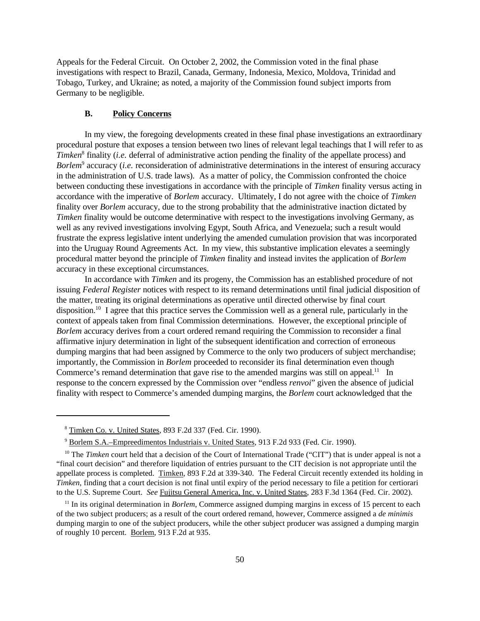Appeals for the Federal Circuit. On October 2, 2002, the Commission voted in the final phase investigations with respect to Brazil, Canada, Germany, Indonesia, Mexico, Moldova, Trinidad and Tobago, Turkey, and Ukraine; as noted, a majority of the Commission found subject imports from Germany to be negligible.

#### **B. Policy Concerns**

In my view, the foregoing developments created in these final phase investigations an extraordinary procedural posture that exposes a tension between two lines of relevant legal teachings that I will refer to as *Timken*<sup>8</sup> finality (*i.e.* deferral of administrative action pending the finality of the appellate process) and *Borlem*<sup>9</sup> accuracy (*i.e.* reconsideration of administrative determinations in the interest of ensuring accuracy in the administration of U.S. trade laws). As a matter of policy, the Commission confronted the choice between conducting these investigations in accordance with the principle of *Timken* finality versus acting in accordance with the imperative of *Borlem* accuracy. Ultimately, I do not agree with the choice of *Timken* finality over *Borlem* accuracy, due to the strong probability that the administrative inaction dictated by *Timken* finality would be outcome determinative with respect to the investigations involving Germany, as well as any revived investigations involving Egypt, South Africa, and Venezuela; such a result would frustrate the express legislative intent underlying the amended cumulation provision that was incorporated into the Uruguay Round Agreements Act. In my view, this substantive implication elevates a seemingly procedural matter beyond the principle of *Timken* finality and instead invites the application of *Borlem* accuracy in these exceptional circumstances.

In accordance with *Timken* and its progeny, the Commission has an established procedure of not issuing *Federal Register* notices with respect to its remand determinations until final judicial disposition of the matter, treating its original determinations as operative until directed otherwise by final court disposition.<sup>10</sup> I agree that this practice serves the Commission well as a general rule, particularly in the context of appeals taken from final Commission determinations. However, the exceptional principle of *Borlem* accuracy derives from a court ordered remand requiring the Commission to reconsider a final affirmative injury determination in light of the subsequent identification and correction of erroneous dumping margins that had been assigned by Commerce to the only two producers of subject merchandise; importantly, the Commission in *Borlem* proceeded to reconsider its final determination even though Commerce's remand determination that gave rise to the amended margins was still on appeal.<sup>11</sup> In response to the concern expressed by the Commission over "endless *renvoi*" given the absence of judicial finality with respect to Commerce's amended dumping margins, the *Borlem* court acknowledged that the

<sup>8</sup> Timken Co. v. United States, 893 F.2d 337 (Fed. Cir. 1990).

<sup>9</sup> Borlem S.A.–Empreedimentos Industriais v. United States, 913 F.2d 933 (Fed. Cir. 1990).

<sup>&</sup>lt;sup>10</sup> The *Timken* court held that a decision of the Court of International Trade ("CIT") that is under appeal is not a "final court decision" and therefore liquidation of entries pursuant to the CIT decision is not appropriate until the appellate process is completed. Timken, 893 F.2d at 339-340. The Federal Circuit recently extended its holding in *Timken*, finding that a court decision is not final until expiry of the period necessary to file a petition for certiorari to the U.S. Supreme Court. *See* Fujitsu General America, Inc. v. United States, 283 F.3d 1364 (Fed. Cir. 2002).

<sup>&</sup>lt;sup>11</sup> In its original determination in *Borlem*, Commerce assigned dumping margins in excess of 15 percent to each of the two subject producers; as a result of the court ordered remand, however, Commerce assigned a *de minimis* dumping margin to one of the subject producers, while the other subject producer was assigned a dumping margin of roughly 10 percent. Borlem, 913 F.2d at 935.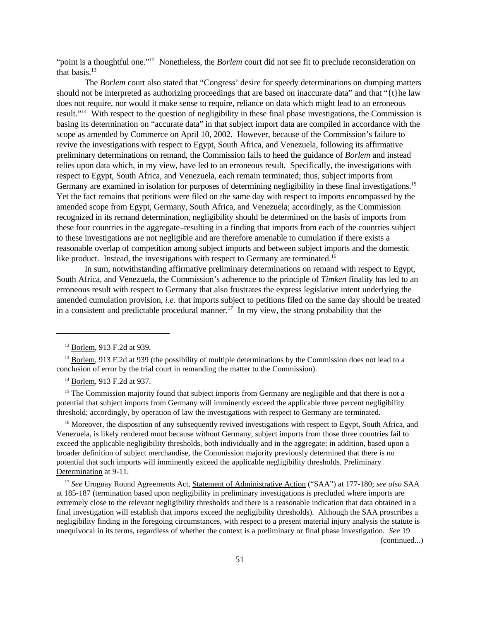"point is a thoughtful one."<sup>12</sup> Nonetheless, the *Borlem* court did not see fit to preclude reconsideration on that basis.<sup>13</sup>

The *Borlem* court also stated that "Congress' desire for speedy determinations on dumping matters should not be interpreted as authorizing proceedings that are based on inaccurate data" and that "{t}he law does not require, nor would it make sense to require, reliance on data which might lead to an erroneous result."<sup>14</sup> With respect to the question of negligibility in these final phase investigations, the Commission is basing its determination on "accurate data" in that subject import data are compiled in accordance with the scope as amended by Commerce on April 10, 2002. However, because of the Commission's failure to revive the investigations with respect to Egypt, South Africa, and Venezuela, following its affirmative preliminary determinations on remand, the Commission fails to heed the guidance of *Borlem* and instead relies upon data which, in my view, have led to an erroneous result. Specifically, the investigations with respect to Egypt, South Africa, and Venezuela, each remain terminated; thus, subject imports from Germany are examined in isolation for purposes of determining negligibility in these final investigations.<sup>15</sup> Yet the fact remains that petitions were filed on the same day with respect to imports encompassed by the amended scope from Egypt, Germany, South Africa, and Venezuela; accordingly, as the Commission recognized in its remand determination, negligibility should be determined on the basis of imports from these four countries in the aggregate–resulting in a finding that imports from each of the countries subject to these investigations are not negligible and are therefore amenable to cumulation if there exists a reasonable overlap of competition among subject imports and between subject imports and the domestic like product. Instead, the investigations with respect to Germany are terminated.<sup>16</sup>

In sum, notwithstanding affirmative preliminary determinations on remand with respect to Egypt, South Africa, and Venezuela, the Commission's adherence to the principle of *Timken* finality has led to an erroneous result with respect to Germany that also frustrates the express legislative intent underlying the amended cumulation provision, *i.e.* that imports subject to petitions filed on the same day should be treated in a consistent and predictable procedural manner.<sup>17</sup> In my view, the strong probability that the

 $15$  The Commission majority found that subject imports from Germany are negligible and that there is not a potential that subject imports from Germany will imminently exceed the applicable three percent negligibility threshold; accordingly, by operation of law the investigations with respect to Germany are terminated.

<sup>16</sup> Moreover, the disposition of any subsequently revived investigations with respect to Egypt. South Africa, and Venezuela, is likely rendered moot because without Germany, subject imports from those three countries fail to exceed the applicable negligibility thresholds, both individually and in the aggregate; in addition, based upon a broader definition of subject merchandise, the Commission majority previously determined that there is no potential that such imports will imminently exceed the applicable negligibility thresholds. Preliminary Determination at 9-11.

<sup>17</sup> *See* Uruguay Round Agreements Act, Statement of Administrative Action ("SAA") at 177-180; *see also* SAA at 185-187 (termination based upon negligibility in preliminary investigations is precluded where imports are extremely close to the relevant negligibility thresholds and there is a reasonable indication that data obtained in a final investigation will establish that imports exceed the negligibility thresholds). Although the SAA proscribes a negligibility finding in the foregoing circumstances, with respect to a present material injury analysis the statute is unequivocal in its terms, regardless of whether the context is a preliminary or final phase investigation. *See* 19

(continued...)

<sup>12</sup> Borlem, 913 F.2d at 939.

<sup>&</sup>lt;sup>13</sup> Borlem, 913 F.2d at 939 (the possibility of multiple determinations by the Commission does not lead to a conclusion of error by the trial court in remanding the matter to the Commission).

<sup>14</sup> Borlem, 913 F.2d at 937.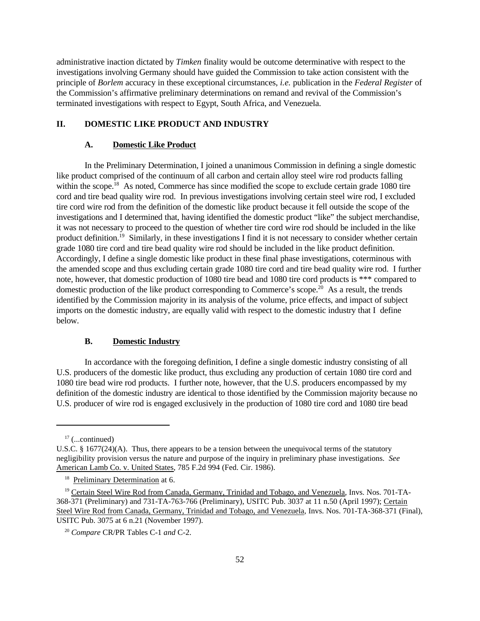administrative inaction dictated by *Timken* finality would be outcome determinative with respect to the investigations involving Germany should have guided the Commission to take action consistent with the principle of *Borlem* accuracy in these exceptional circumstances, *i.e.* publication in the *Federal Register* of the Commission's affirmative preliminary determinations on remand and revival of the Commission's terminated investigations with respect to Egypt, South Africa, and Venezuela.

# **II. DOMESTIC LIKE PRODUCT AND INDUSTRY**

#### **A. Domestic Like Product**

In the Preliminary Determination, I joined a unanimous Commission in defining a single domestic like product comprised of the continuum of all carbon and certain alloy steel wire rod products falling within the scope.<sup>18</sup> As noted, Commerce has since modified the scope to exclude certain grade 1080 tire cord and tire bead quality wire rod. In previous investigations involving certain steel wire rod, I excluded tire cord wire rod from the definition of the domestic like product because it fell outside the scope of the investigations and I determined that, having identified the domestic product "like" the subject merchandise, it was not necessary to proceed to the question of whether tire cord wire rod should be included in the like product definition.<sup>19</sup> Similarly, in these investigations I find it is not necessary to consider whether certain grade 1080 tire cord and tire bead quality wire rod should be included in the like product definition. Accordingly, I define a single domestic like product in these final phase investigations, coterminous with the amended scope and thus excluding certain grade 1080 tire cord and tire bead quality wire rod. I further note, however, that domestic production of 1080 tire bead and 1080 tire cord products is \*\*\* compared to domestic production of the like product corresponding to Commerce's scope.<sup>20</sup> As a result, the trends identified by the Commission majority in its analysis of the volume, price effects, and impact of subject imports on the domestic industry, are equally valid with respect to the domestic industry that I define below.

### **B. Domestic Industry**

In accordance with the foregoing definition, I define a single domestic industry consisting of all U.S. producers of the domestic like product, thus excluding any production of certain 1080 tire cord and 1080 tire bead wire rod products. I further note, however, that the U.S. producers encompassed by my definition of the domestic industry are identical to those identified by the Commission majority because no U.S. producer of wire rod is engaged exclusively in the production of 1080 tire cord and 1080 tire bead

 $17$  (...continued)

U.S.C. § 1677(24)(A). Thus, there appears to be a tension between the unequivocal terms of the statutory negligibility provision versus the nature and purpose of the inquiry in preliminary phase investigations. *See* American Lamb Co. v. United States, 785 F.2d 994 (Fed. Cir. 1986).

<sup>&</sup>lt;sup>18</sup> Preliminary Determination at 6.

<sup>&</sup>lt;sup>19</sup> Certain Steel Wire Rod from Canada, Germany, Trinidad and Tobago, and Venezuela, Invs. Nos. 701-TA-368-371 (Preliminary) and 731-TA-763-766 (Preliminary), USITC Pub. 3037 at 11 n.50 (April 1997); Certain Steel Wire Rod from Canada, Germany, Trinidad and Tobago, and Venezuela, Invs. Nos. 701-TA-368-371 (Final), USITC Pub. 3075 at 6 n.21 (November 1997).

<sup>20</sup> *Compare* CR/PR Tables C-1 *and* C-2.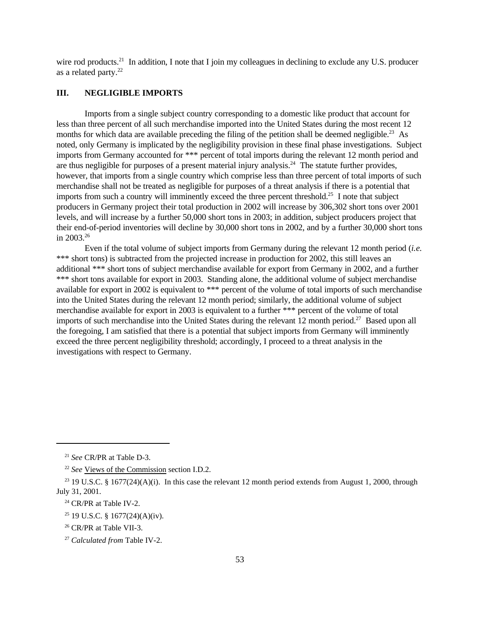wire rod products.<sup>21</sup> In addition, I note that I join my colleagues in declining to exclude any U.S. producer as a related party.<sup>22</sup>

### **III. NEGLIGIBLE IMPORTS**

Imports from a single subject country corresponding to a domestic like product that account for less than three percent of all such merchandise imported into the United States during the most recent 12 months for which data are available preceding the filing of the petition shall be deemed negligible.<sup>23</sup> As noted, only Germany is implicated by the negligibility provision in these final phase investigations. Subject imports from Germany accounted for \*\*\* percent of total imports during the relevant 12 month period and are thus negligible for purposes of a present material injury analysis.<sup>24</sup> The statute further provides, however, that imports from a single country which comprise less than three percent of total imports of such merchandise shall not be treated as negligible for purposes of a threat analysis if there is a potential that imports from such a country will imminently exceed the three percent threshold.<sup>25</sup> I note that subject producers in Germany project their total production in 2002 will increase by 306,302 short tons over 2001 levels, and will increase by a further 50,000 short tons in 2003; in addition, subject producers project that their end-of-period inventories will decline by 30,000 short tons in 2002, and by a further 30,000 short tons in 2003.<sup>26</sup>

Even if the total volume of subject imports from Germany during the relevant 12 month period (*i.e.* \*\*\* short tons) is subtracted from the projected increase in production for 2002, this still leaves an additional \*\*\* short tons of subject merchandise available for export from Germany in 2002, and a further \*\*\* short tons available for export in 2003. Standing alone, the additional volume of subject merchandise available for export in 2002 is equivalent to \*\*\* percent of the volume of total imports of such merchandise into the United States during the relevant 12 month period; similarly, the additional volume of subject merchandise available for export in 2003 is equivalent to a further \*\*\* percent of the volume of total imports of such merchandise into the United States during the relevant  $12$  month period.<sup>27</sup> Based upon all the foregoing, I am satisfied that there is a potential that subject imports from Germany will imminently exceed the three percent negligibility threshold; accordingly, I proceed to a threat analysis in the investigations with respect to Germany.

<sup>21</sup> *See* CR/PR at Table D-3.

<sup>22</sup> *See* Views of the Commission section I.D.2.

<sup>&</sup>lt;sup>23</sup> 19 U.S.C. § 1677(24)(A)(i). In this case the relevant 12 month period extends from August 1, 2000, through July 31, 2001.

<sup>&</sup>lt;sup>24</sup> CR/PR at Table IV-2.

<sup>25</sup> 19 U.S.C. § 1677(24)(A)(iv).

<sup>&</sup>lt;sup>26</sup> CR/PR at Table VII-3.

<sup>27</sup> *Calculated from* Table IV-2.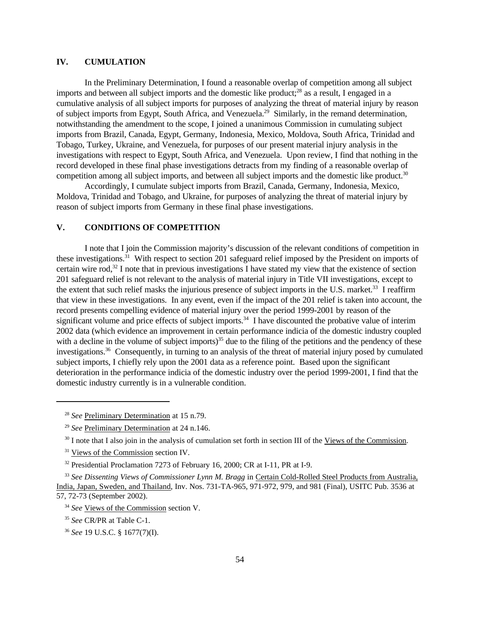# **IV. CUMULATION**

In the Preliminary Determination, I found a reasonable overlap of competition among all subject imports and between all subject imports and the domestic like product; $^{28}$  as a result. I engaged in a cumulative analysis of all subject imports for purposes of analyzing the threat of material injury by reason of subject imports from Egypt, South Africa, and Venezuela.<sup>29</sup> Similarly, in the remand determination, notwithstanding the amendment to the scope, I joined a unanimous Commission in cumulating subject imports from Brazil, Canada, Egypt, Germany, Indonesia, Mexico, Moldova, South Africa, Trinidad and Tobago, Turkey, Ukraine, and Venezuela, for purposes of our present material injury analysis in the investigations with respect to Egypt, South Africa, and Venezuela. Upon review, I find that nothing in the record developed in these final phase investigations detracts from my finding of a reasonable overlap of competition among all subject imports, and between all subject imports and the domestic like product.<sup>30</sup>

Accordingly, I cumulate subject imports from Brazil, Canada, Germany, Indonesia, Mexico, Moldova, Trinidad and Tobago, and Ukraine, for purposes of analyzing the threat of material injury by reason of subject imports from Germany in these final phase investigations.

# **V. CONDITIONS OF COMPETITION**

I note that I join the Commission majority's discussion of the relevant conditions of competition in these investigations.<sup>31</sup> With respect to section 201 safeguard relief imposed by the President on imports of certain wire rod,<sup>32</sup> I note that in previous investigations I have stated my view that the existence of section 201 safeguard relief is not relevant to the analysis of material injury in Title VII investigations, except to the extent that such relief masks the injurious presence of subject imports in the U.S. market.<sup>33</sup> I reaffirm that view in these investigations. In any event, even if the impact of the 201 relief is taken into account, the record presents compelling evidence of material injury over the period 1999-2001 by reason of the significant volume and price effects of subject imports.<sup>34</sup> I have discounted the probative value of interim 2002 data (which evidence an improvement in certain performance indicia of the domestic industry coupled with a decline in the volume of subject imports)<sup>35</sup> due to the filing of the petitions and the pendency of these investigations.<sup>36</sup> Consequently, in turning to an analysis of the threat of material injury posed by cumulated subject imports, I chiefly rely upon the 2001 data as a reference point. Based upon the significant deterioration in the performance indicia of the domestic industry over the period 1999-2001, I find that the domestic industry currently is in a vulnerable condition.

<sup>28</sup> *See* Preliminary Determination at 15 n.79.

<sup>29</sup> *See* Preliminary Determination at 24 n.146.

 $30$  I note that I also join in the analysis of cumulation set forth in section III of the Views of the Commission.

<sup>&</sup>lt;sup>31</sup> Views of the Commission section IV.

<sup>&</sup>lt;sup>32</sup> Presidential Proclamation 7273 of February 16, 2000; CR at I-11, PR at I-9.

<sup>33</sup> *See Dissenting Views of Commissioner Lynn M. Bragg* in Certain Cold-Rolled Steel Products from Australia, India, Japan, Sweden, and Thailand, Inv. Nos. 731-TA-965, 971-972, 979, and 981 (Final), USITC Pub. 3536 at 57, 72-73 (September 2002).

<sup>&</sup>lt;sup>34</sup> *See* Views of the Commission section V.

<sup>35</sup> *See* CR/PR at Table C-1.

<sup>36</sup> *See* 19 U.S.C. § 1677(7)(I).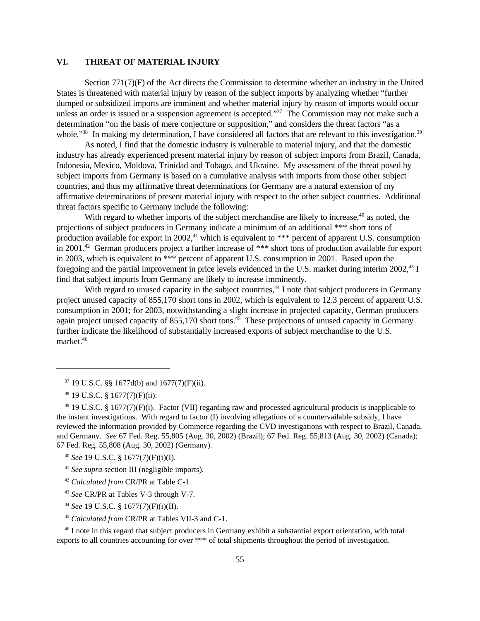### **VI. THREAT OF MATERIAL INJURY**

Section 771(7)(F) of the Act directs the Commission to determine whether an industry in the United States is threatened with material injury by reason of the subject imports by analyzing whether "further dumped or subsidized imports are imminent and whether material injury by reason of imports would occur unless an order is issued or a suspension agreement is accepted."<sup>37</sup> The Commission may not make such a determination "on the basis of mere conjecture or supposition," and considers the threat factors "as a whole."<sup>38</sup> In making my determination, I have considered all factors that are relevant to this investigation.<sup>39</sup>

As noted, I find that the domestic industry is vulnerable to material injury, and that the domestic industry has already experienced present material injury by reason of subject imports from Brazil, Canada, Indonesia, Mexico, Moldova, Trinidad and Tobago, and Ukraine. My assessment of the threat posed by subject imports from Germany is based on a cumulative analysis with imports from those other subject countries, and thus my affirmative threat determinations for Germany are a natural extension of my affirmative determinations of present material injury with respect to the other subject countries. Additional threat factors specific to Germany include the following:

With regard to whether imports of the subject merchandise are likely to increase,<sup>40</sup> as noted, the projections of subject producers in Germany indicate a minimum of an additional \*\*\* short tons of production available for export in 2002,<sup>41</sup> which is equivalent to \*\*\* percent of apparent U.S. consumption in 2001.<sup>42</sup> German producers project a further increase of \*\*\* short tons of production available for export in 2003, which is equivalent to \*\*\* percent of apparent U.S. consumption in 2001. Based upon the foregoing and the partial improvement in price levels evidenced in the U.S. market during interim 2002,<sup>43</sup> I find that subject imports from Germany are likely to increase imminently.

With regard to unused capacity in the subject countries,<sup>44</sup> I note that subject producers in Germany project unused capacity of 855,170 short tons in 2002, which is equivalent to 12.3 percent of apparent U.S. consumption in 2001; for 2003, notwithstanding a slight increase in projected capacity, German producers again project unused capacity of 855,170 short tons.<sup>45</sup> These projections of unused capacity in Germany further indicate the likelihood of substantially increased exports of subject merchandise to the U.S. market.46

- <sup>42</sup> *Calculated from* CR/PR at Table C-1.
- <sup>43</sup> *See* CR/PR at Tables V-3 through V-7.
- <sup>44</sup> *See* 19 U.S.C. § 1677(7)(F)(i)(II).
- <sup>45</sup> *Calculated from* CR/PR at Tables VII-3 and C-1.

<sup>46</sup> I note in this regard that subject producers in Germany exhibit a substantial export orientation, with total exports to all countries accounting for over \*\*\* of total shipments throughout the period of investigation.

 $37$  19 U.S.C. §§ 1677d(b) and 1677(7)(F)(ii).

<sup>38</sup> 19 U.S.C. § 1677(7)(F)(ii).

<sup>&</sup>lt;sup>39</sup> 19 U.S.C. § 1677(7)(F)(i). Factor (VII) regarding raw and processed agricultural products is inapplicable to the instant investigations. With regard to factor (I) involving allegations of a countervailable subsidy, I have reviewed the information provided by Commerce regarding the CVD investigations with respect to Brazil, Canada, and Germany. *See* 67 Fed. Reg. 55,805 (Aug. 30, 2002) (Brazil); 67 Fed. Reg. 55,813 (Aug. 30, 2002) (Canada); 67 Fed. Reg. 55,808 (Aug. 30, 2002) (Germany).

<sup>40</sup> *See* 19 U.S.C. § 1677(7)(F)(i)(I).

<sup>41</sup> *See supra* section III (negligible imports).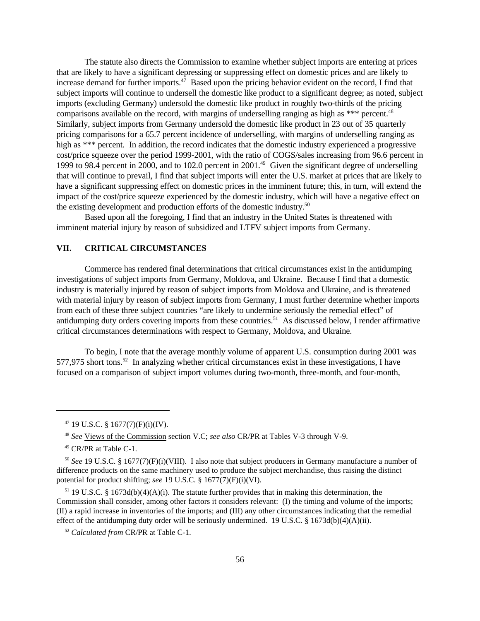The statute also directs the Commission to examine whether subject imports are entering at prices that are likely to have a significant depressing or suppressing effect on domestic prices and are likely to increase demand for further imports.<sup>47</sup> Based upon the pricing behavior evident on the record, I find that subject imports will continue to undersell the domestic like product to a significant degree; as noted, subject imports (excluding Germany) undersold the domestic like product in roughly two-thirds of the pricing comparisons available on the record, with margins of underselling ranging as high as \*\*\* percent.<sup>48</sup> Similarly, subject imports from Germany undersold the domestic like product in 23 out of 35 quarterly pricing comparisons for a 65.7 percent incidence of underselling, with margins of underselling ranging as high as \*\*\* percent. In addition, the record indicates that the domestic industry experienced a progressive cost/price squeeze over the period 1999-2001, with the ratio of COGS/sales increasing from 96.6 percent in 1999 to 98.4 percent in 2000, and to 102.0 percent in 2001.<sup>49</sup> Given the significant degree of underselling that will continue to prevail, I find that subject imports will enter the U.S. market at prices that are likely to have a significant suppressing effect on domestic prices in the imminent future; this, in turn, will extend the impact of the cost/price squeeze experienced by the domestic industry, which will have a negative effect on the existing development and production efforts of the domestic industry.<sup>50</sup>

Based upon all the foregoing, I find that an industry in the United States is threatened with imminent material injury by reason of subsidized and LTFV subject imports from Germany.

# **VII. CRITICAL CIRCUMSTANCES**

Commerce has rendered final determinations that critical circumstances exist in the antidumping investigations of subject imports from Germany, Moldova, and Ukraine. Because I find that a domestic industry is materially injured by reason of subject imports from Moldova and Ukraine, and is threatened with material injury by reason of subject imports from Germany, I must further determine whether imports from each of these three subject countries "are likely to undermine seriously the remedial effect" of antidumping duty orders covering imports from these countries.<sup>51</sup> As discussed below, I render affirmative critical circumstances determinations with respect to Germany, Moldova, and Ukraine.

To begin, I note that the average monthly volume of apparent U.S. consumption during 2001 was 577,975 short tons.<sup>52</sup> In analyzing whether critical circumstances exist in these investigations, I have focused on a comparison of subject import volumes during two-month, three-month, and four-month,

 $51$  19 U.S.C. § 1673d(b)(4)(A)(i). The statute further provides that in making this determination, the Commission shall consider, among other factors it considers relevant: (I) the timing and volume of the imports; (II) a rapid increase in inventories of the imports; and (III) any other circumstances indicating that the remedial effect of the antidumping duty order will be seriously undermined. 19 U.S.C. § 1673d(b)(4)(A)(ii).

<sup>47</sup> 19 U.S.C. § 1677(7)(F)(i)(IV).

<sup>48</sup> *See* Views of the Commission section V.C; *see also* CR/PR at Tables V-3 through V-9.

<sup>49</sup> CR/PR at Table C-1.

<sup>50</sup> *See* 19 U.S.C. § 1677(7)(F)(i)(VIII). I also note that subject producers in Germany manufacture a number of difference products on the same machinery used to produce the subject merchandise, thus raising the distinct potential for product shifting; *see* 19 U.S.C. § 1677(7)(F)(i)(VI).

<sup>52</sup> *Calculated from* CR/PR at Table C-1.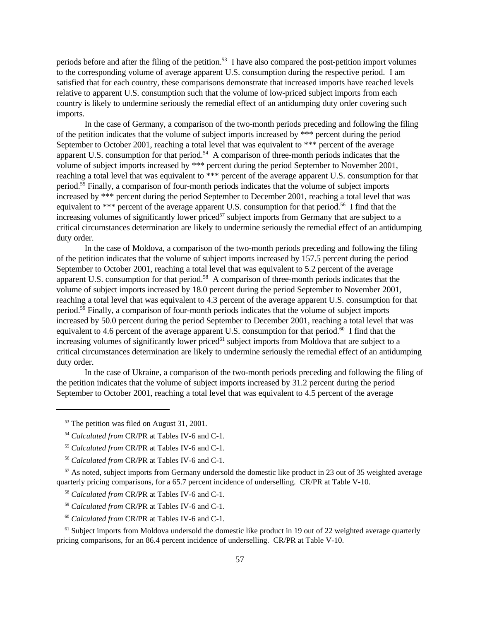periods before and after the filing of the petition.<sup>53</sup> I have also compared the post-petition import volumes to the corresponding volume of average apparent U.S. consumption during the respective period. I am satisfied that for each country, these comparisons demonstrate that increased imports have reached levels relative to apparent U.S. consumption such that the volume of low-priced subject imports from each country is likely to undermine seriously the remedial effect of an antidumping duty order covering such imports.

In the case of Germany, a comparison of the two-month periods preceding and following the filing of the petition indicates that the volume of subject imports increased by \*\*\* percent during the period September to October 2001, reaching a total level that was equivalent to \*\*\* percent of the average apparent U.S. consumption for that period.<sup>54</sup> A comparison of three-month periods indicates that the volume of subject imports increased by \*\*\* percent during the period September to November 2001, reaching a total level that was equivalent to \*\*\* percent of the average apparent U.S. consumption for that period.<sup>55</sup> Finally, a comparison of four-month periods indicates that the volume of subject imports increased by \*\*\* percent during the period September to December 2001, reaching a total level that was equivalent to \*\*\* percent of the average apparent U.S. consumption for that period.<sup>56</sup> I find that the increasing volumes of significantly lower priced<sup>57</sup> subject imports from Germany that are subject to a critical circumstances determination are likely to undermine seriously the remedial effect of an antidumping duty order.

In the case of Moldova, a comparison of the two-month periods preceding and following the filing of the petition indicates that the volume of subject imports increased by 157.5 percent during the period September to October 2001, reaching a total level that was equivalent to 5.2 percent of the average apparent U.S. consumption for that period.<sup>58</sup> A comparison of three-month periods indicates that the volume of subject imports increased by 18.0 percent during the period September to November 2001, reaching a total level that was equivalent to 4.3 percent of the average apparent U.S. consumption for that period.<sup>59</sup> Finally, a comparison of four-month periods indicates that the volume of subject imports increased by 50.0 percent during the period September to December 2001, reaching a total level that was equivalent to 4.6 percent of the average apparent U.S. consumption for that period.<sup>60</sup> I find that the increasing volumes of significantly lower priced<sup>61</sup> subject imports from Moldova that are subject to a critical circumstances determination are likely to undermine seriously the remedial effect of an antidumping duty order.

In the case of Ukraine, a comparison of the two-month periods preceding and following the filing of the petition indicates that the volume of subject imports increased by 31.2 percent during the period September to October 2001, reaching a total level that was equivalent to 4.5 percent of the average

<sup>57</sup> As noted, subject imports from Germany undersold the domestic like product in 23 out of 35 weighted average quarterly pricing comparisons, for a 65.7 percent incidence of underselling. CR/PR at Table V-10.

- <sup>59</sup> *Calculated from* CR/PR at Tables IV-6 and C-1.
- <sup>60</sup> *Calculated from* CR/PR at Tables IV-6 and C-1.

<sup>61</sup> Subject imports from Moldova undersold the domestic like product in 19 out of 22 weighted average quarterly pricing comparisons, for an 86.4 percent incidence of underselling. CR/PR at Table V-10.

<sup>&</sup>lt;sup>53</sup> The petition was filed on August 31, 2001.

<sup>54</sup> *Calculated from* CR/PR at Tables IV-6 and C-1.

<sup>55</sup> *Calculated from* CR/PR at Tables IV-6 and C-1.

<sup>56</sup> *Calculated from* CR/PR at Tables IV-6 and C-1.

<sup>58</sup> *Calculated from* CR/PR at Tables IV-6 and C-1.